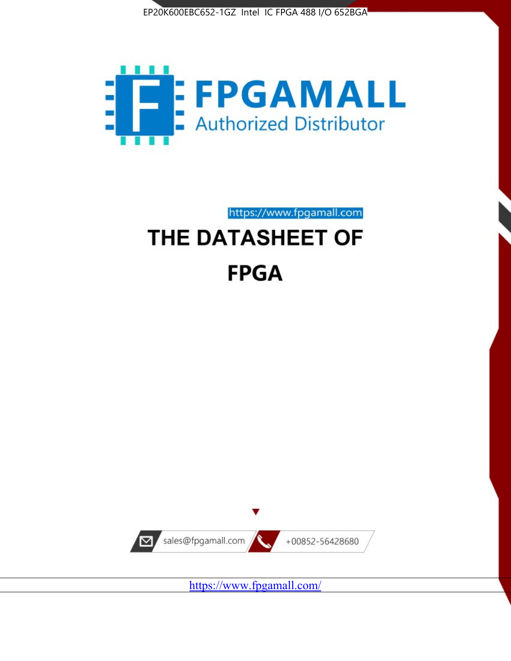



https://www.fpgamall.com THE DATASHEET OF

# **FPGA**



<https://www.fpgamall.com/>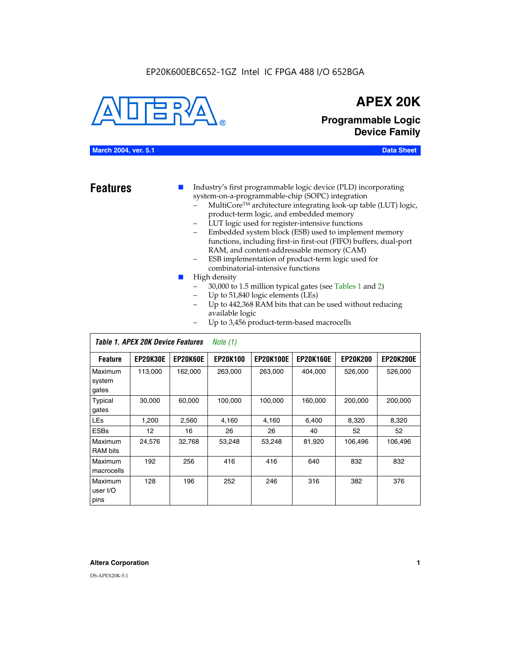#### EP20K600EBC652-1GZ Intel IC FPGA 488 I/O 652BGA



## **APEX 20K**

**Programmable Logic Device Family**

#### **March 2004, ver. 5.1 Data Sheet**

- **Features ■** Industry's first programmable logic device (PLD) incorporating system-on-a-programmable-chip (SOPC) integration
	- MultiCore™ architecture integrating look-up table (LUT) logic, product-term logic, and embedded memory
	- LUT logic used for register-intensive functions
	- Embedded system block (ESB) used to implement memory functions, including first-in first-out (FIFO) buffers, dual-port RAM, and content-addressable memory (CAM)
	- ESB implementation of product-term logic used for combinatorial-intensive functions
	- High density
		- 30,000 to 1.5 million typical gates (see Tables 1 and 2)
		- Up to 51,840 logic elements (LEs)
		- Up to 442,368 RAM bits that can be used without reducing available logic
		- Up to 3,456 product-term-based macrocells

| Table 1. APEX 20K Device Features<br>Note $(1)$ |                   |                 |                 |                  |                  |                 |                  |
|-------------------------------------------------|-------------------|-----------------|-----------------|------------------|------------------|-----------------|------------------|
| <b>Feature</b>                                  | <b>EP20K30E</b>   | <b>EP20K60E</b> | <b>EP20K100</b> | <b>EP20K100E</b> | <b>EP20K160E</b> | <b>EP20K200</b> | <b>EP20K200E</b> |
| Maximum<br>system<br>gates                      | 113,000           | 162,000         | 263.000         | 263,000          | 404.000          | 526,000         | 526,000          |
| Typical<br>gates                                | 30,000            | 60,000          | 100,000         | 100,000          | 160,000          | 200,000         | 200,000          |
| <b>LEs</b>                                      | 1,200             | 2,560           | 4,160           | 4,160            | 6.400            | 8,320           | 8,320            |
| <b>ESBs</b>                                     | $12 \overline{ }$ | 16              | 26              | 26               | 40               | 52              | 52               |
| Maximum<br><b>RAM</b> bits                      | 24,576            | 32,768          | 53,248          | 53,248           | 81,920           | 106,496         | 106,496          |
| Maximum<br>macrocells                           | 192               | 256             | 416             | 416              | 640              | 832             | 832              |
| Maximum<br>user I/O<br>pins                     | 128               | 196             | 252             | 246              | 316              | 382             | 376              |

#### **Altera Corporation 1**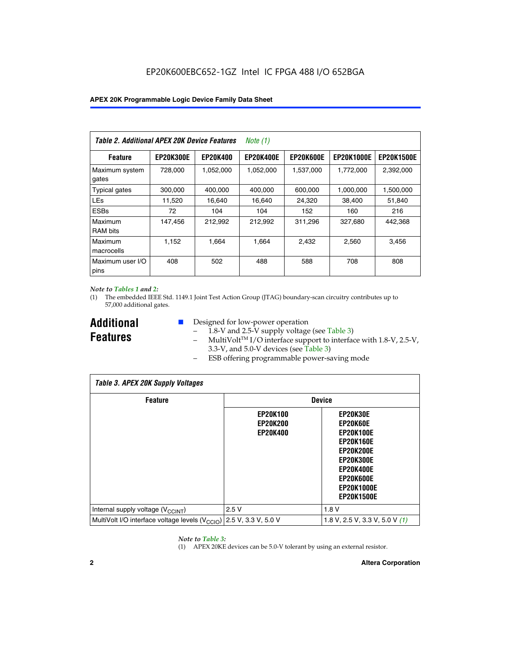| Table 2. Additional APEX 20K Device Features |                  |                 | <i>Note</i> $(1)$ |                  |                   |                   |
|----------------------------------------------|------------------|-----------------|-------------------|------------------|-------------------|-------------------|
| <b>Feature</b>                               | <b>EP20K300E</b> | <b>EP20K400</b> | <b>EP20K400E</b>  | <b>EP20K600E</b> | <b>EP20K1000E</b> | <b>EP20K1500E</b> |
| Maximum system<br>gates                      | 728,000          | 1,052,000       | 1,052,000         | 1,537,000        | 1,772,000         | 2,392,000         |
| <b>Typical gates</b>                         | 300,000          | 400,000         | 400,000           | 600,000          | 1,000,000         | 1,500,000         |
| <b>LEs</b>                                   | 11,520           | 16.640          | 16,640            | 24,320           | 38,400            | 51,840            |
| <b>ESBs</b>                                  | 72               | 104             | 104               | 152              | 160               | 216               |
| Maximum<br><b>RAM bits</b>                   | 147,456          | 212,992         | 212.992           | 311,296          | 327,680           | 442.368           |
| Maximum<br>macrocells                        | 1,152            | 1,664           | 1,664             | 2.432            | 2,560             | 3,456             |
| Maximum user I/O<br>pins                     | 408              | 502             | 488               | 588              | 708               | 808               |

#### *Note to Tables 1 and 2:*

(1) The embedded IEEE Std. 1149.1 Joint Test Action Group (JTAG) boundary-scan circuitry contributes up to 57,000 additional gates.

**Additional Features**

- Designed for low-power operation
	- 1.8-V and 2.5-V supply voltage (see Table 3)
	- $-$  MultiVolt<sup>TM</sup> I/O interface support to interface with 1.8-V, 2.5-V, 3.3-V, and 5.0-V devices (see Table 3)
	- ESB offering programmable power-saving mode

| <b>Table 3. APEX 20K Supply Voltages</b>                                       |                                                       |                                                                                                                                                                          |  |  |  |  |  |
|--------------------------------------------------------------------------------|-------------------------------------------------------|--------------------------------------------------------------------------------------------------------------------------------------------------------------------------|--|--|--|--|--|
| <b>Feature</b>                                                                 |                                                       | <b>Device</b>                                                                                                                                                            |  |  |  |  |  |
|                                                                                | <b>EP20K100</b><br><b>EP20K200</b><br><b>EP20K400</b> | EP20K30E<br>EP20K60E<br><b>EP20K100E</b><br><b>EP20K160E</b><br>EP20K200E<br><b>EP20K300E</b><br><b>EP20K400E</b><br>EP20K600E<br><b>EP20K1000E</b><br><b>EP20K1500E</b> |  |  |  |  |  |
| Internal supply voltage (V <sub>CCINT</sub> )                                  | 2.5V                                                  | 1.8V                                                                                                                                                                     |  |  |  |  |  |
| MultiVolt I/O interface voltage levels $(V_{\text{CCIO}})$ 2.5 V, 3.3 V, 5.0 V |                                                       | 1.8 V, 2.5 V, 3.3 V, 5.0 V $(1)$                                                                                                                                         |  |  |  |  |  |

#### *Note to Table 3:*

(1) APEX 20KE devices can be 5.0-V tolerant by using an external resistor.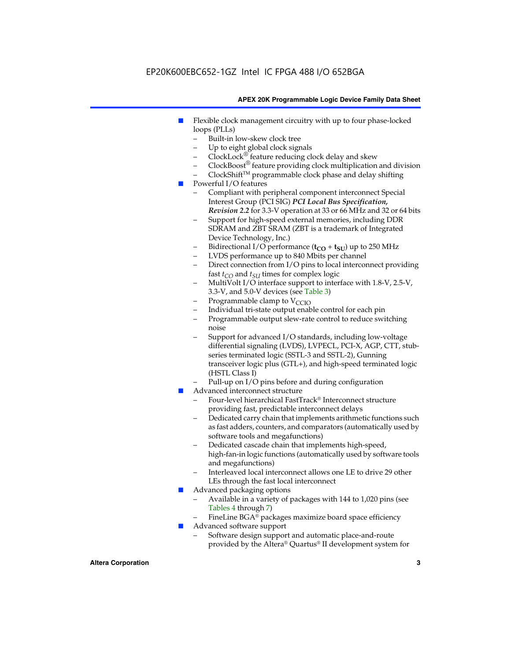### EP20K600EBC652-1GZ Intel IC FPGA 488 I/O 652BGA

#### **APEX 20K Programmable Logic Device Family Data Sheet**

- Flexible clock management circuitry with up to four phase-locked loops (PLLs)
	- Built-in low-skew clock tree
	- Up to eight global clock signals
	- $ClockLock^{\circledR}$  feature reducing clock delay and skew
	- $ClockBoost^{\circledR}$  feature providing clock multiplication and division
	- ClockShiftTM programmable clock phase and delay shifting
- Powerful I/O features
	- Compliant with peripheral component interconnect Special Interest Group (PCI SIG) *PCI Local Bus Specification, Revision 2.2* for 3.3-V operation at 33 or 66 MHz and 32 or 64 bits
	- Support for high-speed external memories, including DDR SDRAM and ZBT SRAM (ZBT is a trademark of Integrated Device Technology, Inc.)
	- Bidirectional I/O performance  $(t_{CO} + t_{SU})$  up to 250 MHz
	- LVDS performance up to 840 Mbits per channel
	- Direct connection from I/O pins to local interconnect providing fast  $t_{CO}$  and  $t_{SU}$  times for complex logic
	- MultiVolt I/O interface support to interface with 1.8-V, 2.5-V, 3.3-V, and 5.0-V devices (see Table 3)
	- Programmable clamp to  $V_{\text{C}CD}$
	- Individual tri-state output enable control for each pin
	- Programmable output slew-rate control to reduce switching noise
	- Support for advanced I/O standards, including low-voltage differential signaling (LVDS), LVPECL, PCI-X, AGP, CTT, stubseries terminated logic (SSTL-3 and SSTL-2), Gunning transceiver logic plus (GTL+), and high-speed terminated logic (HSTL Class I)
	- Pull-up on I/O pins before and during configuration
- Advanced interconnect structure
	- Four-level hierarchical FastTrack® Interconnect structure providing fast, predictable interconnect delays
	- Dedicated carry chain that implements arithmetic functions such as fast adders, counters, and comparators (automatically used by software tools and megafunctions)
	- Dedicated cascade chain that implements high-speed, high-fan-in logic functions (automatically used by software tools and megafunctions)
	- Interleaved local interconnect allows one LE to drive 29 other LEs through the fast local interconnect
- Advanced packaging options
	- Available in a variety of packages with 144 to 1,020 pins (see Tables 4 through 7)
	- FineLine BGA® packages maximize board space efficiency
- Advanced software support
	- Software design support and automatic place-and-route provided by the Altera® Quartus® II development system for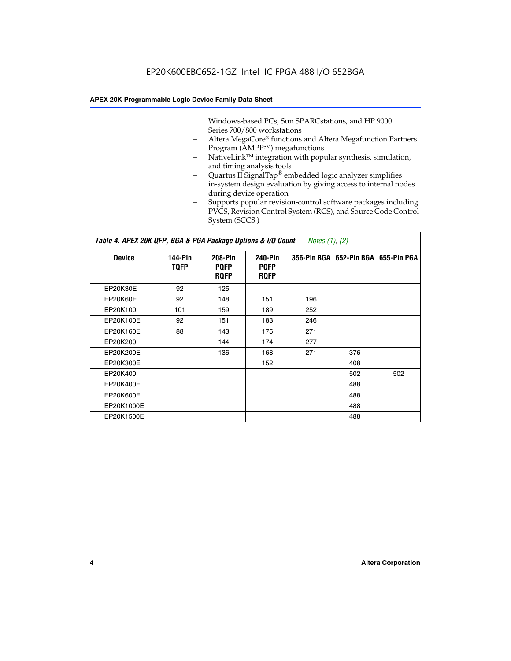Windows-based PCs, Sun SPARCstations, and HP 9000 Series 700/800 workstations

- Altera MegaCore® functions and Altera Megafunction Partners Program (AMPP<sup>SM</sup>) megafunctions
- NativeLink<sup>™</sup> integration with popular synthesis, simulation, and timing analysis tools
- Quartus II SignalTap® embedded logic analyzer simplifies in-system design evaluation by giving access to internal nodes during device operation
- Supports popular revision-control software packages including PVCS, Revision Control System (RCS), and Source Code Control System (SCCS )

#### *Table 4. APEX 20K QFP, BGA & PGA Package Options & I/O Count Notes (1), (2)*

| <b>Device</b>   | 144-Pin<br><b>TOFP</b> | <b>208-Pin</b><br><b>PQFP</b><br><b>ROFP</b> | 240-Pin<br><b>PQFP</b><br><b>ROFP</b> |     | 356-Pin BGA   652-Pin BGA   655-Pin PGA |     |
|-----------------|------------------------|----------------------------------------------|---------------------------------------|-----|-----------------------------------------|-----|
| EP20K30E        | 92                     | 125                                          |                                       |     |                                         |     |
| <b>EP20K60E</b> | 92                     | 148                                          | 151                                   | 196 |                                         |     |
| EP20K100        | 101                    | 159                                          | 189                                   | 252 |                                         |     |
| EP20K100E       | 92                     | 151                                          | 183                                   | 246 |                                         |     |
| EP20K160E       | 88                     | 143                                          | 175                                   | 271 |                                         |     |
| EP20K200        |                        | 144                                          | 174                                   | 277 |                                         |     |
| EP20K200E       |                        | 136                                          | 168                                   | 271 | 376                                     |     |
| EP20K300E       |                        |                                              | 152                                   |     | 408                                     |     |
| EP20K400        |                        |                                              |                                       |     | 502                                     | 502 |
| EP20K400E       |                        |                                              |                                       |     | 488                                     |     |
| EP20K600E       |                        |                                              |                                       |     | 488                                     |     |
| EP20K1000E      |                        |                                              |                                       |     | 488                                     |     |
| EP20K1500E      |                        |                                              |                                       |     | 488                                     |     |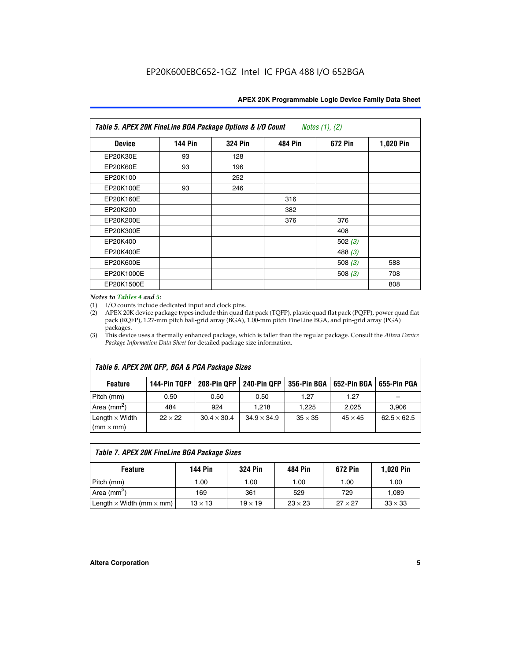| APEX 20K Programmable Logic Device Family Data Sheet |  |  |  |
|------------------------------------------------------|--|--|--|
|------------------------------------------------------|--|--|--|

| Table 5. APEX 20K FineLine BGA Package Options & I/O Count<br>Notes $(1)$ , $(2)$ |                |                |                |           |           |  |  |
|-----------------------------------------------------------------------------------|----------------|----------------|----------------|-----------|-----------|--|--|
| <b>Device</b>                                                                     | <b>144 Pin</b> | <b>324 Pin</b> | <b>484 Pin</b> | 672 Pin   | 1,020 Pin |  |  |
| EP20K30E                                                                          | 93             | 128            |                |           |           |  |  |
| <b>EP20K60E</b>                                                                   | 93             | 196            |                |           |           |  |  |
| EP20K100                                                                          |                | 252            |                |           |           |  |  |
| EP20K100E                                                                         | 93             | 246            |                |           |           |  |  |
| EP20K160E                                                                         |                |                | 316            |           |           |  |  |
| EP20K200                                                                          |                |                | 382            |           |           |  |  |
| EP20K200E                                                                         |                |                | 376            | 376       |           |  |  |
| EP20K300E                                                                         |                |                |                | 408       |           |  |  |
| EP20K400                                                                          |                |                |                | 502 $(3)$ |           |  |  |
| EP20K400E                                                                         |                |                |                | 488 $(3)$ |           |  |  |
| EP20K600E                                                                         |                |                |                | 508 $(3)$ | 588       |  |  |
| EP20K1000E                                                                        |                |                |                | 508 $(3)$ | 708       |  |  |
| EP20K1500E                                                                        |                |                |                |           | 808       |  |  |

#### *Notes to Tables 4 and 5:*

(1) I/O counts include dedicated input and clock pins.

(2) APEX 20K device package types include thin quad flat pack (TQFP), plastic quad flat pack (PQFP), power quad flat pack (RQFP), 1.27-mm pitch ball-grid array (BGA), 1.00-mm pitch FineLine BGA, and pin-grid array (PGA) packages.

(3) This device uses a thermally enhanced package, which is taller than the regular package. Consult the *Altera Device Package Information Data Sheet* for detailed package size information.

| Table 6. APEX 20K QFP, BGA & PGA Package Sizes |                |                    |                    |                |                |                    |  |  |
|------------------------------------------------|----------------|--------------------|--------------------|----------------|----------------|--------------------|--|--|
| <b>Feature</b>                                 | 144-Pin TQFP   | 208-Pin QFP        | 240-Pin QFP        | 356-Pin BGA    | 652-Pin BGA    | 655-Pin PGA        |  |  |
| Pitch (mm)                                     | 0.50           | 0.50               | 0.50               | 1.27           | 1.27           |                    |  |  |
| Area ( $mm2$ )                                 | 484            | 924                | 1.218              | 1.225          | 2.025          | 3,906              |  |  |
| Length $\times$ Width<br>$(mm \times mm)$      | $22 \times 22$ | $30.4 \times 30.4$ | $34.9 \times 34.9$ | $35 \times 35$ | $45 \times 45$ | $62.5 \times 62.5$ |  |  |

| Table 7. APEX 20K FineLine BGA Package Sizes |                |                |                |                |                  |  |  |  |
|----------------------------------------------|----------------|----------------|----------------|----------------|------------------|--|--|--|
| <b>Feature</b>                               | 144 Pin        | <b>324 Pin</b> | 484 Pin        | 672 Pin        | <b>1,020 Pin</b> |  |  |  |
| Pitch (mm)                                   | 1.00           | 1.00           | 1.00           | 1.00           | 1.00             |  |  |  |
| Area ( $mm2$ )                               | 169            | 361            | 529            | 729            | 1,089            |  |  |  |
| Length $\times$ Width (mm $\times$ mm)       | $13 \times 13$ | $19 \times 19$ | $23 \times 23$ | $27 \times 27$ | $33 \times 33$   |  |  |  |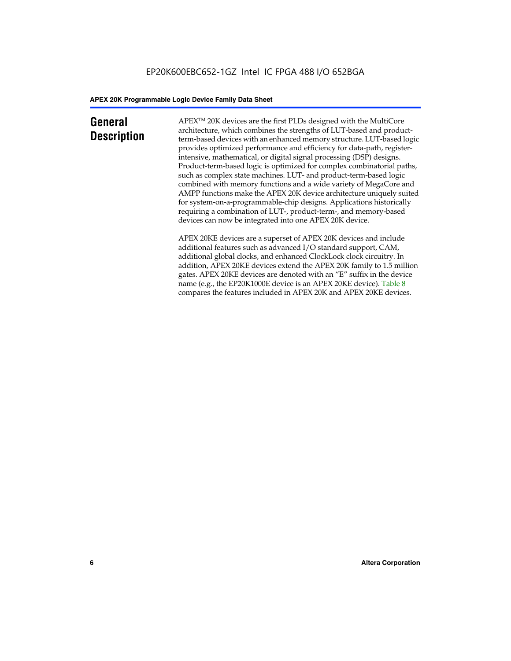## **General Description**

APEXTM 20K devices are the first PLDs designed with the MultiCore architecture, which combines the strengths of LUT-based and productterm-based devices with an enhanced memory structure. LUT-based logic provides optimized performance and efficiency for data-path, registerintensive, mathematical, or digital signal processing (DSP) designs. Product-term-based logic is optimized for complex combinatorial paths, such as complex state machines. LUT- and product-term-based logic combined with memory functions and a wide variety of MegaCore and AMPP functions make the APEX 20K device architecture uniquely suited for system-on-a-programmable-chip designs. Applications historically requiring a combination of LUT-, product-term-, and memory-based devices can now be integrated into one APEX 20K device.

APEX 20KE devices are a superset of APEX 20K devices and include additional features such as advanced I/O standard support, CAM, additional global clocks, and enhanced ClockLock clock circuitry. In addition, APEX 20KE devices extend the APEX 20K family to 1.5 million gates. APEX 20KE devices are denoted with an "E" suffix in the device name (e.g., the EP20K1000E device is an APEX 20KE device). Table 8 compares the features included in APEX 20K and APEX 20KE devices.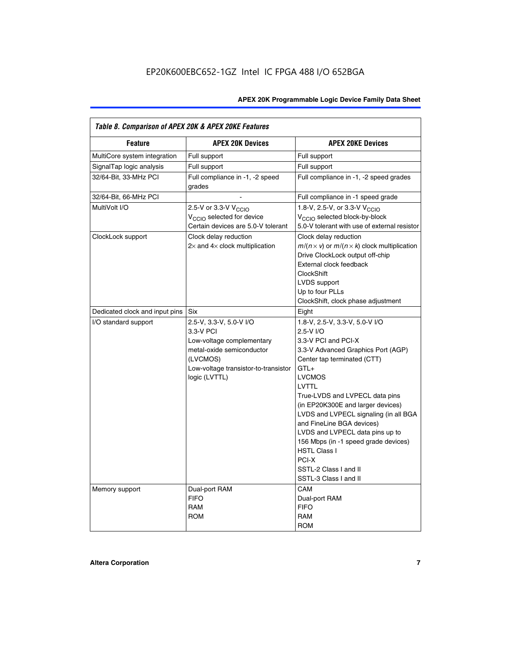| Table 8. Comparison of APEX 20K & APEX 20KE Features |                                                                                                                                                                     |                                                                                                                                                                                                                                                                                                                                                                                                                                                                                       |  |  |  |  |
|------------------------------------------------------|---------------------------------------------------------------------------------------------------------------------------------------------------------------------|---------------------------------------------------------------------------------------------------------------------------------------------------------------------------------------------------------------------------------------------------------------------------------------------------------------------------------------------------------------------------------------------------------------------------------------------------------------------------------------|--|--|--|--|
| <b>Feature</b>                                       | <b>APEX 20K Devices</b>                                                                                                                                             | <b>APEX 20KE Devices</b>                                                                                                                                                                                                                                                                                                                                                                                                                                                              |  |  |  |  |
| MultiCore system integration                         | Full support                                                                                                                                                        | Full support                                                                                                                                                                                                                                                                                                                                                                                                                                                                          |  |  |  |  |
| SignalTap logic analysis                             | Full support                                                                                                                                                        | Full support                                                                                                                                                                                                                                                                                                                                                                                                                                                                          |  |  |  |  |
| 32/64-Bit, 33-MHz PCI                                | Full compliance in -1, -2 speed<br>grades                                                                                                                           | Full compliance in -1, -2 speed grades                                                                                                                                                                                                                                                                                                                                                                                                                                                |  |  |  |  |
| 32/64-Bit, 66-MHz PCI                                |                                                                                                                                                                     | Full compliance in -1 speed grade                                                                                                                                                                                                                                                                                                                                                                                                                                                     |  |  |  |  |
| MultiVolt I/O                                        | 2.5-V or 3.3-V V <sub>CCIO</sub><br>V <sub>CCIO</sub> selected for device<br>Certain devices are 5.0-V tolerant                                                     | 1.8-V, 2.5-V, or 3.3-V V <sub>CCIO</sub><br>V <sub>CCIO</sub> selected block-by-block<br>5.0-V tolerant with use of external resistor                                                                                                                                                                                                                                                                                                                                                 |  |  |  |  |
| ClockLock support                                    | Clock delay reduction<br>$2\times$ and $4\times$ clock multiplication                                                                                               | Clock delay reduction<br>$m/(n \times v)$ or $m/(n \times k)$ clock multiplication<br>Drive ClockLock output off-chip<br>External clock feedback<br><b>ClockShift</b><br>LVDS support<br>Up to four PLLs<br>ClockShift, clock phase adjustment                                                                                                                                                                                                                                        |  |  |  |  |
| Dedicated clock and input pins                       | <b>Six</b>                                                                                                                                                          | Eight                                                                                                                                                                                                                                                                                                                                                                                                                                                                                 |  |  |  |  |
| I/O standard support                                 | 2.5-V, 3.3-V, 5.0-V I/O<br>3.3-V PCI<br>Low-voltage complementary<br>metal-oxide semiconductor<br>(LVCMOS)<br>Low-voltage transistor-to-transistor<br>logic (LVTTL) | 1.8-V, 2.5-V, 3.3-V, 5.0-V I/O<br>2.5-V I/O<br>3.3-V PCI and PCI-X<br>3.3-V Advanced Graphics Port (AGP)<br>Center tap terminated (CTT)<br>$GTL+$<br><b>LVCMOS</b><br>LVTTL<br>True-LVDS and LVPECL data pins<br>(in EP20K300E and larger devices)<br>LVDS and LVPECL signaling (in all BGA<br>and FineLine BGA devices)<br>LVDS and LVPECL data pins up to<br>156 Mbps (in -1 speed grade devices)<br><b>HSTL Class I</b><br>PCI-X<br>SSTL-2 Class I and II<br>SSTL-3 Class I and II |  |  |  |  |
| Memory support                                       | Dual-port RAM<br><b>FIFO</b><br><b>RAM</b><br><b>ROM</b>                                                                                                            | CAM<br>Dual-port RAM<br><b>FIFO</b><br>RAM<br><b>ROM</b>                                                                                                                                                                                                                                                                                                                                                                                                                              |  |  |  |  |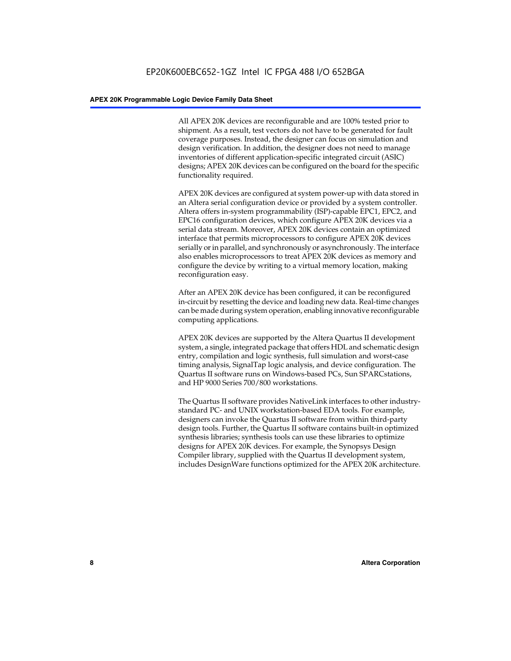All APEX 20K devices are reconfigurable and are 100% tested prior to shipment. As a result, test vectors do not have to be generated for fault coverage purposes. Instead, the designer can focus on simulation and design verification. In addition, the designer does not need to manage inventories of different application-specific integrated circuit (ASIC) designs; APEX 20K devices can be configured on the board for the specific functionality required.

APEX 20K devices are configured at system power-up with data stored in an Altera serial configuration device or provided by a system controller. Altera offers in-system programmability (ISP)-capable EPC1, EPC2, and EPC16 configuration devices, which configure APEX 20K devices via a serial data stream. Moreover, APEX 20K devices contain an optimized interface that permits microprocessors to configure APEX 20K devices serially or in parallel, and synchronously or asynchronously. The interface also enables microprocessors to treat APEX 20K devices as memory and configure the device by writing to a virtual memory location, making reconfiguration easy.

After an APEX 20K device has been configured, it can be reconfigured in-circuit by resetting the device and loading new data. Real-time changes can be made during system operation, enabling innovative reconfigurable computing applications.

APEX 20K devices are supported by the Altera Quartus II development system, a single, integrated package that offers HDL and schematic design entry, compilation and logic synthesis, full simulation and worst-case timing analysis, SignalTap logic analysis, and device configuration. The Quartus II software runs on Windows-based PCs, Sun SPARCstations, and HP 9000 Series 700/800 workstations.

The Quartus II software provides NativeLink interfaces to other industrystandard PC- and UNIX workstation-based EDA tools. For example, designers can invoke the Quartus II software from within third-party design tools. Further, the Quartus II software contains built-in optimized synthesis libraries; synthesis tools can use these libraries to optimize designs for APEX 20K devices. For example, the Synopsys Design Compiler library, supplied with the Quartus II development system, includes DesignWare functions optimized for the APEX 20K architecture.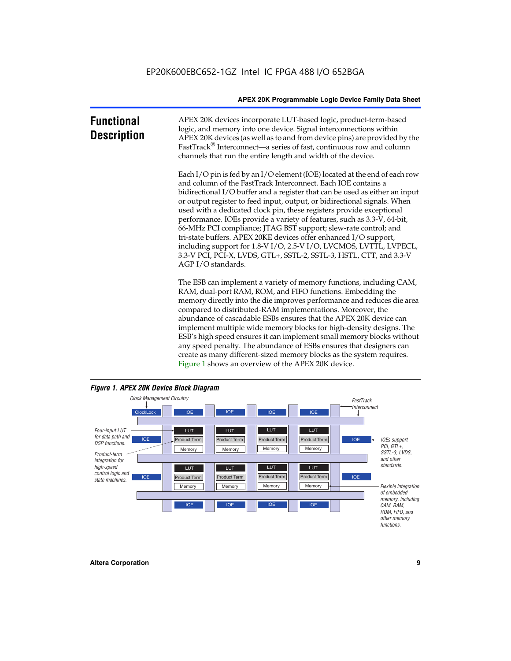| <b>Functional</b><br><b>Description</b> | APEX 20K devices incorporate LUT-based logic, product-term-based<br>logic, and memory into one device. Signal interconnections within<br>APEX 20K devices (as well as to and from device pins) are provided by the<br>FastTrack <sup>®</sup> Interconnect—a series of fast, continuous row and column<br>channels that run the entire length and width of the device.                                                                                                                                                                                                                                                                                                                                                                                              |
|-----------------------------------------|--------------------------------------------------------------------------------------------------------------------------------------------------------------------------------------------------------------------------------------------------------------------------------------------------------------------------------------------------------------------------------------------------------------------------------------------------------------------------------------------------------------------------------------------------------------------------------------------------------------------------------------------------------------------------------------------------------------------------------------------------------------------|
|                                         | Each I/O pin is fed by an I/O element (IOE) located at the end of each row<br>and column of the FastTrack Interconnect. Each IOE contains a<br>bidirectional I/O buffer and a register that can be used as either an input<br>or output register to feed input, output, or bidirectional signals. When<br>used with a dedicated clock pin, these registers provide exceptional<br>performance. IOEs provide a variety of features, such as 3.3-V, 64-bit,<br>66-MHz PCI compliance; JTAG BST support; slew-rate control; and<br>tri-state buffers. APEX 20KE devices offer enhanced I/O support,<br>including support for 1.8-V I/O, 2.5-V I/O, LVCMOS, LVTTL, LVPECL,<br>3.3-V PCI, PCI-X, LVDS, GTL+, SSTL-2, SSTL-3, HSTL, CTT, and 3.3-V<br>AGP I/O standards. |
|                                         | The ESB can implement a variety of memory functions, including CAM,<br>RAM, dual-port RAM, ROM, and FIFO functions. Embedding the<br>memory directly into the die improves performance and reduces die area<br>compared to distributed-RAM implementations. Moreover, the<br>abundance of cascadable ESBs ensures that the APEX 20K device can<br>implement multiple wide memory blocks for high-density designs. The<br>ESB's high speed ensures it can implement small memory blocks without<br>any speed penalty. The abundance of ESBs ensures that designers can                                                                                                                                                                                              |



create as many different-sized memory blocks as the system requires.

Figure 1 shows an overview of the APEX 20K device.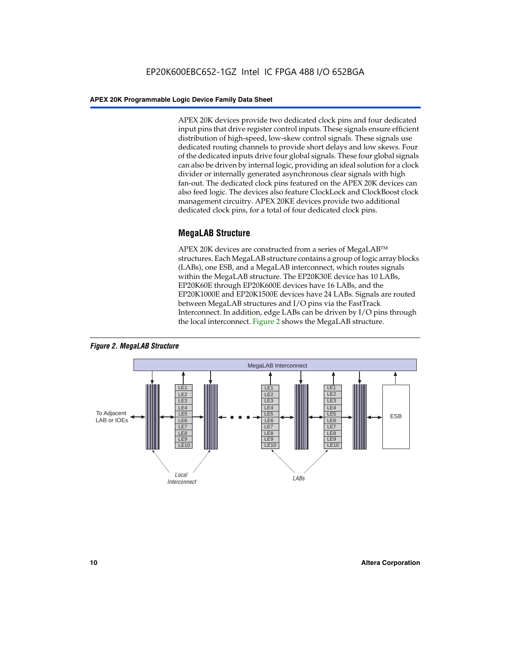APEX 20K devices provide two dedicated clock pins and four dedicated input pins that drive register control inputs. These signals ensure efficient distribution of high-speed, low-skew control signals. These signals use dedicated routing channels to provide short delays and low skews. Four of the dedicated inputs drive four global signals. These four global signals can also be driven by internal logic, providing an ideal solution for a clock divider or internally generated asynchronous clear signals with high fan-out. The dedicated clock pins featured on the APEX 20K devices can also feed logic. The devices also feature ClockLock and ClockBoost clock management circuitry. APEX 20KE devices provide two additional dedicated clock pins, for a total of four dedicated clock pins.

#### **MegaLAB Structure**

APEX 20K devices are constructed from a series of MegaLAB<sup>™</sup> structures. Each MegaLAB structure contains a group of logic array blocks (LABs), one ESB, and a MegaLAB interconnect, which routes signals within the MegaLAB structure. The EP20K30E device has 10 LABs, EP20K60E through EP20K600E devices have 16 LABs, and the EP20K1000E and EP20K1500E devices have 24 LABs. Signals are routed between MegaLAB structures and I/O pins via the FastTrack Interconnect. In addition, edge LABs can be driven by I/O pins through the local interconnect. Figure 2 shows the MegaLAB structure.



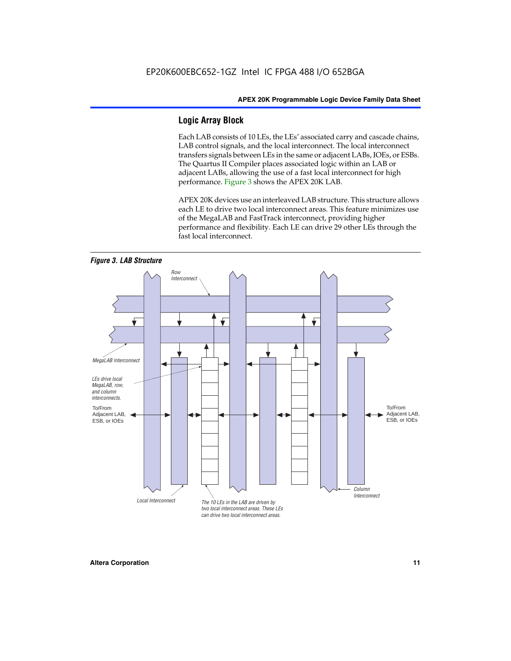#### **Logic Array Block**

Each LAB consists of 10 LEs, the LEs' associated carry and cascade chains, LAB control signals, and the local interconnect. The local interconnect transfers signals between LEs in the same or adjacent LABs, IOEs, or ESBs. The Quartus II Compiler places associated logic within an LAB or adjacent LABs, allowing the use of a fast local interconnect for high performance. Figure 3 shows the APEX 20K LAB.

APEX 20K devices use an interleaved LAB structure. This structure allows each LE to drive two local interconnect areas. This feature minimizes use of the MegaLAB and FastTrack interconnect, providing higher performance and flexibility. Each LE can drive 29 other LEs through the fast local interconnect.

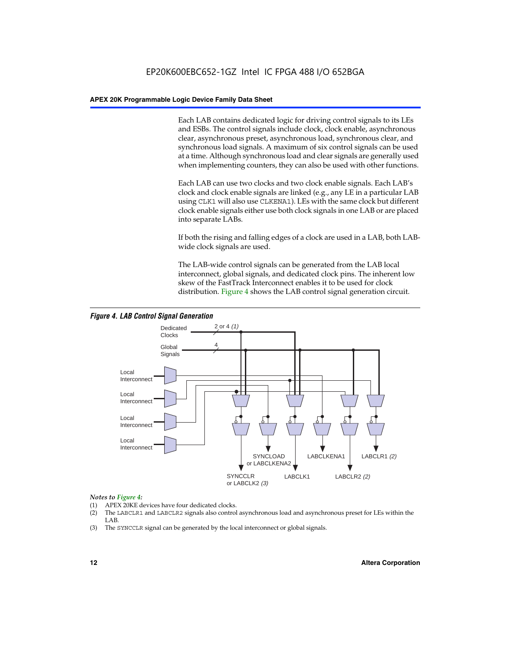Each LAB contains dedicated logic for driving control signals to its LEs and ESBs. The control signals include clock, clock enable, asynchronous clear, asynchronous preset, asynchronous load, synchronous clear, and synchronous load signals. A maximum of six control signals can be used at a time. Although synchronous load and clear signals are generally used when implementing counters, they can also be used with other functions.

Each LAB can use two clocks and two clock enable signals. Each LAB's clock and clock enable signals are linked (e.g., any LE in a particular LAB using CLK1 will also use CLKENA1). LEs with the same clock but different clock enable signals either use both clock signals in one LAB or are placed into separate LABs.

If both the rising and falling edges of a clock are used in a LAB, both LABwide clock signals are used.

The LAB-wide control signals can be generated from the LAB local interconnect, global signals, and dedicated clock pins. The inherent low skew of the FastTrack Interconnect enables it to be used for clock distribution. Figure 4 shows the LAB control signal generation circuit.



#### *Figure 4. LAB Control Signal Generation*

#### *Notes to Figure 4:*

- (1) APEX 20KE devices have four dedicated clocks.
- (2) The LABCLR1 and LABCLR2 signals also control asynchronous load and asynchronous preset for LEs within the LAB.
- (3) The SYNCCLR signal can be generated by the local interconnect or global signals.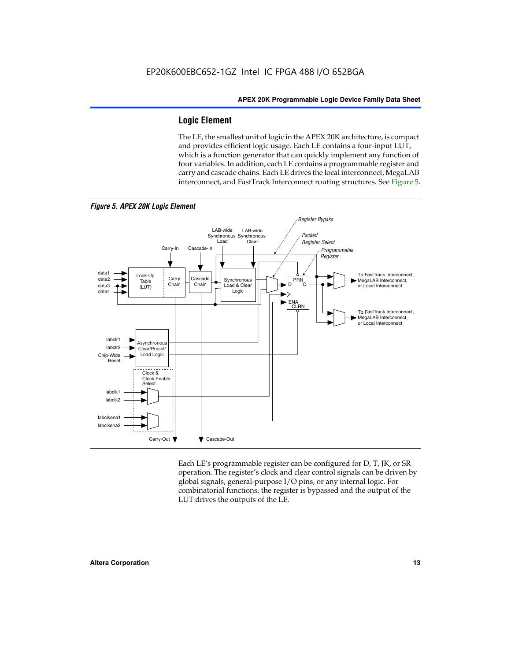#### **Logic Element**

The LE, the smallest unit of logic in the APEX 20K architecture, is compact and provides efficient logic usage. Each LE contains a four-input LUT, which is a function generator that can quickly implement any function of four variables. In addition, each LE contains a programmable register and carry and cascade chains. Each LE drives the local interconnect, MegaLAB interconnect, and FastTrack Interconnect routing structures. See Figure 5.



Each LE's programmable register can be configured for D, T, JK, or SR operation. The register's clock and clear control signals can be driven by global signals, general-purpose I/O pins, or any internal logic. For combinatorial functions, the register is bypassed and the output of the LUT drives the outputs of the LE.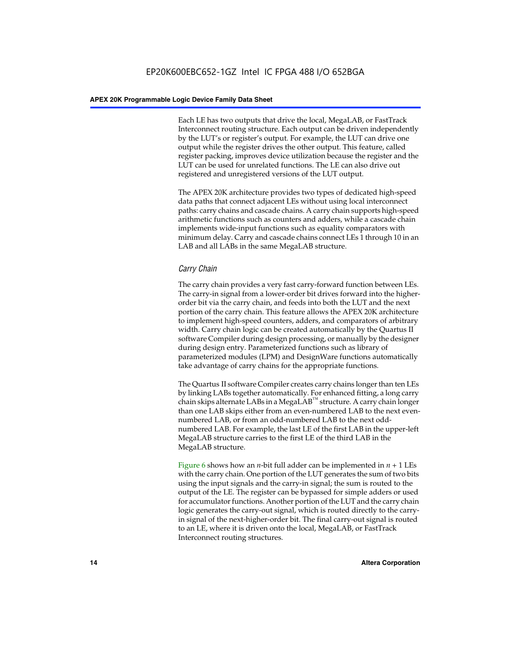Each LE has two outputs that drive the local, MegaLAB, or FastTrack Interconnect routing structure. Each output can be driven independently by the LUT's or register's output. For example, the LUT can drive one output while the register drives the other output. This feature, called register packing, improves device utilization because the register and the LUT can be used for unrelated functions. The LE can also drive out registered and unregistered versions of the LUT output.

The APEX 20K architecture provides two types of dedicated high-speed data paths that connect adjacent LEs without using local interconnect paths: carry chains and cascade chains. A carry chain supports high-speed arithmetic functions such as counters and adders, while a cascade chain implements wide-input functions such as equality comparators with minimum delay. Carry and cascade chains connect LEs 1 through 10 in an LAB and all LABs in the same MegaLAB structure.

#### *Carry Chain*

The carry chain provides a very fast carry-forward function between LEs. The carry-in signal from a lower-order bit drives forward into the higherorder bit via the carry chain, and feeds into both the LUT and the next portion of the carry chain. This feature allows the APEX 20K architecture to implement high-speed counters, adders, and comparators of arbitrary width. Carry chain logic can be created automatically by the Quartus II software Compiler during design processing, or manually by the designer during design entry. Parameterized functions such as library of parameterized modules (LPM) and DesignWare functions automatically take advantage of carry chains for the appropriate functions.

The Quartus II software Compiler creates carry chains longer than ten LEs by linking LABs together automatically. For enhanced fitting, a long carry chain skips alternate LABs in a MegaLAB<sup>™</sup> structure. A carry chain longer than one LAB skips either from an even-numbered LAB to the next evennumbered LAB, or from an odd-numbered LAB to the next oddnumbered LAB. For example, the last LE of the first LAB in the upper-left MegaLAB structure carries to the first LE of the third LAB in the MegaLAB structure.

Figure 6 shows how an *n*-bit full adder can be implemented in *n* + 1 LEs with the carry chain. One portion of the LUT generates the sum of two bits using the input signals and the carry-in signal; the sum is routed to the output of the LE. The register can be bypassed for simple adders or used for accumulator functions. Another portion of the LUT and the carry chain logic generates the carry-out signal, which is routed directly to the carryin signal of the next-higher-order bit. The final carry-out signal is routed to an LE, where it is driven onto the local, MegaLAB, or FastTrack Interconnect routing structures.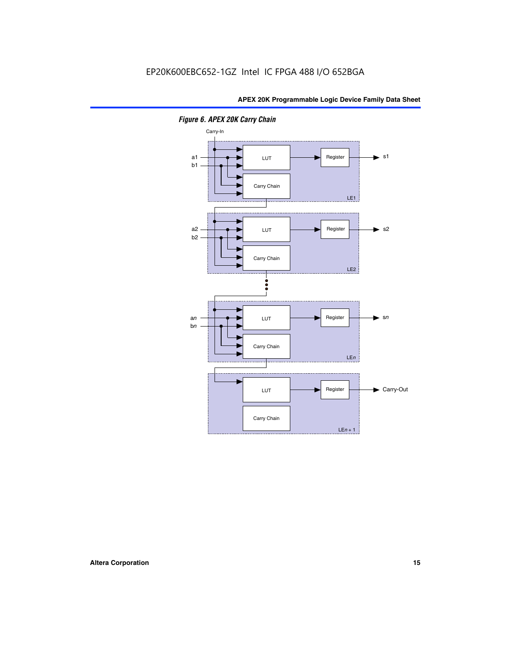

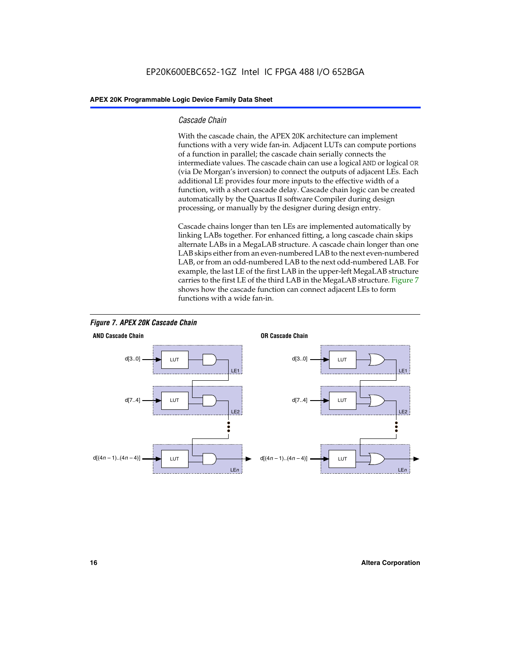#### *Cascade Chain*

With the cascade chain, the APEX 20K architecture can implement functions with a very wide fan-in. Adjacent LUTs can compute portions of a function in parallel; the cascade chain serially connects the intermediate values. The cascade chain can use a logical AND or logical OR (via De Morgan's inversion) to connect the outputs of adjacent LEs. Each additional LE provides four more inputs to the effective width of a function, with a short cascade delay. Cascade chain logic can be created automatically by the Quartus II software Compiler during design processing, or manually by the designer during design entry.

Cascade chains longer than ten LEs are implemented automatically by linking LABs together. For enhanced fitting, a long cascade chain skips alternate LABs in a MegaLAB structure. A cascade chain longer than one LAB skips either from an even-numbered LAB to the next even-numbered LAB, or from an odd-numbered LAB to the next odd-numbered LAB. For example, the last LE of the first LAB in the upper-left MegaLAB structure carries to the first LE of the third LAB in the MegaLAB structure. Figure 7 shows how the cascade function can connect adjacent LEs to form functions with a wide fan-in.



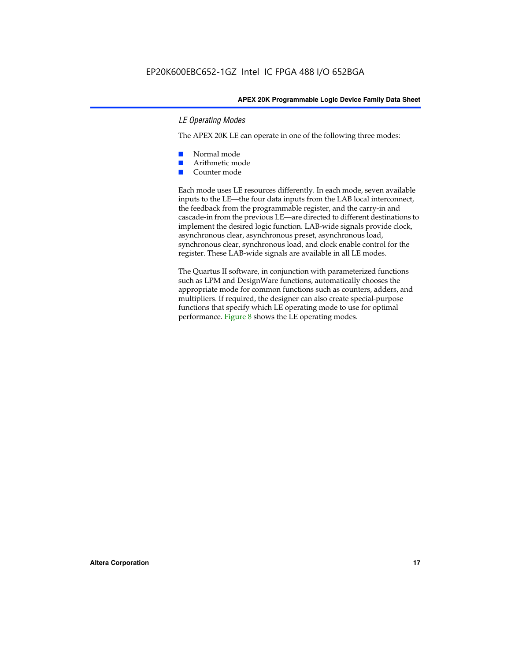#### *LE Operating Modes*

The APEX 20K LE can operate in one of the following three modes:

- Normal mode
- Arithmetic mode
- Counter mode

Each mode uses LE resources differently. In each mode, seven available inputs to the LE—the four data inputs from the LAB local interconnect, the feedback from the programmable register, and the carry-in and cascade-in from the previous LE—are directed to different destinations to implement the desired logic function. LAB-wide signals provide clock, asynchronous clear, asynchronous preset, asynchronous load, synchronous clear, synchronous load, and clock enable control for the register. These LAB-wide signals are available in all LE modes.

The Quartus II software, in conjunction with parameterized functions such as LPM and DesignWare functions, automatically chooses the appropriate mode for common functions such as counters, adders, and multipliers. If required, the designer can also create special-purpose functions that specify which LE operating mode to use for optimal performance. Figure 8 shows the LE operating modes.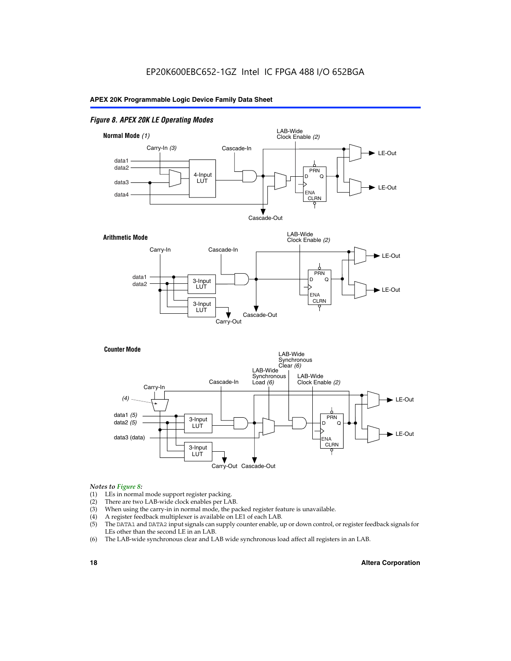#### *Figure 8. APEX 20K LE Operating Modes*



#### *Notes to Figure 8:*

- (1) LEs in normal mode support register packing.
- (2) There are two LAB-wide clock enables per LAB.
- (3) When using the carry-in in normal mode, the packed register feature is unavailable.
- (4) A register feedback multiplexer is available on LE1 of each LAB.
- (5) The DATA1 and DATA2 input signals can supply counter enable, up or down control, or register feedback signals for LEs other than the second LE in an LAB.
- (6) The LAB-wide synchronous clear and LAB wide synchronous load affect all registers in an LAB.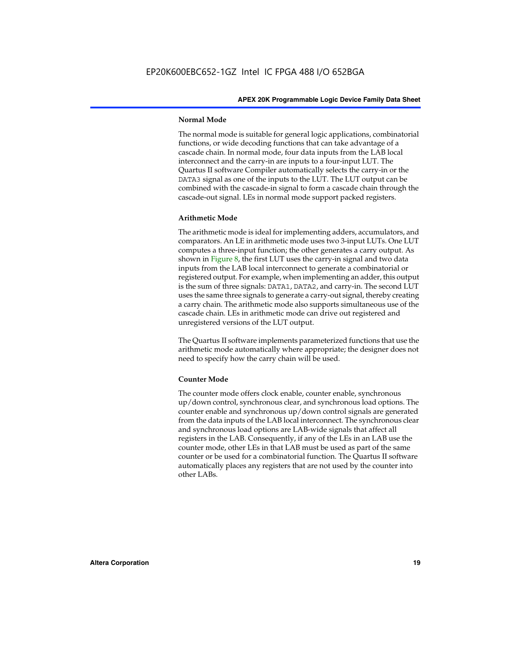#### **Normal Mode**

The normal mode is suitable for general logic applications, combinatorial functions, or wide decoding functions that can take advantage of a cascade chain. In normal mode, four data inputs from the LAB local interconnect and the carry-in are inputs to a four-input LUT. The Quartus II software Compiler automatically selects the carry-in or the DATA3 signal as one of the inputs to the LUT. The LUT output can be combined with the cascade-in signal to form a cascade chain through the cascade-out signal. LEs in normal mode support packed registers.

#### **Arithmetic Mode**

The arithmetic mode is ideal for implementing adders, accumulators, and comparators. An LE in arithmetic mode uses two 3-input LUTs. One LUT computes a three-input function; the other generates a carry output. As shown in Figure 8, the first LUT uses the carry-in signal and two data inputs from the LAB local interconnect to generate a combinatorial or registered output. For example, when implementing an adder, this output is the sum of three signals: DATA1, DATA2, and carry-in. The second LUT uses the same three signals to generate a carry-out signal, thereby creating a carry chain. The arithmetic mode also supports simultaneous use of the cascade chain. LEs in arithmetic mode can drive out registered and unregistered versions of the LUT output.

The Quartus II software implements parameterized functions that use the arithmetic mode automatically where appropriate; the designer does not need to specify how the carry chain will be used.

#### **Counter Mode**

The counter mode offers clock enable, counter enable, synchronous up/down control, synchronous clear, and synchronous load options. The counter enable and synchronous up/down control signals are generated from the data inputs of the LAB local interconnect. The synchronous clear and synchronous load options are LAB-wide signals that affect all registers in the LAB. Consequently, if any of the LEs in an LAB use the counter mode, other LEs in that LAB must be used as part of the same counter or be used for a combinatorial function. The Quartus II software automatically places any registers that are not used by the counter into other LABs.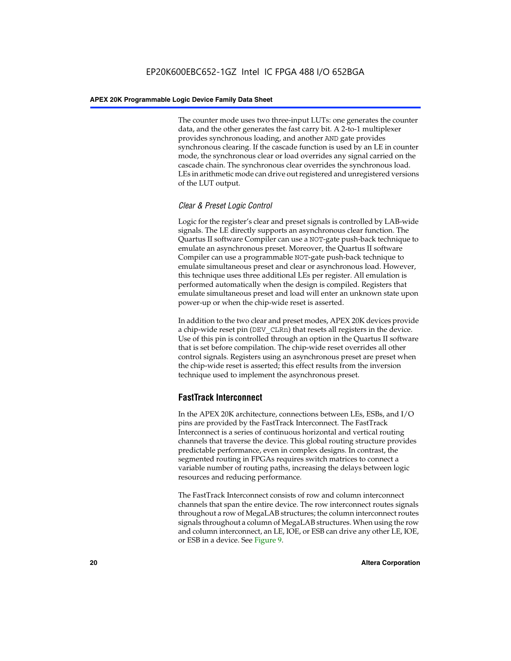The counter mode uses two three-input LUTs: one generates the counter data, and the other generates the fast carry bit. A 2-to-1 multiplexer provides synchronous loading, and another AND gate provides synchronous clearing. If the cascade function is used by an LE in counter mode, the synchronous clear or load overrides any signal carried on the cascade chain. The synchronous clear overrides the synchronous load. LEs in arithmetic mode can drive out registered and unregistered versions of the LUT output.

#### *Clear & Preset Logic Control*

Logic for the register's clear and preset signals is controlled by LAB-wide signals. The LE directly supports an asynchronous clear function. The Quartus II software Compiler can use a NOT-gate push-back technique to emulate an asynchronous preset. Moreover, the Quartus II software Compiler can use a programmable NOT-gate push-back technique to emulate simultaneous preset and clear or asynchronous load. However, this technique uses three additional LEs per register. All emulation is performed automatically when the design is compiled. Registers that emulate simultaneous preset and load will enter an unknown state upon power-up or when the chip-wide reset is asserted.

In addition to the two clear and preset modes, APEX 20K devices provide a chip-wide reset pin (DEV\_CLRn) that resets all registers in the device. Use of this pin is controlled through an option in the Quartus II software that is set before compilation. The chip-wide reset overrides all other control signals. Registers using an asynchronous preset are preset when the chip-wide reset is asserted; this effect results from the inversion technique used to implement the asynchronous preset.

#### **FastTrack Interconnect**

In the APEX 20K architecture, connections between LEs, ESBs, and I/O pins are provided by the FastTrack Interconnect. The FastTrack Interconnect is a series of continuous horizontal and vertical routing channels that traverse the device. This global routing structure provides predictable performance, even in complex designs. In contrast, the segmented routing in FPGAs requires switch matrices to connect a variable number of routing paths, increasing the delays between logic resources and reducing performance.

The FastTrack Interconnect consists of row and column interconnect channels that span the entire device. The row interconnect routes signals throughout a row of MegaLAB structures; the column interconnect routes signals throughout a column of MegaLAB structures. When using the row and column interconnect, an LE, IOE, or ESB can drive any other LE, IOE, or ESB in a device. See Figure 9.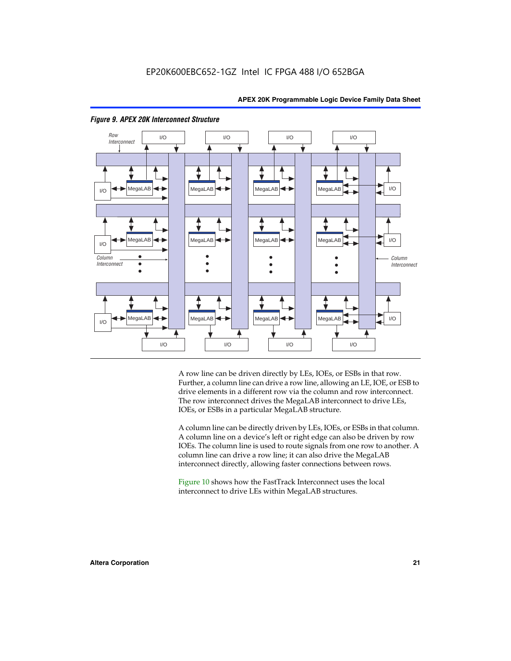



#### *Figure 9. APEX 20K Interconnect Structure*

A row line can be driven directly by LEs, IOEs, or ESBs in that row. Further, a column line can drive a row line, allowing an LE, IOE, or ESB to drive elements in a different row via the column and row interconnect. The row interconnect drives the MegaLAB interconnect to drive LEs, IOEs, or ESBs in a particular MegaLAB structure.

A column line can be directly driven by LEs, IOEs, or ESBs in that column. A column line on a device's left or right edge can also be driven by row IOEs. The column line is used to route signals from one row to another. A column line can drive a row line; it can also drive the MegaLAB interconnect directly, allowing faster connections between rows.

Figure 10 shows how the FastTrack Interconnect uses the local interconnect to drive LEs within MegaLAB structures.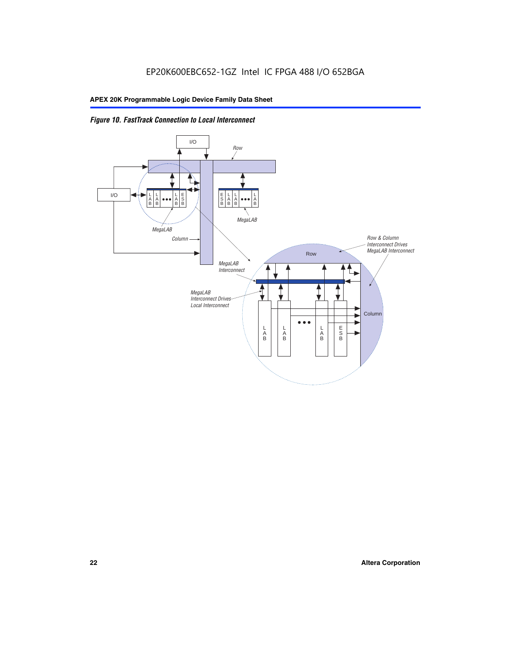

*Figure 10. FastTrack Connection to Local Interconnect*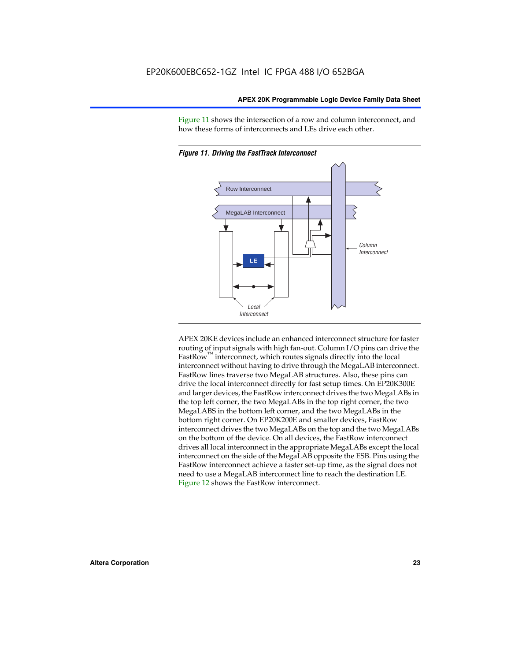Figure 11 shows the intersection of a row and column interconnect, and how these forms of interconnects and LEs drive each other.



*Figure 11. Driving the FastTrack Interconnect*

APEX 20KE devices include an enhanced interconnect structure for faster routing of input signals with high fan-out. Column I/O pins can drive the FastRow<sup>™</sup> interconnect, which routes signals directly into the local interconnect without having to drive through the MegaLAB interconnect. FastRow lines traverse two MegaLAB structures. Also, these pins can drive the local interconnect directly for fast setup times. On EP20K300E and larger devices, the FastRow interconnect drives the two MegaLABs in the top left corner, the two MegaLABs in the top right corner, the two MegaLABS in the bottom left corner, and the two MegaLABs in the bottom right corner. On EP20K200E and smaller devices, FastRow interconnect drives the two MegaLABs on the top and the two MegaLABs on the bottom of the device. On all devices, the FastRow interconnect drives all local interconnect in the appropriate MegaLABs except the local interconnect on the side of the MegaLAB opposite the ESB. Pins using the FastRow interconnect achieve a faster set-up time, as the signal does not need to use a MegaLAB interconnect line to reach the destination LE. Figure 12 shows the FastRow interconnect.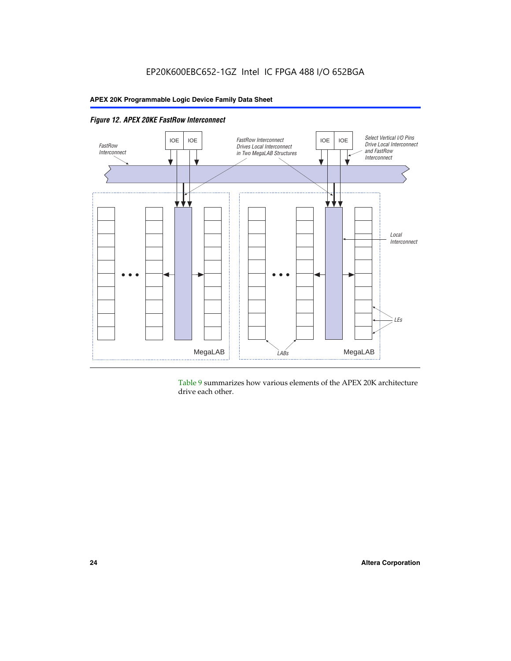

*Figure 12. APEX 20KE FastRow Interconnect*

Table 9 summarizes how various elements of the APEX 20K architecture drive each other.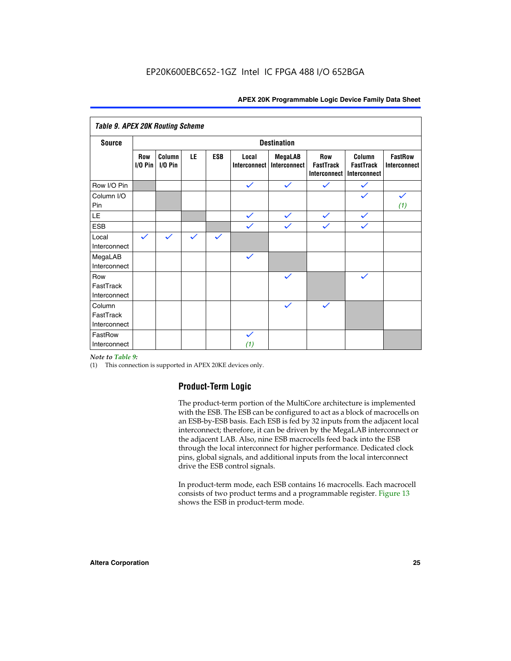| <b>Table 9. APEX 20K Routing Scheme</b> |                          |                      |              |              |                              |                                |                                                |                                            |                                |
|-----------------------------------------|--------------------------|----------------------|--------------|--------------|------------------------------|--------------------------------|------------------------------------------------|--------------------------------------------|--------------------------------|
| <b>Source</b>                           |                          | <b>Destination</b>   |              |              |                              |                                |                                                |                                            |                                |
|                                         | <b>Row</b><br>$I/O P$ in | Column<br>$I/O P$ in | LE           | <b>ESB</b>   | Local<br><b>Interconnect</b> | <b>MegaLAB</b><br>Interconnect | <b>Row</b><br><b>FastTrack</b><br>Interconnect | Column<br><b>FastTrack</b><br>Interconnect | <b>FastRow</b><br>Interconnect |
| Row I/O Pin                             |                          |                      |              |              | $\checkmark$                 | $\checkmark$                   | $\checkmark$                                   | $\checkmark$                               |                                |
| Column I/O<br>Pin                       |                          |                      |              |              |                              |                                |                                                | $\checkmark$                               | $\checkmark$<br>(1)            |
| LE                                      |                          |                      |              |              | $\checkmark$                 | $\checkmark$                   | $\checkmark$                                   | $\checkmark$                               |                                |
| <b>ESB</b>                              |                          |                      |              |              | $\checkmark$                 | $\checkmark$                   | $\checkmark$                                   | $\checkmark$                               |                                |
| Local<br>Interconnect                   | $\checkmark$             | $\checkmark$         | $\checkmark$ | $\checkmark$ |                              |                                |                                                |                                            |                                |
| MegaLAB<br>Interconnect                 |                          |                      |              |              | $\checkmark$                 |                                |                                                |                                            |                                |
| Row<br>FastTrack<br>Interconnect        |                          |                      |              |              |                              | $\checkmark$                   |                                                | $\checkmark$                               |                                |
| Column<br>FastTrack<br>Interconnect     |                          |                      |              |              |                              | $\checkmark$                   | $\checkmark$                                   |                                            |                                |
| FastRow<br>Interconnect                 |                          |                      |              |              | $\checkmark$<br>(1)          |                                |                                                |                                            |                                |

#### *Note to Table 9:*

(1) This connection is supported in APEX 20KE devices only.

#### **Product-Term Logic**

The product-term portion of the MultiCore architecture is implemented with the ESB. The ESB can be configured to act as a block of macrocells on an ESB-by-ESB basis. Each ESB is fed by 32 inputs from the adjacent local interconnect; therefore, it can be driven by the MegaLAB interconnect or the adjacent LAB. Also, nine ESB macrocells feed back into the ESB through the local interconnect for higher performance. Dedicated clock pins, global signals, and additional inputs from the local interconnect drive the ESB control signals.

In product-term mode, each ESB contains 16 macrocells. Each macrocell consists of two product terms and a programmable register. Figure 13 shows the ESB in product-term mode.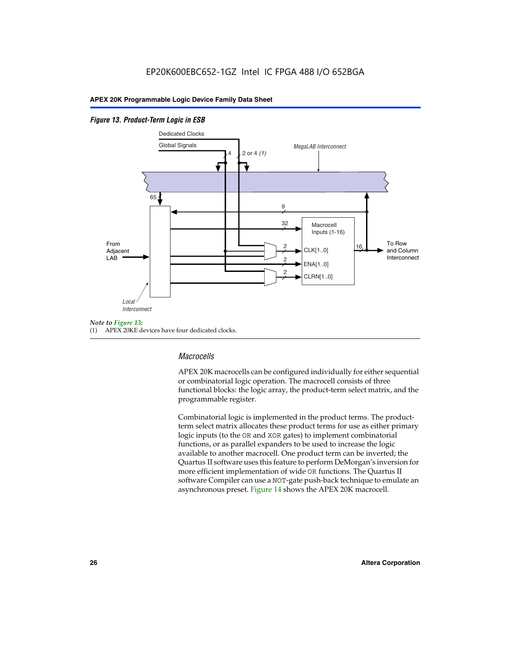#### *Figure 13. Product-Term Logic in ESB*



(1) APEX 20KE devices have four dedicated clocks.

#### *Macrocells*

APEX 20K macrocells can be configured individually for either sequential or combinatorial logic operation. The macrocell consists of three functional blocks: the logic array, the product-term select matrix, and the programmable register.

Combinatorial logic is implemented in the product terms. The productterm select matrix allocates these product terms for use as either primary logic inputs (to the OR and XOR gates) to implement combinatorial functions, or as parallel expanders to be used to increase the logic available to another macrocell. One product term can be inverted; the Quartus II software uses this feature to perform DeMorgan's inversion for more efficient implementation of wide OR functions. The Quartus II software Compiler can use a NOT-gate push-back technique to emulate an asynchronous preset. Figure 14 shows the APEX 20K macrocell.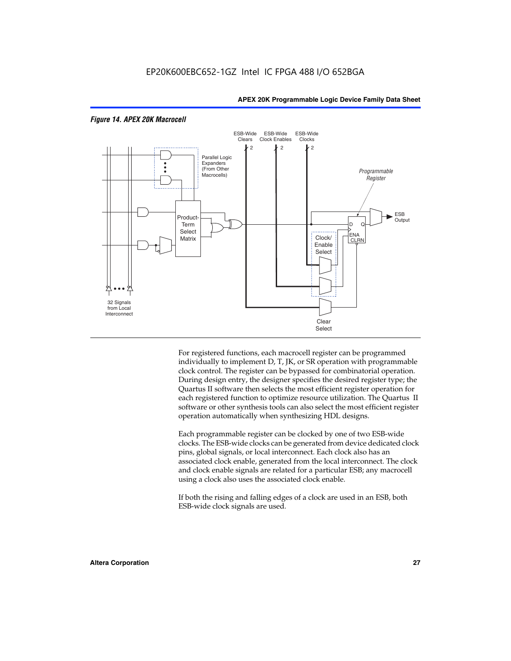

#### *Figure 14. APEX 20K Macrocell*

For registered functions, each macrocell register can be programmed individually to implement D, T, JK, or SR operation with programmable clock control. The register can be bypassed for combinatorial operation. During design entry, the designer specifies the desired register type; the Quartus II software then selects the most efficient register operation for each registered function to optimize resource utilization. The Quartus II software or other synthesis tools can also select the most efficient register operation automatically when synthesizing HDL designs.

Each programmable register can be clocked by one of two ESB-wide clocks. The ESB-wide clocks can be generated from device dedicated clock pins, global signals, or local interconnect. Each clock also has an associated clock enable, generated from the local interconnect. The clock and clock enable signals are related for a particular ESB; any macrocell using a clock also uses the associated clock enable.

If both the rising and falling edges of a clock are used in an ESB, both ESB-wide clock signals are used.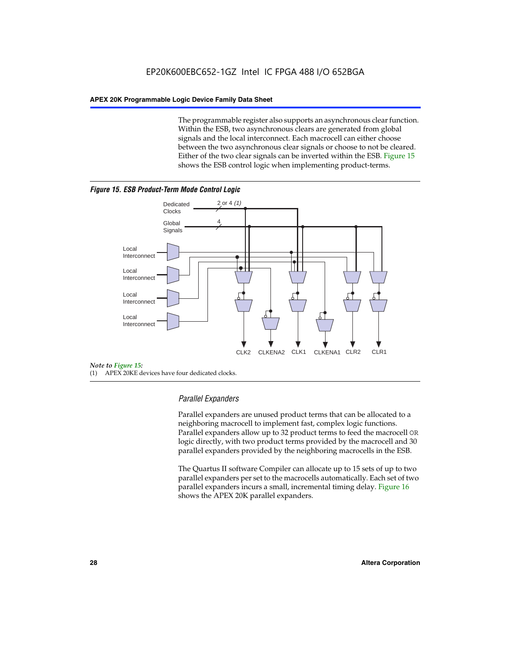The programmable register also supports an asynchronous clear function. Within the ESB, two asynchronous clears are generated from global signals and the local interconnect. Each macrocell can either choose between the two asynchronous clear signals or choose to not be cleared. Either of the two clear signals can be inverted within the ESB. Figure 15 shows the ESB control logic when implementing product-terms.





(1) APEX 20KE devices have four dedicated clocks.

#### *Parallel Expanders*

Parallel expanders are unused product terms that can be allocated to a neighboring macrocell to implement fast, complex logic functions. Parallel expanders allow up to 32 product terms to feed the macrocell OR logic directly, with two product terms provided by the macrocell and 30 parallel expanders provided by the neighboring macrocells in the ESB.

The Quartus II software Compiler can allocate up to 15 sets of up to two parallel expanders per set to the macrocells automatically. Each set of two parallel expanders incurs a small, incremental timing delay. Figure 16 shows the APEX 20K parallel expanders.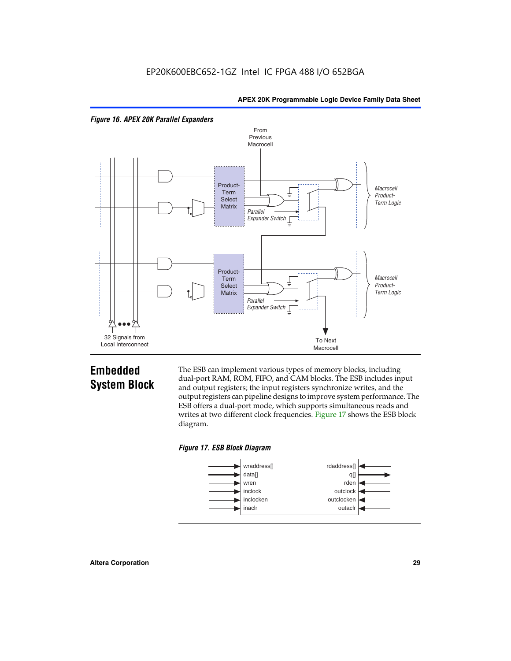



## **Embedded System Block**

The ESB can implement various types of memory blocks, including dual-port RAM, ROM, FIFO, and CAM blocks. The ESB includes input and output registers; the input registers synchronize writes, and the output registers can pipeline designs to improve system performance. The ESB offers a dual-port mode, which supports simultaneous reads and writes at two different clock frequencies. Figure 17 shows the ESB block diagram.



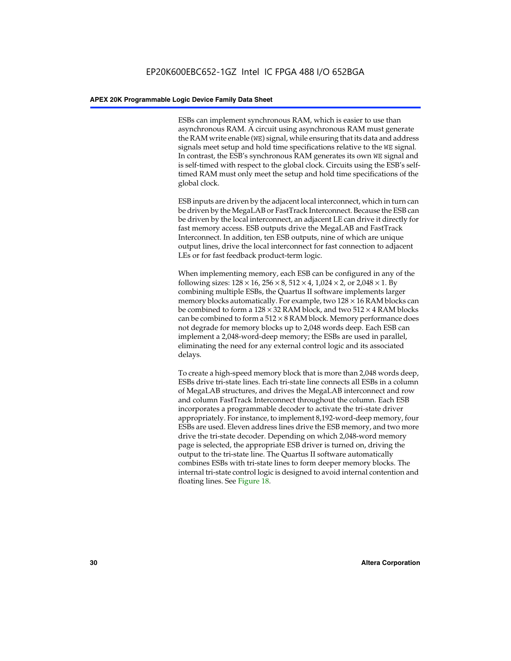ESBs can implement synchronous RAM, which is easier to use than asynchronous RAM. A circuit using asynchronous RAM must generate the RAM write enable (WE) signal, while ensuring that its data and address signals meet setup and hold time specifications relative to the WE signal. In contrast, the ESB's synchronous RAM generates its own WE signal and is self-timed with respect to the global clock. Circuits using the ESB's selftimed RAM must only meet the setup and hold time specifications of the global clock.

ESB inputs are driven by the adjacent local interconnect, which in turn can be driven by the MegaLAB or FastTrack Interconnect. Because the ESB can be driven by the local interconnect, an adjacent LE can drive it directly for fast memory access. ESB outputs drive the MegaLAB and FastTrack Interconnect. In addition, ten ESB outputs, nine of which are unique output lines, drive the local interconnect for fast connection to adjacent LEs or for fast feedback product-term logic.

When implementing memory, each ESB can be configured in any of the following sizes:  $128 \times 16$ ,  $256 \times 8$ ,  $512 \times 4$ ,  $1,024 \times 2$ , or  $2,048 \times 1$ . By combining multiple ESBs, the Quartus II software implements larger memory blocks automatically. For example, two  $128 \times 16$  RAM blocks can be combined to form a  $128 \times 32$  RAM block, and two  $512 \times 4$  RAM blocks can be combined to form a  $512 \times 8$  RAM block. Memory performance does not degrade for memory blocks up to 2,048 words deep. Each ESB can implement a 2,048-word-deep memory; the ESBs are used in parallel, eliminating the need for any external control logic and its associated delays.

To create a high-speed memory block that is more than 2,048 words deep, ESBs drive tri-state lines. Each tri-state line connects all ESBs in a column of MegaLAB structures, and drives the MegaLAB interconnect and row and column FastTrack Interconnect throughout the column. Each ESB incorporates a programmable decoder to activate the tri-state driver appropriately. For instance, to implement 8,192-word-deep memory, four ESBs are used. Eleven address lines drive the ESB memory, and two more drive the tri-state decoder. Depending on which 2,048-word memory page is selected, the appropriate ESB driver is turned on, driving the output to the tri-state line. The Quartus II software automatically combines ESBs with tri-state lines to form deeper memory blocks. The internal tri-state control logic is designed to avoid internal contention and floating lines. See Figure 18.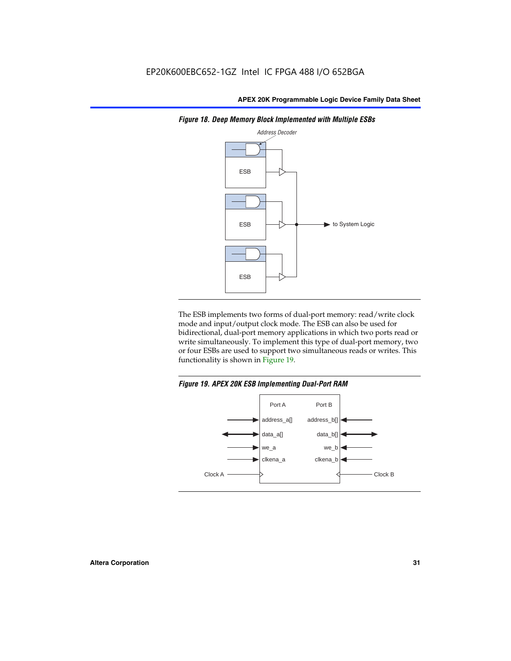

*Figure 18. Deep Memory Block Implemented with Multiple ESBs*

The ESB implements two forms of dual-port memory: read/write clock mode and input/output clock mode. The ESB can also be used for bidirectional, dual-port memory applications in which two ports read or write simultaneously. To implement this type of dual-port memory, two or four ESBs are used to support two simultaneous reads or writes. This functionality is shown in Figure 19.

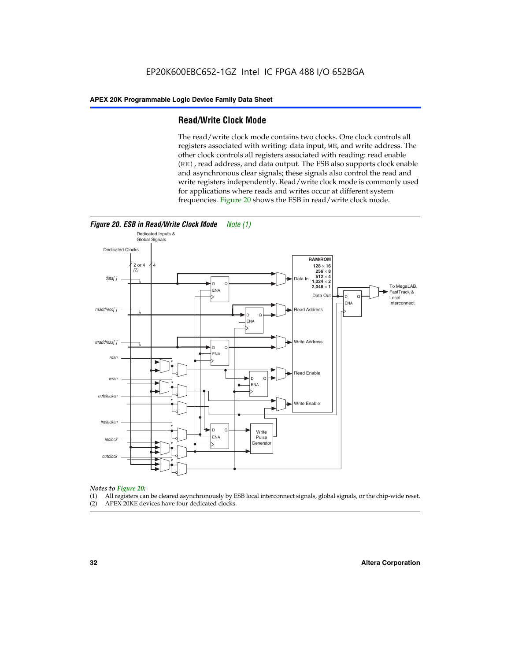#### **Read/Write Clock Mode**

The read/write clock mode contains two clocks. One clock controls all registers associated with writing: data input, WE, and write address. The other clock controls all registers associated with reading: read enable (RE), read address, and data output. The ESB also supports clock enable and asynchronous clear signals; these signals also control the read and write registers independently. Read/write clock mode is commonly used for applications where reads and writes occur at different system frequencies. Figure 20 shows the ESB in read/write clock mode.



## *Notes to Figure 20:*

- (1) All registers can be cleared asynchronously by ESB local interconnect signals, global signals, or the chip-wide reset.
- (2) APEX 20KE devices have four dedicated clocks.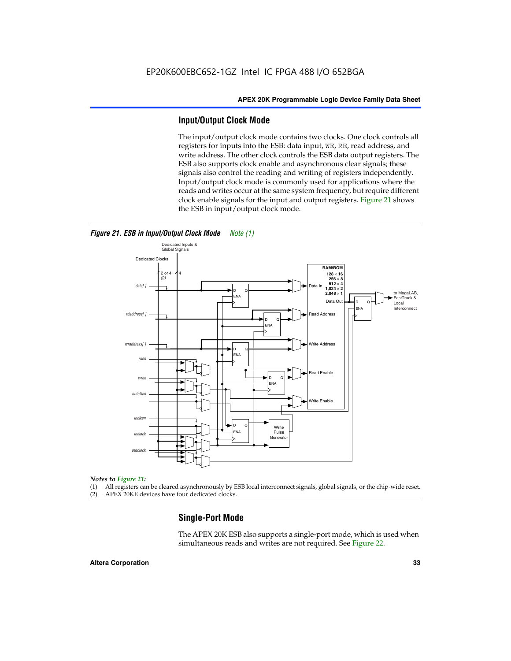#### **Input/Output Clock Mode**

The input/output clock mode contains two clocks. One clock controls all registers for inputs into the ESB: data input, WE, RE, read address, and write address. The other clock controls the ESB data output registers. The ESB also supports clock enable and asynchronous clear signals; these signals also control the reading and writing of registers independently. Input/output clock mode is commonly used for applications where the reads and writes occur at the same system frequency, but require different clock enable signals for the input and output registers. Figure 21 shows the ESB in input/output clock mode.



#### *Figure 21. ESB in Input/Output Clock Mode Note (1)*

#### *Notes to Figure 21:*

(1) All registers can be cleared asynchronously by ESB local interconnect signals, global signals, or the chip-wide reset.

(2) APEX 20KE devices have four dedicated clocks.

#### **Single-Port Mode**

The APEX 20K ESB also supports a single-port mode, which is used when simultaneous reads and writes are not required. See Figure 22.

#### **Altera Corporation 33**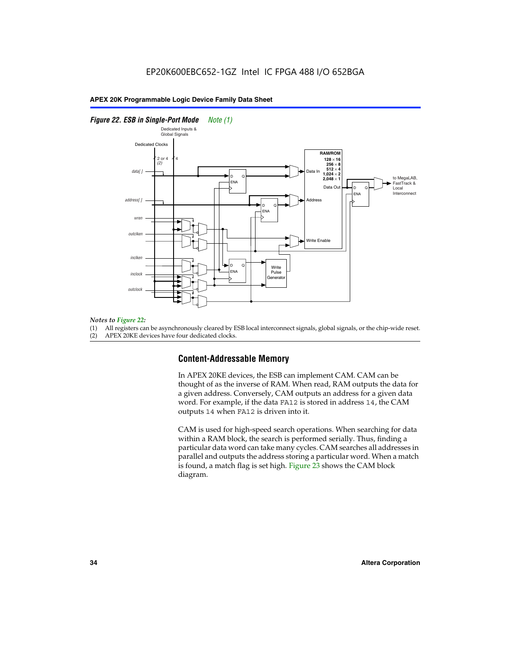#### *Figure 22. ESB in Single-Port Mode Note (1)*



#### *Notes to Figure 22:*

(1) All registers can be asynchronously cleared by ESB local interconnect signals, global signals, or the chip-wide reset.

(2) APEX 20KE devices have four dedicated clocks.

#### **Content-Addressable Memory**

In APEX 20KE devices, the ESB can implement CAM. CAM can be thought of as the inverse of RAM. When read, RAM outputs the data for a given address. Conversely, CAM outputs an address for a given data word. For example, if the data FA12 is stored in address 14, the CAM outputs 14 when FA12 is driven into it.

CAM is used for high-speed search operations. When searching for data within a RAM block, the search is performed serially. Thus, finding a particular data word can take many cycles. CAM searches all addresses in parallel and outputs the address storing a particular word. When a match is found, a match flag is set high. Figure 23 shows the CAM block diagram.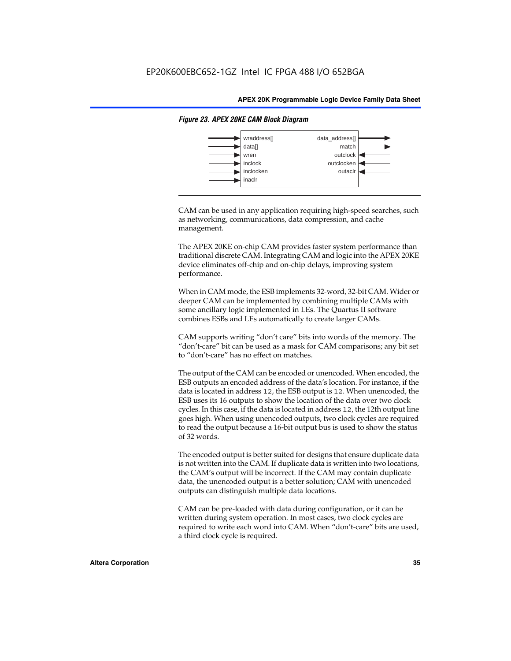

#### *Figure 23. APEX 20KE CAM Block Diagram*

CAM can be used in any application requiring high-speed searches, such as networking, communications, data compression, and cache management.

The APEX 20KE on-chip CAM provides faster system performance than traditional discrete CAM. Integrating CAM and logic into the APEX 20KE device eliminates off-chip and on-chip delays, improving system performance.

When in CAM mode, the ESB implements 32-word, 32-bit CAM. Wider or deeper CAM can be implemented by combining multiple CAMs with some ancillary logic implemented in LEs. The Quartus II software combines ESBs and LEs automatically to create larger CAMs.

CAM supports writing "don't care" bits into words of the memory. The "don't-care" bit can be used as a mask for CAM comparisons; any bit set to "don't-care" has no effect on matches.

The output of the CAM can be encoded or unencoded. When encoded, the ESB outputs an encoded address of the data's location. For instance, if the data is located in address 12, the ESB output is 12. When unencoded, the ESB uses its 16 outputs to show the location of the data over two clock cycles. In this case, if the data is located in address 12, the 12th output line goes high. When using unencoded outputs, two clock cycles are required to read the output because a 16-bit output bus is used to show the status of 32 words.

The encoded output is better suited for designs that ensure duplicate data is not written into the CAM. If duplicate data is written into two locations, the CAM's output will be incorrect. If the CAM may contain duplicate data, the unencoded output is a better solution; CAM with unencoded outputs can distinguish multiple data locations.

CAM can be pre-loaded with data during configuration, or it can be written during system operation. In most cases, two clock cycles are required to write each word into CAM. When "don't-care" bits are used, a third clock cycle is required.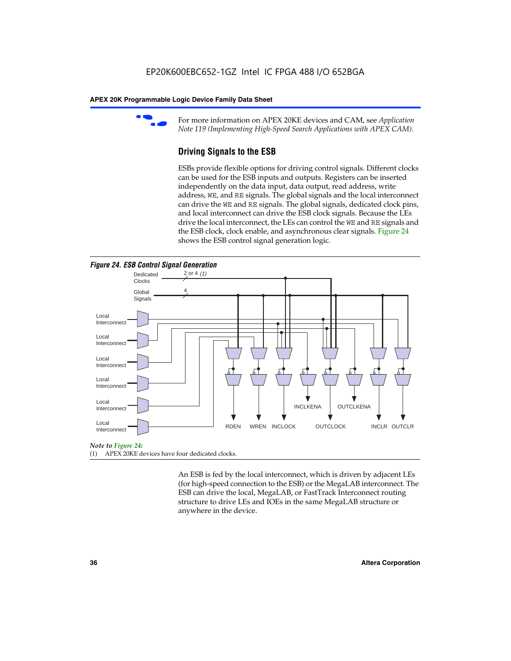

For more information on APEX 20KE devices and CAM, see *Application Note 119 (Implementing High-Speed Search Applications with APEX CAM).*

# **Driving Signals to the ESB**

ESBs provide flexible options for driving control signals. Different clocks can be used for the ESB inputs and outputs. Registers can be inserted independently on the data input, data output, read address, write address, WE, and RE signals. The global signals and the local interconnect can drive the WE and RE signals. The global signals, dedicated clock pins, and local interconnect can drive the ESB clock signals. Because the LEs drive the local interconnect, the LEs can control the WE and RE signals and the ESB clock, clock enable, and asynchronous clear signals. Figure 24 shows the ESB control signal generation logic.





#### *Note to Figure 24:*

(1) APEX 20KE devices have four dedicated clocks.

An ESB is fed by the local interconnect, which is driven by adjacent LEs (for high-speed connection to the ESB) or the MegaLAB interconnect. The ESB can drive the local, MegaLAB, or FastTrack Interconnect routing structure to drive LEs and IOEs in the same MegaLAB structure or anywhere in the device.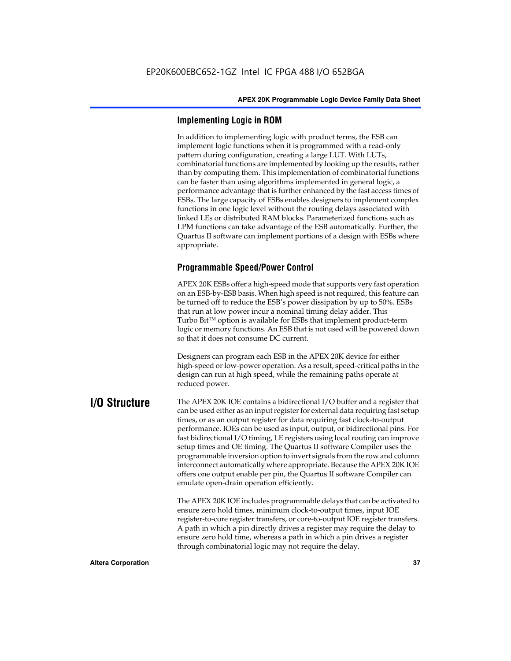# **Implementing Logic in ROM**

In addition to implementing logic with product terms, the ESB can implement logic functions when it is programmed with a read-only pattern during configuration, creating a large LUT. With LUTs, combinatorial functions are implemented by looking up the results, rather than by computing them. This implementation of combinatorial functions can be faster than using algorithms implemented in general logic, a performance advantage that is further enhanced by the fast access times of ESBs. The large capacity of ESBs enables designers to implement complex functions in one logic level without the routing delays associated with linked LEs or distributed RAM blocks. Parameterized functions such as LPM functions can take advantage of the ESB automatically. Further, the Quartus II software can implement portions of a design with ESBs where appropriate.

# **Programmable Speed/Power Control**

APEX 20K ESBs offer a high-speed mode that supports very fast operation on an ESB-by-ESB basis. When high speed is not required, this feature can be turned off to reduce the ESB's power dissipation by up to 50%. ESBs that run at low power incur a nominal timing delay adder. This Turbo  $Bit^{TM}$  option is available for ESBs that implement product-term logic or memory functions. An ESB that is not used will be powered down so that it does not consume DC current.

Designers can program each ESB in the APEX 20K device for either high-speed or low-power operation. As a result, speed-critical paths in the design can run at high speed, while the remaining paths operate at reduced power.

**I/O Structure** The APEX 20K IOE contains a bidirectional I/O buffer and a register that can be used either as an input register for external data requiring fast setup times, or as an output register for data requiring fast clock-to-output performance. IOEs can be used as input, output, or bidirectional pins. For fast bidirectional I/O timing, LE registers using local routing can improve setup times and OE timing. The Quartus II software Compiler uses the programmable inversion option to invert signals from the row and column interconnect automatically where appropriate. Because the APEX 20K IOE offers one output enable per pin, the Quartus II software Compiler can emulate open-drain operation efficiently.

> The APEX 20K IOE includes programmable delays that can be activated to ensure zero hold times, minimum clock-to-output times, input IOE register-to-core register transfers, or core-to-output IOE register transfers. A path in which a pin directly drives a register may require the delay to ensure zero hold time, whereas a path in which a pin drives a register through combinatorial logic may not require the delay.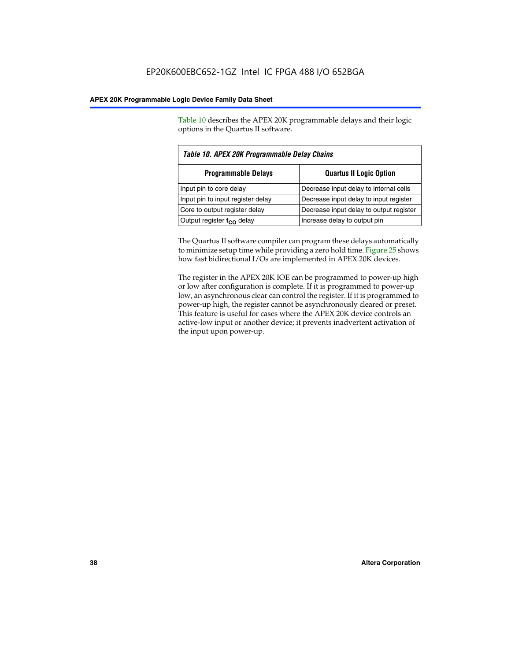Table 10 describes the APEX 20K programmable delays and their logic options in the Quartus II software.

| Table 10. APEX 20K Programmable Delay Chains |                                         |  |  |
|----------------------------------------------|-----------------------------------------|--|--|
| <b>Programmable Delays</b>                   | <b>Quartus II Logic Option</b>          |  |  |
| Input pin to core delay                      | Decrease input delay to internal cells  |  |  |
| Input pin to input register delay            | Decrease input delay to input register  |  |  |
| Core to output register delay                | Decrease input delay to output register |  |  |
| Output register $t_{\rm CO}$ delay           | Increase delay to output pin            |  |  |

The Quartus II software compiler can program these delays automatically to minimize setup time while providing a zero hold time. Figure 25 shows how fast bidirectional I/Os are implemented in APEX 20K devices.

The register in the APEX 20K IOE can be programmed to power-up high or low after configuration is complete. If it is programmed to power-up low, an asynchronous clear can control the register. If it is programmed to power-up high, the register cannot be asynchronously cleared or preset. This feature is useful for cases where the APEX 20K device controls an active-low input or another device; it prevents inadvertent activation of the input upon power-up.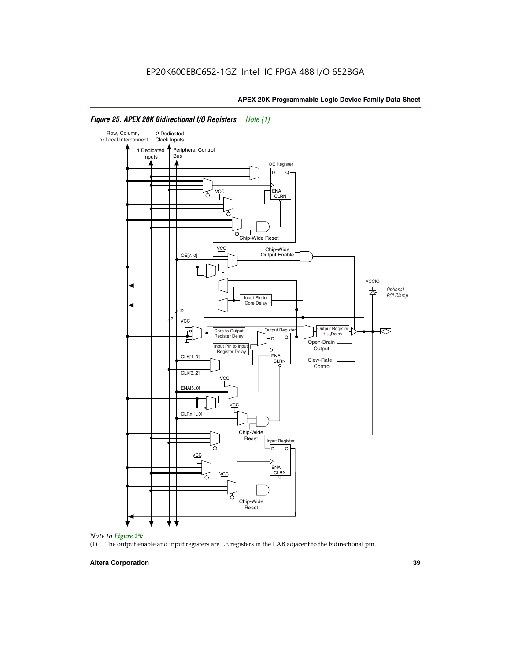

# *Figure 25. APEX 20K Bidirectional I/O Registers Note (1)*



#### **Altera Corporation 39**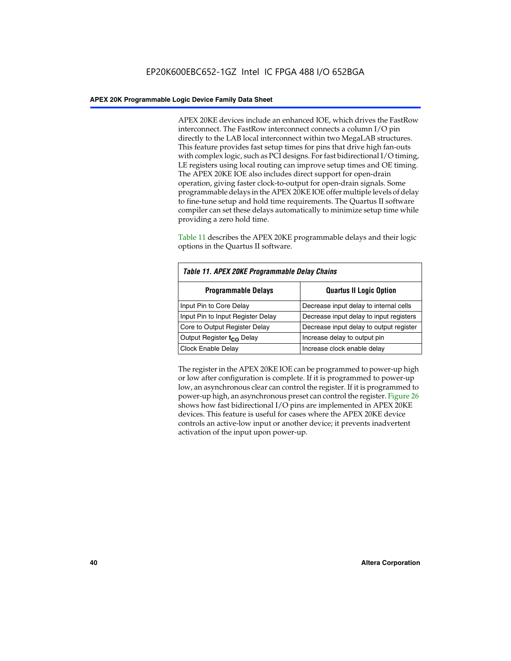APEX 20KE devices include an enhanced IOE, which drives the FastRow interconnect. The FastRow interconnect connects a column I/O pin directly to the LAB local interconnect within two MegaLAB structures. This feature provides fast setup times for pins that drive high fan-outs with complex logic, such as PCI designs. For fast bidirectional I/O timing, LE registers using local routing can improve setup times and OE timing. The APEX 20KE IOE also includes direct support for open-drain operation, giving faster clock-to-output for open-drain signals. Some programmable delays in the APEX 20KE IOE offer multiple levels of delay to fine-tune setup and hold time requirements. The Quartus II software compiler can set these delays automatically to minimize setup time while providing a zero hold time.

Table 11 describes the APEX 20KE programmable delays and their logic options in the Quartus II software.

| Table 11. APEX 20KE Programmable Delay Chains |                                         |  |  |  |
|-----------------------------------------------|-----------------------------------------|--|--|--|
| <b>Programmable Delays</b>                    | <b>Quartus II Logic Option</b>          |  |  |  |
| Input Pin to Core Delay                       | Decrease input delay to internal cells  |  |  |  |
| Input Pin to Input Register Delay             | Decrease input delay to input registers |  |  |  |
| Core to Output Register Delay                 | Decrease input delay to output register |  |  |  |
| Output Register t <sub>CO</sub> Delay         | Increase delay to output pin            |  |  |  |
| <b>Clock Enable Delay</b>                     | Increase clock enable delay             |  |  |  |

The register in the APEX 20KE IOE can be programmed to power-up high or low after configuration is complete. If it is programmed to power-up low, an asynchronous clear can control the register. If it is programmed to power-up high, an asynchronous preset can control the register. Figure 26 shows how fast bidirectional I/O pins are implemented in APEX 20KE devices. This feature is useful for cases where the APEX 20KE device controls an active-low input or another device; it prevents inadvertent activation of the input upon power-up.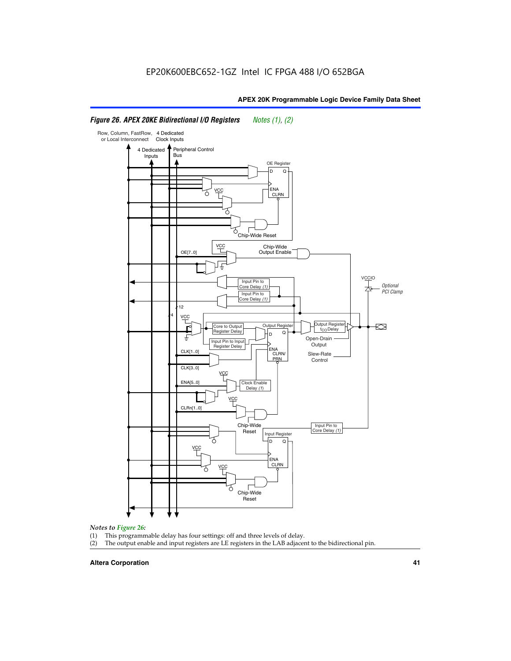#### Row, Column, FastRow, 4 Dedicated or Local Interconnect Clock Inputs Peripheral Control 4 Dedicated **Bus** Inputs OE Register D Q ENA VCC CLRN 7 Chip-Wide Reset YCC Chip-Wide Output Enable OE[7..0] VC Input Pin to **Optional** Core Delay (1) PCI Clamp Input Pin to Core Delay (1) 12 4 **VCC** Output Register **Output Registe**  $\approx$ Core to Output | Output Hegister | Durbut Tropieding | Contput Tropieding | Durbut Tropieding | Output Tropied<br>Register Delay | Durbut Tropieding | Contput Tropieding | Contput Tropieding | O t<sub>CO</sub>Delay  $D$  Q ŧ Open-Drain Input Pin to Input **Output** Register Delay ENA CLK[1..0] CLRN/ Slew-Rate PR<sub>N</sub> Control CLK[3..0] VCC ENA[5..0] Clock Enable Delay (1) VCC CLRn[1..0] Chip-Wide Input Pin to Core Delay (1) Reset Input Register D Q <u>vcc</u> .<br>ENA CLRN **VCC** Chip-Wide Reset

# *Figure 26. APEX 20KE Bidirectional I/O Registers Notes (1), (2)*

#### *Notes to Figure 26:*

- (1) This programmable delay has four settings: off and three levels of delay.<br>(2) The output enable and input registers are LE registers in the LAB adjacer
- The output enable and input registers are LE registers in the LAB adjacent to the bidirectional pin.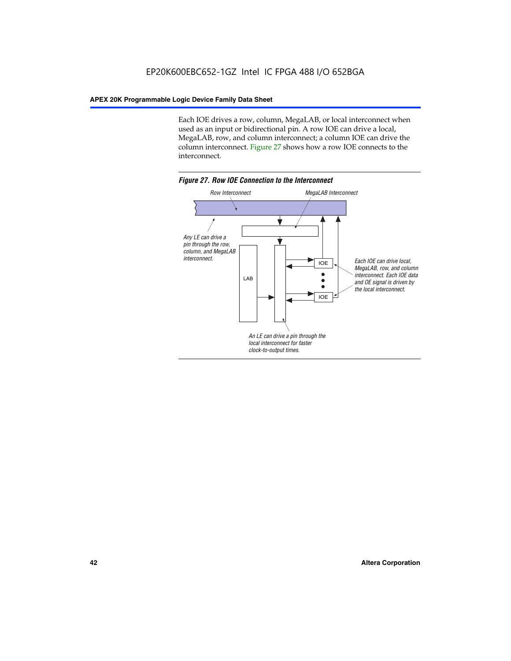Each IOE drives a row, column, MegaLAB, or local interconnect when used as an input or bidirectional pin. A row IOE can drive a local, MegaLAB, row, and column interconnect; a column IOE can drive the column interconnect. Figure 27 shows how a row IOE connects to the interconnect.

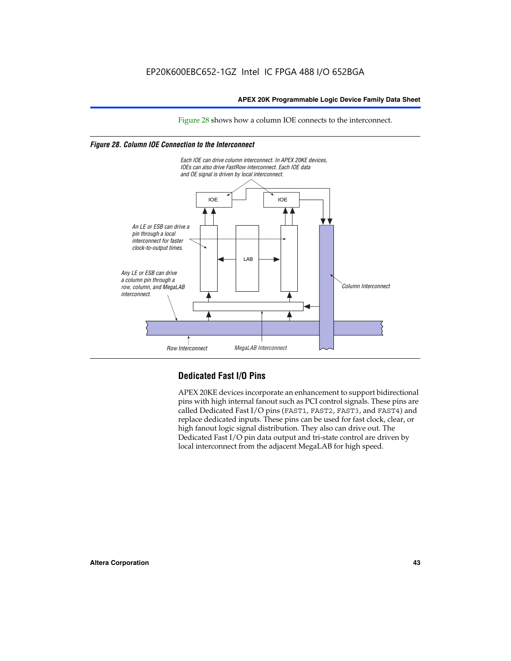Figure 28 shows how a column IOE connects to the interconnect.

# *Figure 28. Column IOE Connection to the Interconnect*



# **Dedicated Fast I/O Pins**

APEX 20KE devices incorporate an enhancement to support bidirectional pins with high internal fanout such as PCI control signals. These pins are called Dedicated Fast I/O pins (FAST1, FAST2, FAST3, and FAST4) and replace dedicated inputs. These pins can be used for fast clock, clear, or high fanout logic signal distribution. They also can drive out. The Dedicated Fast I/O pin data output and tri-state control are driven by local interconnect from the adjacent MegaLAB for high speed.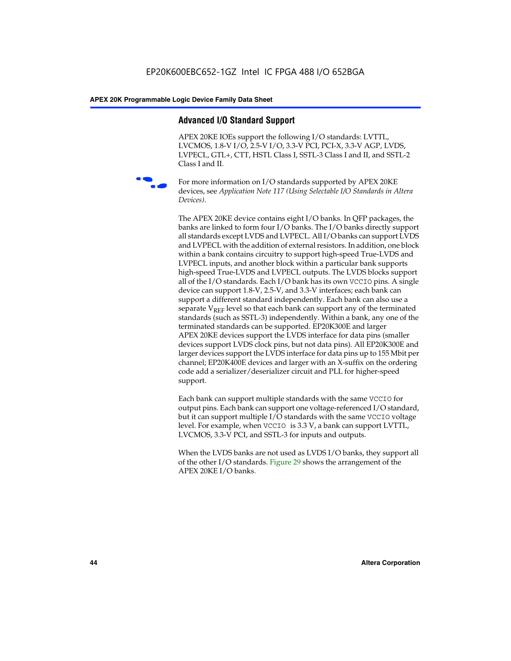# **Advanced I/O Standard Support**

APEX 20KE IOEs support the following I/O standards: LVTTL, LVCMOS, 1.8-V I/O, 2.5-V I/O, 3.3-V PCI, PCI-X, 3.3-V AGP, LVDS, LVPECL, GTL+, CTT, HSTL Class I, SSTL-3 Class I and II, and SSTL-2 Class I and II.



For more information on I/O standards supported by APEX 20KE devices, see *Application Note 117 (Using Selectable I/O Standards in Altera Devices)*.

The APEX 20KE device contains eight I/O banks. In QFP packages, the banks are linked to form four I/O banks. The I/O banks directly support all standards except LVDS and LVPECL. All I/O banks can support LVDS and LVPECL with the addition of external resistors. In addition, one block within a bank contains circuitry to support high-speed True-LVDS and LVPECL inputs, and another block within a particular bank supports high-speed True-LVDS and LVPECL outputs. The LVDS blocks support all of the I/O standards. Each I/O bank has its own VCCIO pins. A single device can support 1.8-V, 2.5-V, and 3.3-V interfaces; each bank can support a different standard independently. Each bank can also use a separate  $V_{\text{REF}}$  level so that each bank can support any of the terminated standards (such as SSTL-3) independently. Within a bank, any one of the terminated standards can be supported. EP20K300E and larger APEX 20KE devices support the LVDS interface for data pins (smaller devices support LVDS clock pins, but not data pins). All EP20K300E and larger devices support the LVDS interface for data pins up to 155 Mbit per channel; EP20K400E devices and larger with an X-suffix on the ordering code add a serializer/deserializer circuit and PLL for higher-speed support.

Each bank can support multiple standards with the same VCCIO for output pins. Each bank can support one voltage-referenced I/O standard, but it can support multiple I/O standards with the same VCCIO voltage level. For example, when VCCIO is 3.3 V, a bank can support LVTTL, LVCMOS, 3.3-V PCI, and SSTL-3 for inputs and outputs.

When the LVDS banks are not used as LVDS I/O banks, they support all of the other I/O standards. Figure 29 shows the arrangement of the APEX 20KE I/O banks.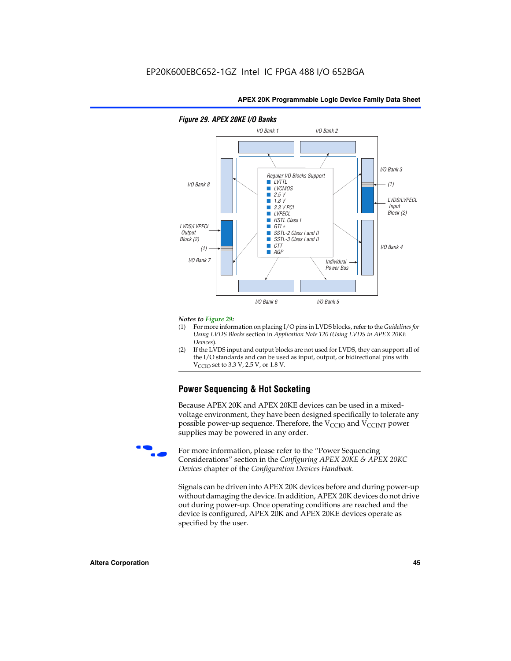

## *Figure 29. APEX 20KE I/O Banks*

#### *Notes to Figure 29:*

- (1) For more information on placing I/O pins in LVDS blocks, refer to the *Guidelines for Using LVDS Blocks* section in *Application Note 120 (Using LVDS in APEX 20KE Devices*).
- (2) If the LVDS input and output blocks are not used for LVDS, they can support all of the I/O standards and can be used as input, output, or bidirectional pins with  $V_{\text{C} \cap \text{O}}$  set to 3.3 V, 2.5 V, or 1.8 V.

# **Power Sequencing & Hot Socketing**

Because APEX 20K and APEX 20KE devices can be used in a mixedvoltage environment, they have been designed specifically to tolerate any possible power-up sequence. Therefore, the  $V_{\text{CCIO}}$  and  $V_{\text{CCINT}}$  power supplies may be powered in any order.

For more information, please refer to the "Power Sequencing Considerations" section in the *Configuring APEX 20KE & APEX 20KC Devices* chapter of the *Configuration Devices Handbook*.

Signals can be driven into APEX 20K devices before and during power-up without damaging the device. In addition, APEX 20K devices do not drive out during power-up. Once operating conditions are reached and the device is configured, APEX 20K and APEX 20KE devices operate as specified by the user.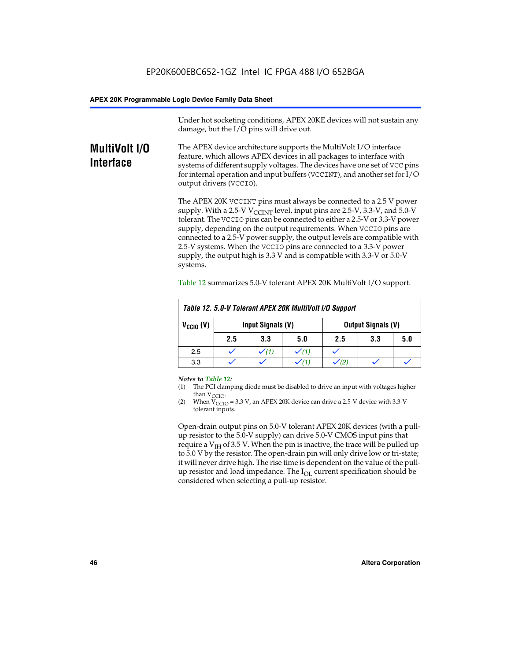Under hot socketing conditions, APEX 20KE devices will not sustain any damage, but the I/O pins will drive out.

# **MultiVolt I/O Interface**

The APEX device architecture supports the MultiVolt I/O interface feature, which allows APEX devices in all packages to interface with systems of different supply voltages. The devices have one set of VCC pins for internal operation and input buffers (VCCINT), and another set for I/O output drivers (VCCIO).

The APEX 20K VCCINT pins must always be connected to a 2.5 V power supply. With a 2.5-V  $V_{\text{CCMT}}$  level, input pins are 2.5-V, 3.3-V, and 5.0-V tolerant. The VCCIO pins can be connected to either a 2.5-V or 3.3-V power supply, depending on the output requirements. When VCCIO pins are connected to a 2.5-V power supply, the output levels are compatible with 2.5-V systems. When the VCCIO pins are connected to a 3.3-V power supply, the output high is 3.3 V and is compatible with 3.3-V or 5.0-V systems.

|                      | Table 12. 5.0-V Tolerant APEX 20K MultiVolt I/O Support |     |     |     |     |     |
|----------------------|---------------------------------------------------------|-----|-----|-----|-----|-----|
| $V_{\text{CCIO}}(V)$ | Input Signals (V)<br><b>Output Signals (V)</b>          |     |     |     |     |     |
|                      | 2.5                                                     | 3.3 | 5.0 | 2.5 | 3.3 | 5.0 |
| 2.5                  |                                                         |     |     |     |     |     |
| 3.3                  |                                                         |     |     |     |     |     |

Table 12 summarizes 5.0-V tolerant APEX 20K MultiVolt I/O support.

#### *Notes to Table 12:*

- (1) The PCI clamping diode must be disabled to drive an input with voltages higher than  $V_{CCIO}$ .
- (2) When  $V_{CCIO} = 3.3 V$ , an APEX 20K device can drive a 2.5-V device with 3.3-V tolerant inputs.

Open-drain output pins on 5.0-V tolerant APEX 20K devices (with a pullup resistor to the 5.0-V supply) can drive 5.0-V CMOS input pins that require a  $V_{IH}$  of 3.5 V. When the pin is inactive, the trace will be pulled up to 5.0 V by the resistor. The open-drain pin will only drive low or tri-state; it will never drive high. The rise time is dependent on the value of the pullup resistor and load impedance. The  $I_{OI}$  current specification should be considered when selecting a pull-up resistor.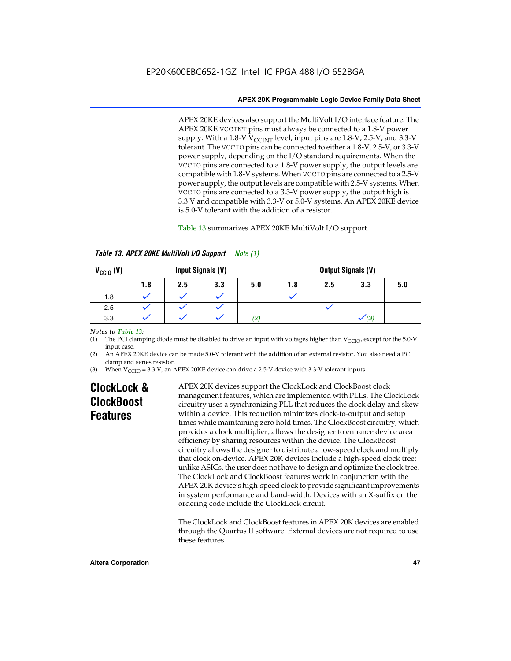APEX 20KE devices also support the MultiVolt I/O interface feature. The APEX 20KE VCCINT pins must always be connected to a 1.8-V power supply. With a 1.8-V  $V_{\text{CCINT}}$  level, input pins are 1.8-V, 2.5-V, and 3.3-V tolerant. The VCCIO pins can be connected to either a 1.8-V, 2.5-V, or 3.3-V power supply, depending on the I/O standard requirements. When the VCCIO pins are connected to a 1.8-V power supply, the output levels are compatible with 1.8-V systems. When VCCIO pins are connected to a 2.5-V power supply, the output levels are compatible with 2.5-V systems. When VCCIO pins are connected to a 3.3-V power supply, the output high is 3.3 V and compatible with 3.3-V or 5.0-V systems. An APEX 20KE device is 5.0-V tolerant with the addition of a resistor.

# Table 13 summarizes APEX 20KE MultiVolt I/O support.

|                      | Table 13. APEX 20KE MultiVolt I/O Support<br>Note $(1)$ |     |                   |     |     |     |                           |     |
|----------------------|---------------------------------------------------------|-----|-------------------|-----|-----|-----|---------------------------|-----|
| $V_{\text{CCIO}}(V)$ |                                                         |     | Input Signals (V) |     |     |     | <b>Output Signals (V)</b> |     |
|                      | 1.8                                                     | 2.5 | 3.3               | 5.0 | 1.8 | 2.5 | 3.3                       | 5.0 |
| 1.8                  |                                                         |     |                   |     |     |     |                           |     |
| 2.5                  |                                                         |     |                   |     |     |     |                           |     |
| 3.3                  |                                                         |     |                   | (2) |     |     | (3)                       |     |

## *Notes to Table 13:*

(1) The PCI clamping diode must be disabled to drive an input with voltages higher than  $V_{CCIO}$ , except for the 5.0-V input case.

(2) An APEX 20KE device can be made 5.0-V tolerant with the addition of an external resistor. You also need a PCI clamp and series resistor.

(3) When  $V_{\text{CCIO}} = 3.3$  V, an APEX 20KE device can drive a 2.5-V device with 3.3-V tolerant inputs.

# **ClockLock & ClockBoost Features**

APEX 20K devices support the ClockLock and ClockBoost clock management features, which are implemented with PLLs. The ClockLock circuitry uses a synchronizing PLL that reduces the clock delay and skew within a device. This reduction minimizes clock-to-output and setup times while maintaining zero hold times. The ClockBoost circuitry, which provides a clock multiplier, allows the designer to enhance device area efficiency by sharing resources within the device. The ClockBoost circuitry allows the designer to distribute a low-speed clock and multiply that clock on-device. APEX 20K devices include a high-speed clock tree; unlike ASICs, the user does not have to design and optimize the clock tree. The ClockLock and ClockBoost features work in conjunction with the APEX 20K device's high-speed clock to provide significant improvements in system performance and band-width. Devices with an X-suffix on the ordering code include the ClockLock circuit.

The ClockLock and ClockBoost features in APEX 20K devices are enabled through the Quartus II software. External devices are not required to use these features.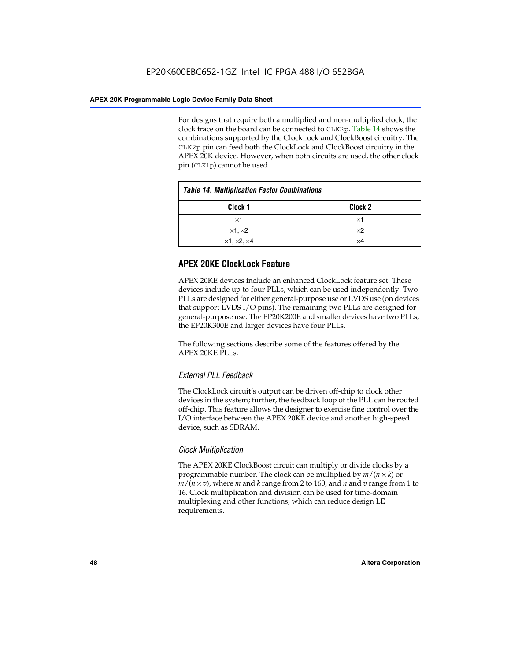For designs that require both a multiplied and non-multiplied clock, the clock trace on the board can be connected to CLK2p. Table 14 shows the combinations supported by the ClockLock and ClockBoost circuitry. The CLK2p pin can feed both the ClockLock and ClockBoost circuitry in the APEX 20K device. However, when both circuits are used, the other clock pin (CLK1p) cannot be used.

| <b>Table 14. Multiplication Factor Combinations</b> |                    |  |
|-----------------------------------------------------|--------------------|--|
| Clock 1                                             | Clock <sub>2</sub> |  |
| ×1                                                  | ×1                 |  |
| $\times$ 1, $\times$ 2                              | $\times 2$         |  |
| $\times$ 1, $\times$ 2, $\times$ 4                  | ×4                 |  |

# **APEX 20KE ClockLock Feature**

APEX 20KE devices include an enhanced ClockLock feature set. These devices include up to four PLLs, which can be used independently. Two PLLs are designed for either general-purpose use or LVDS use (on devices that support LVDS I/O pins). The remaining two PLLs are designed for general-purpose use. The EP20K200E and smaller devices have two PLLs; the EP20K300E and larger devices have four PLLs.

The following sections describe some of the features offered by the APEX 20KE PLLs.

# *External PLL Feedback*

The ClockLock circuit's output can be driven off-chip to clock other devices in the system; further, the feedback loop of the PLL can be routed off-chip. This feature allows the designer to exercise fine control over the I/O interface between the APEX 20KE device and another high-speed device, such as SDRAM.

# *Clock Multiplication*

The APEX 20KE ClockBoost circuit can multiply or divide clocks by a programmable number. The clock can be multiplied by *m*/(*n* × *k*) or  $m/(n \times v)$ , where *m* and *k* range from 2 to 160, and *n* and *v* range from 1 to 16. Clock multiplication and division can be used for time-domain multiplexing and other functions, which can reduce design LE requirements.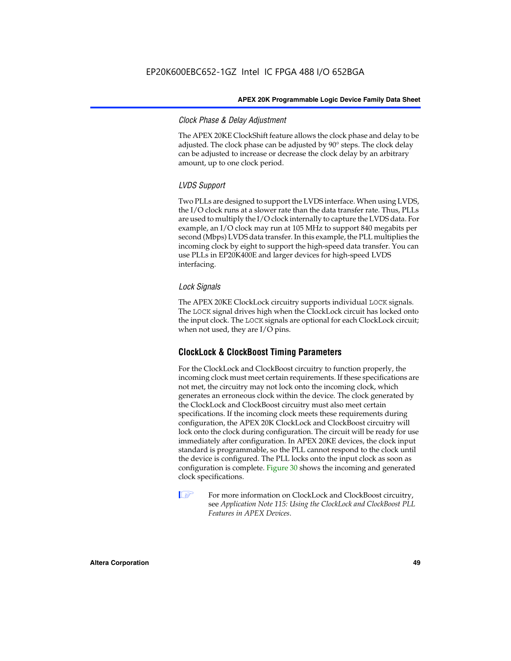# *Clock Phase & Delay Adjustment*

The APEX 20KE ClockShift feature allows the clock phase and delay to be adjusted. The clock phase can be adjusted by 90° steps. The clock delay can be adjusted to increase or decrease the clock delay by an arbitrary amount, up to one clock period.

# *LVDS Support*

Two PLLs are designed to support the LVDS interface. When using LVDS, the I/O clock runs at a slower rate than the data transfer rate. Thus, PLLs are used to multiply the I/O clock internally to capture the LVDS data. For example, an I/O clock may run at 105 MHz to support 840 megabits per second (Mbps) LVDS data transfer. In this example, the PLL multiplies the incoming clock by eight to support the high-speed data transfer. You can use PLLs in EP20K400E and larger devices for high-speed LVDS interfacing.

# *Lock Signals*

The APEX 20KE ClockLock circuitry supports individual LOCK signals. The LOCK signal drives high when the ClockLock circuit has locked onto the input clock. The LOCK signals are optional for each ClockLock circuit; when not used, they are I/O pins.

# **ClockLock & ClockBoost Timing Parameters**

For the ClockLock and ClockBoost circuitry to function properly, the incoming clock must meet certain requirements. If these specifications are not met, the circuitry may not lock onto the incoming clock, which generates an erroneous clock within the device. The clock generated by the ClockLock and ClockBoost circuitry must also meet certain specifications. If the incoming clock meets these requirements during configuration, the APEX 20K ClockLock and ClockBoost circuitry will lock onto the clock during configuration. The circuit will be ready for use immediately after configuration. In APEX 20KE devices, the clock input standard is programmable, so the PLL cannot respond to the clock until the device is configured. The PLL locks onto the input clock as soon as configuration is complete. Figure 30 shows the incoming and generated clock specifications.

 $\mathbb{I} \mathcal{F}$  For more information on ClockLock and ClockBoost circuitry, see *Application Note 115: Using the ClockLock and ClockBoost PLL Features in APEX Devices*.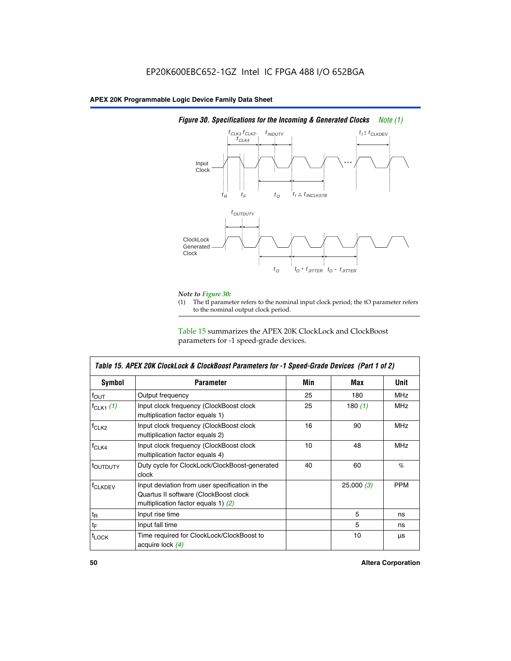

# *Figure 30. Specifications for the Incoming & Generated Clocks Note (1)*

# *Note to Figure 30:*

The tI parameter refers to the nominal input clock period; the tO parameter refers to the nominal output clock period.

Table 15 summarizes the APEX 20K ClockLock and ClockBoost parameters for -1 speed-grade devices.

| <b>Symbol</b>     | <b>Parameter</b>                                                                                                                 | Min | Max       | <b>Unit</b> |
|-------------------|----------------------------------------------------------------------------------------------------------------------------------|-----|-----------|-------------|
| $f_{OUT}$         | Output frequency                                                                                                                 | 25  | 180       | MHz         |
| $f_{CLK1}$ $(1)$  | Input clock frequency (ClockBoost clock<br>multiplication factor equals 1)                                                       | 25  | 180 $(1)$ | <b>MHz</b>  |
| $f_{CLK2}$        | Input clock frequency (ClockBoost clock<br>multiplication factor equals 2)                                                       | 16  | 90        | <b>MHz</b>  |
| $f_{CLK4}$        | Input clock frequency (ClockBoost clock<br>multiplication factor equals 4)                                                       | 10  | 48        | <b>MHz</b>  |
| toutputy          | Duty cycle for ClockLock/ClockBoost-generated<br>clock                                                                           | 40  | 60        | %           |
| <b>f</b> CLKDEV   | Input deviation from user specification in the<br>Quartus II software (ClockBoost clock<br>multiplication factor equals 1) $(2)$ |     | 25,000(3) | <b>PPM</b>  |
| $t_{\mathsf{R}}$  | Input rise time                                                                                                                  |     | 5         | ns          |
| $t_{\mathsf{F}}$  | Input fall time                                                                                                                  |     | 5         | ns          |
| <sup>t</sup> LOCK | Time required for ClockLock/ClockBoost to<br>acquire lock (4)                                                                    |     | 10        | μs          |

I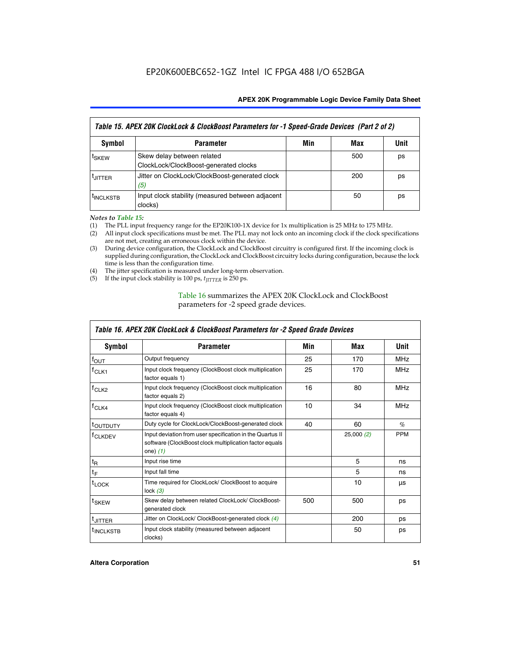| Table 15. APEX 20K ClockLock & ClockBoost Parameters for -1 Speed-Grade Devices (Part 2 of 2) |                                                                     |     |     |      |
|-----------------------------------------------------------------------------------------------|---------------------------------------------------------------------|-----|-----|------|
| <b>Symbol</b>                                                                                 | <b>Parameter</b>                                                    | Min | Max | Unit |
| t <sub>SKEW</sub>                                                                             | Skew delay between related<br>ClockLock/ClockBoost-generated clocks |     | 500 | ps   |
| <b>UITTER</b>                                                                                 | Jitter on ClockLock/ClockBoost-generated clock<br>(5)               |     | 200 | ps   |
| <b>INCLKSTB</b>                                                                               | Input clock stability (measured between adjacent<br>clocks)         |     | 50  | ps   |

*Notes to Table 15:*

- (1) The PLL input frequency range for the EP20K100-1X device for 1x multiplication is 25 MHz to 175 MHz.
- (2) All input clock specifications must be met. The PLL may not lock onto an incoming clock if the clock specifications are not met, creating an erroneous clock within the device.
- (3) During device configuration, the ClockLock and ClockBoost circuitry is configured first. If the incoming clock is supplied during configuration, the ClockLock and ClockBoost circuitry locks during configuration, because the lock time is less than the configuration time.
- (4) The jitter specification is measured under long-term observation.
- (5) If the input clock stability is 100 ps,  $t_{\text{JITTER}}$  is 250 ps.

# Table 16 summarizes the APEX 20K ClockLock and ClockBoost parameters for -2 speed grade devices.

| Symbol                                                                                          | <b>Parameter</b>                                                                                                                   | Min | Max       | Unit       |
|-------------------------------------------------------------------------------------------------|------------------------------------------------------------------------------------------------------------------------------------|-----|-----------|------------|
| $f_{\text{OUT}}$                                                                                | Output frequency                                                                                                                   | 25  | 170       | <b>MHz</b> |
| <sup>†</sup> CLK1                                                                               | Input clock frequency (ClockBoost clock multiplication<br>factor equals 1)                                                         | 25  | 170       | <b>MHz</b> |
| Input clock frequency (ClockBoost clock multiplication<br>f <sub>CLK2</sub><br>factor equals 2) |                                                                                                                                    | 16  | 80        | <b>MHz</b> |
| $f_{CLK4}$<br>Input clock frequency (ClockBoost clock multiplication<br>factor equals 4)        |                                                                                                                                    | 10  | 34        | <b>MHz</b> |
| <sup>τ</sup> ουτρυτγ                                                                            | Duty cycle for ClockLock/ClockBoost-generated clock                                                                                | 40  | 60        | $\%$       |
| <sup>T</sup> CLKDEV                                                                             | Input deviation from user specification in the Quartus II<br>software (ClockBoost clock multiplication factor equals<br>one) $(1)$ |     | 25,000(2) | <b>PPM</b> |
| $t_{\mathsf{R}}$                                                                                | Input rise time                                                                                                                    |     | 5         | ns         |
| $t_F$                                                                                           | Input fall time                                                                                                                    |     | 5         | ns         |
| $t_{\text{LOCK}}$                                                                               | Time required for ClockLock/ ClockBoost to acquire<br>lock $(3)$                                                                   |     | 10        | μs         |
| <sup>t</sup> SKEW                                                                               | Skew delay between related ClockLock/ ClockBoost-<br>generated clock                                                               | 500 | 500       | ps         |
| t <sub>JITTER</sub>                                                                             | Jitter on ClockLock/ ClockBoost-generated clock (4)                                                                                |     | 200       | ps         |
| <sup>I</sup> INCLKSTB                                                                           | Input clock stability (measured between adjacent<br>clocks)                                                                        |     | 50        | ps         |

# *Table 16. APEX 20K ClockLock & ClockBoost Parameters for -2 Speed Grade Devices*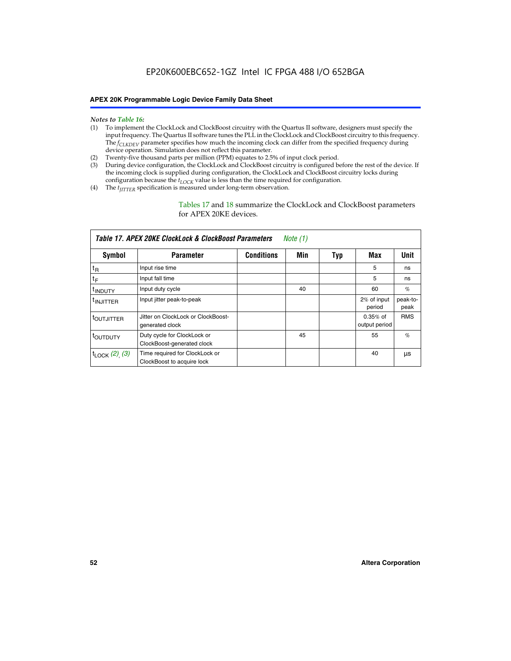- *Notes to Table 16:* (1) To implement the ClockLock and ClockBoost circuitry with the Quartus II software, designers must specify the input frequency. The Quartus II software tunes the PLL in the ClockLock and ClockBoost circuitry to this frequency. The *f<sub>CLKDEV</sub>* parameter specifies how much the incoming clock can differ from the specified frequency during device operation. Simulation does not reflect this parameter.
- (2) Twenty-five thousand parts per million (PPM) equates to 2.5% of input clock period.
- (3) During device configuration, the ClockLock and ClockBoost circuitry is configured before the rest of the device. If the incoming clock is supplied during configuration, the ClockLock and ClockBoost circuitry locks during configuration because the  $t_{LOCK}$  value is less than the time required for configuration.
- (4) The  $t_{\text{ITTTER}}$  specification is measured under long-term observation.

Tables 17 and 18 summarize the ClockLock and ClockBoost parameters for APEX 20KE devices.

|                            | Table 17. APEX 20KE ClockLock & ClockBoost Parameters        |                   | Note (1) |     |                             |                  |
|----------------------------|--------------------------------------------------------------|-------------------|----------|-----|-----------------------------|------------------|
| Symbol                     | <b>Parameter</b>                                             | <b>Conditions</b> | Min      | Typ | Max                         | Unit             |
| $t_{R}$                    | Input rise time                                              |                   |          |     | 5                           | ns               |
| tF                         | Input fall time                                              |                   |          |     | 5                           | ns               |
| <sup>t</sup> INDUTY        | Input duty cycle                                             |                   | 40       |     | 60                          | %                |
| <sup>t</sup> INJITTER      | Input jitter peak-to-peak                                    |                   |          |     | 2% of input<br>period       | peak-to-<br>peak |
| <sup>t</sup> OUTJITTER     | Jitter on ClockLock or ClockBoost-<br>generated clock        |                   |          |     | $0.35%$ of<br>output period | <b>RMS</b>       |
| t <sub>outputy</sub>       | Duty cycle for ClockLock or<br>ClockBoost-generated clock    |                   | 45       |     | 55                          | $\%$             |
| $t_{\text{LOCK}}$ (2), (3) | Time required for ClockLock or<br>ClockBoost to acquire lock |                   |          |     | 40                          | μs               |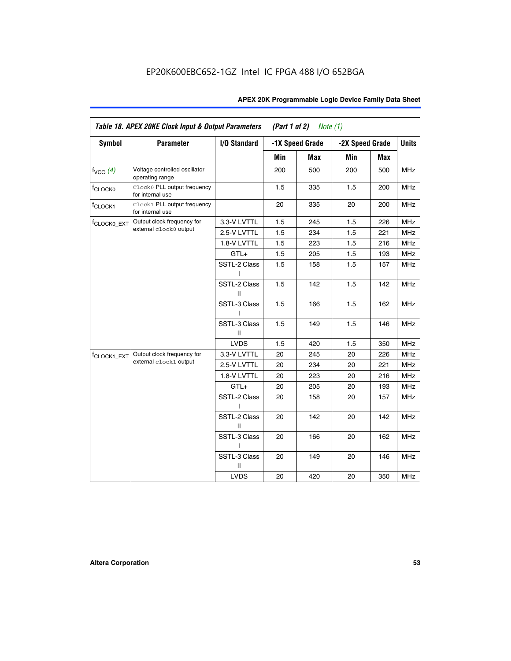| <b>Symbol</b>           | <b>Parameter</b>                                 | I/O Standard      |     | -1X Speed Grade | -2X Speed Grade |     | <b>Units</b> |
|-------------------------|--------------------------------------------------|-------------------|-----|-----------------|-----------------|-----|--------------|
|                         |                                                  |                   |     |                 |                 |     |              |
|                         |                                                  |                   | Min | Max             | Min             | Max |              |
| $f_{VCO}$ $(4)$         | Voltage controlled oscillator<br>operating range |                   | 200 | 500             | 200             | 500 | <b>MHz</b>   |
| f <sub>CLOCK0</sub>     | Clock0 PLL output frequency<br>for internal use  |                   | 1.5 | 335             | 1.5             | 200 | MHz          |
| f <sub>CLOCK1</sub>     | Clock1 PLL output frequency<br>for internal use  |                   | 20  | 335             | 20              | 200 | MHz          |
| f <sub>CLOCK0_EXT</sub> | Output clock frequency for                       | 3.3-V LVTTL       | 1.5 | 245             | 1.5             | 226 | <b>MHz</b>   |
|                         | external clock0 output                           | 2.5-V LVTTL       | 1.5 | 234             | 1.5             | 221 | <b>MHz</b>   |
|                         |                                                  | 1.8-V LVTTL       | 1.5 | 223             | 1.5             | 216 | <b>MHz</b>   |
|                         |                                                  | $GTL+$            | 1.5 | 205             | 1.5             | 193 | <b>MHz</b>   |
|                         |                                                  | SSTL-2 Class<br>L | 1.5 | 158             | 1.5             | 157 | <b>MHz</b>   |
|                         |                                                  | SSTL-2 Class<br>Ш | 1.5 | 142             | 1.5             | 142 | <b>MHz</b>   |
|                         |                                                  | SSTL-3 Class<br>I | 1.5 | 166             | 1.5             | 162 | <b>MHz</b>   |
|                         |                                                  | SSTL-3 Class<br>Ш | 1.5 | 149             | 1.5             | 146 | <b>MHz</b>   |
|                         |                                                  | <b>LVDS</b>       | 1.5 | 420             | 1.5             | 350 | <b>MHz</b>   |
| f <sub>CLOCK1_EXT</sub> | Output clock frequency for                       | 3.3-V LVTTL       | 20  | 245             | 20              | 226 | <b>MHz</b>   |
|                         | external clock1 output                           | 2.5-V LVTTL       | 20  | 234             | 20              | 221 | <b>MHz</b>   |
|                         |                                                  | 1.8-V LVTTL       | 20  | 223             | 20              | 216 | <b>MHz</b>   |
|                         |                                                  | $GTL+$            | 20  | 205             | 20              | 193 | MHz          |
|                         |                                                  | SSTL-2 Class      | 20  | 158             | 20              | 157 | <b>MHz</b>   |
|                         |                                                  | SSTL-2 Class<br>Ш | 20  | 142             | 20              | 142 | <b>MHz</b>   |
|                         |                                                  | SSTL-3 Class      | 20  | 166             | 20              | 162 | <b>MHz</b>   |
|                         |                                                  | SSTL-3 Class<br>Ш | 20  | 149             | 20              | 146 | <b>MHz</b>   |
|                         |                                                  | <b>LVDS</b>       | 20  | 420             | 20              | 350 | MHz          |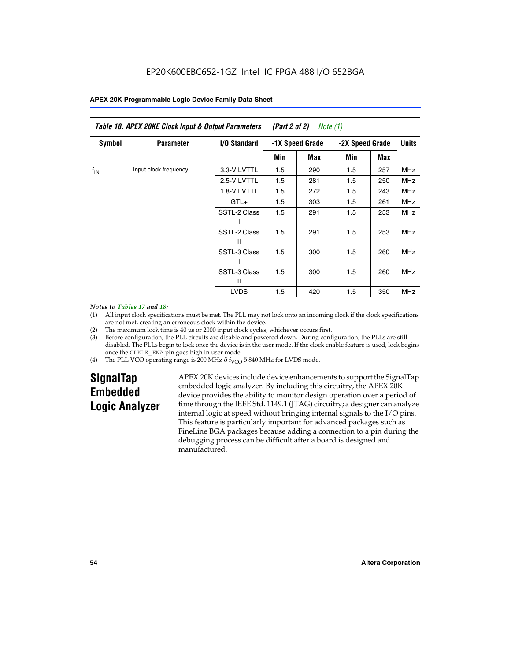|               | Table 18. APEX 20KE Clock Input & Output Parameters<br>(Part 2 of 2)<br>Note (1)<br><b>Units</b> |                   |     |                 |     |                 |            |
|---------------|--------------------------------------------------------------------------------------------------|-------------------|-----|-----------------|-----|-----------------|------------|
| <b>Symbol</b> | <b>Parameter</b>                                                                                 | I/O Standard      |     | -1X Speed Grade |     | -2X Speed Grade |            |
|               |                                                                                                  |                   | Min | Max             | Min | Max             |            |
| $f_{IN}$      | Input clock frequency                                                                            | 3.3-V LVTTL       | 1.5 | 290             | 1.5 | 257             | <b>MHz</b> |
|               |                                                                                                  | 2.5-V LVTTL       | 1.5 | 281             | 1.5 | 250             | <b>MHz</b> |
|               |                                                                                                  | 1.8-V LVTTL       | 1.5 | 272             | 1.5 | 243             | <b>MHz</b> |
|               |                                                                                                  | $GTL+$            | 1.5 | 303             | 1.5 | 261             | <b>MHz</b> |
|               |                                                                                                  | SSTL-2 Class      | 1.5 | 291             | 1.5 | 253             | <b>MHz</b> |
|               |                                                                                                  | SSTL-2 Class<br>Ш | 1.5 | 291             | 1.5 | 253             | <b>MHz</b> |
|               |                                                                                                  | SSTL-3 Class      | 1.5 | 300             | 1.5 | 260             | <b>MHz</b> |
|               |                                                                                                  | SSTL-3 Class<br>Ш | 1.5 | 300             | 1.5 | 260             | <b>MHz</b> |
|               |                                                                                                  | <b>LVDS</b>       | 1.5 | 420             | 1.5 | 350             | <b>MHz</b> |

#### *Notes to Tables 17 and 18:*

(1) All input clock specifications must be met. The PLL may not lock onto an incoming clock if the clock specifications are not met, creating an erroneous clock within the device.

- (2) The maximum lock time is 40 µs or 2000 input clock cycles, whichever occurs first.
- (3) Before configuration, the PLL circuits are disable and powered down. During configuration, the PLLs are still disabled. The PLLs begin to lock once the device is in the user mode. If the clock enable feature is used, lock begins once the CLKLK\_ENA pin goes high in user mode.
- (4) The PLL VCO operating range is 200 MHz  $\eth$  f<sub>VCO</sub>  $\eth$  840 MHz for LVDS mode.

# **SignalTap Embedded Logic Analyzer**

APEX 20K devices include device enhancements to support the SignalTap embedded logic analyzer. By including this circuitry, the APEX 20K device provides the ability to monitor design operation over a period of time through the IEEE Std. 1149.1 (JTAG) circuitry; a designer can analyze internal logic at speed without bringing internal signals to the I/O pins. This feature is particularly important for advanced packages such as FineLine BGA packages because adding a connection to a pin during the debugging process can be difficult after a board is designed and manufactured.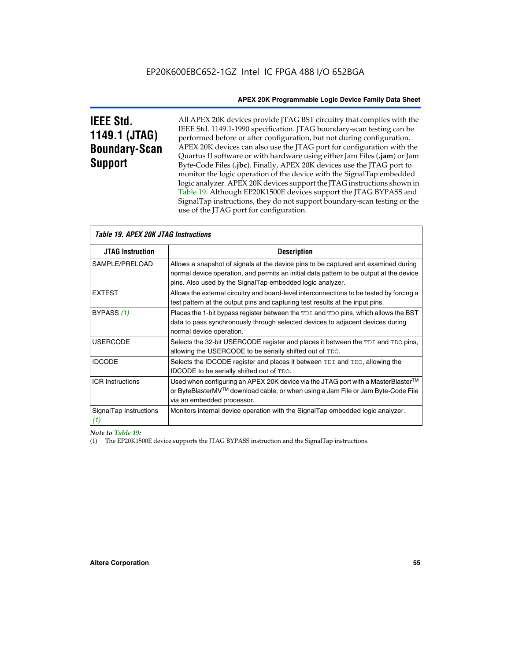# **IEEE Std. 1149.1 (JTAG) Boundary-Scan Support**

All APEX 20K devices provide JTAG BST circuitry that complies with the IEEE Std. 1149.1-1990 specification. JTAG boundary-scan testing can be performed before or after configuration, but not during configuration. APEX 20K devices can also use the JTAG port for configuration with the Quartus II software or with hardware using either Jam Files (**.jam**) or Jam Byte-Code Files (**.jbc**). Finally, APEX 20K devices use the JTAG port to monitor the logic operation of the device with the SignalTap embedded logic analyzer. APEX 20K devices support the JTAG instructions shown in Table 19. Although EP20K1500E devices support the JTAG BYPASS and SignalTap instructions, they do not support boundary-scan testing or the use of the JTAG port for configuration.

| <i><b>Table 19. APEX 20K JTAG Instructions</b></i> |                                                                                                                                                                                                                                            |
|----------------------------------------------------|--------------------------------------------------------------------------------------------------------------------------------------------------------------------------------------------------------------------------------------------|
| <b>JTAG Instruction</b>                            | <b>Description</b>                                                                                                                                                                                                                         |
| SAMPLE/PRELOAD                                     | Allows a snapshot of signals at the device pins to be captured and examined during<br>normal device operation, and permits an initial data pattern to be output at the device<br>pins. Also used by the SignalTap embedded logic analyzer. |
| <b>EXTEST</b>                                      | Allows the external circuitry and board-level interconnections to be tested by forcing a<br>test pattern at the output pins and capturing test results at the input pins.                                                                  |
| BYPASS (1)                                         | Places the 1-bit bypass register between the TDI and TDO pins, which allows the BST<br>data to pass synchronously through selected devices to adjacent devices during<br>normal device operation.                                          |
| <b>USERCODE</b>                                    | Selects the 32-bit USERCODE register and places it between the TDI and TDO pins,<br>allowing the USERCODE to be serially shifted out of TDO.                                                                                               |
| <b>IDCODE</b>                                      | Selects the IDCODE register and places it between TDI and TDO, allowing the<br>IDCODE to be serially shifted out of TDO.                                                                                                                   |
| <b>ICR Instructions</b>                            | Used when configuring an APEX 20K device via the JTAG port with a MasterBlaster™<br>or ByteBlasterMV™ download cable, or when using a Jam File or Jam Byte-Code File<br>via an embedded processor.                                         |
| SignalTap Instructions<br>(1)                      | Monitors internal device operation with the SignalTap embedded logic analyzer.                                                                                                                                                             |

 $\overline{\phantom{a}}$ 

# *Note to Table 19:*

(1) The EP20K1500E device supports the JTAG BYPASS instruction and the SignalTap instructions.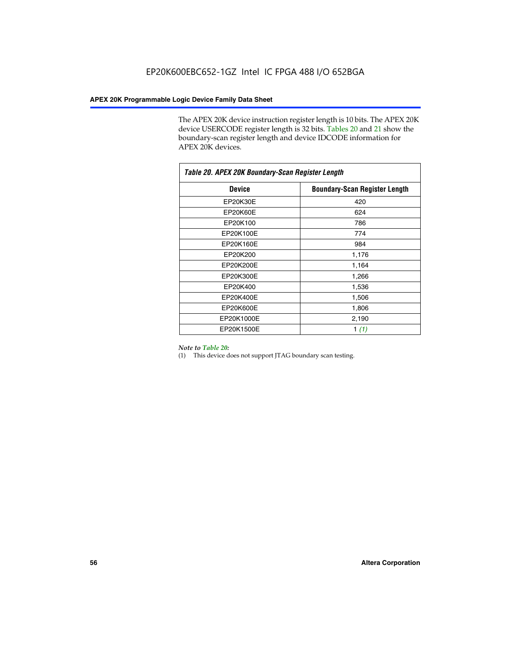The APEX 20K device instruction register length is 10 bits. The APEX 20K device USERCODE register length is 32 bits. Tables 20 and 21 show the boundary-scan register length and device IDCODE information for APEX 20K devices.

| Table 20. APEX 20K Boundary-Scan Register Length |                                      |  |  |  |
|--------------------------------------------------|--------------------------------------|--|--|--|
| <b>Device</b>                                    | <b>Boundary-Scan Register Length</b> |  |  |  |
| EP20K30E                                         | 420                                  |  |  |  |
| <b>EP20K60E</b>                                  | 624                                  |  |  |  |
| EP20K100                                         | 786                                  |  |  |  |
| EP20K100E                                        | 774                                  |  |  |  |
| EP20K160E                                        | 984                                  |  |  |  |
| EP20K200                                         | 1,176                                |  |  |  |
| EP20K200E                                        | 1,164                                |  |  |  |
| EP20K300E                                        | 1,266                                |  |  |  |
| EP20K400                                         | 1,536                                |  |  |  |
| EP20K400E                                        | 1,506                                |  |  |  |
| EP20K600E                                        | 1,806                                |  |  |  |
| EP20K1000E                                       | 2,190                                |  |  |  |
| EP20K1500E                                       | 1 $(1)$                              |  |  |  |

#### *Note to Table 20:*

(1) This device does not support JTAG boundary scan testing.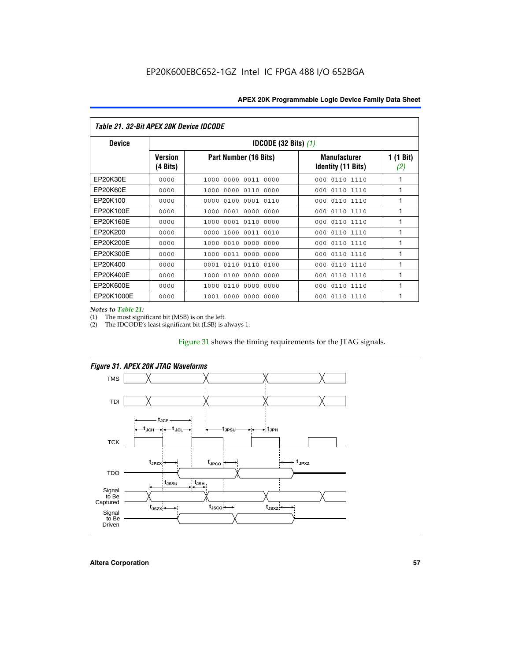| Table 21. 32-Bit APEX 20K Device IDCODE |                                          |                              |                                                  |                  |  |  |
|-----------------------------------------|------------------------------------------|------------------------------|--------------------------------------------------|------------------|--|--|
| <b>Device</b>                           | <b>IDCODE (32 Bits) <math>(1)</math></b> |                              |                                                  |                  |  |  |
|                                         | <b>Version</b><br>(4 Bits)               | Part Number (16 Bits)        | <b>Manufacturer</b><br><b>Identity (11 Bits)</b> | 1 (1 Bit)<br>(2) |  |  |
| EP20K30E                                | 0000                                     | 0000 0011 0000<br>1000       | 0110 1110<br>000                                 | 1                |  |  |
| EP20K60E                                | 0000                                     | 1000<br>0000 0110<br>0000    | 0110 1110<br>000                                 | 1                |  |  |
| EP20K100                                | 0000                                     | 0000<br>0100<br>0001 0110    | 000<br>0110 1110                                 | 1                |  |  |
| EP20K100E                               | 0000                                     | 1000<br>0001 0000<br>0000    | 0110 1110<br>000                                 | 1                |  |  |
| EP20K160E                               | 0000                                     | 0001 0110<br>0000<br>1000    | 000<br>0110 1110                                 | 1                |  |  |
| EP20K200                                | 0000                                     | 1000<br>0011 0010<br>0000    | 0110 1110<br>000                                 | 1                |  |  |
| EP20K200E                               | 0000                                     | 0010<br>0000<br>0000<br>1000 | 0110 1110<br>000                                 | 1                |  |  |
| EP20K300E                               | 0000                                     | 0011 0000<br>0000<br>1000    | 0110 1110<br>000                                 | 1                |  |  |
| EP20K400                                | 0000                                     | 0001<br>0110<br>0110<br>0100 | 0110 1110<br>000                                 | 1                |  |  |
| EP20K400E                               | 0000                                     | 0100<br>0000<br>0000<br>1000 | 0110 1110<br>000                                 | 1                |  |  |
| EP20K600E                               | 0000                                     | 1000<br>0110<br>0000<br>0000 | 0110 1110<br>000                                 | 1                |  |  |
| EP20K1000E                              | 0000                                     | 0000<br>0000<br>0000<br>1001 | 000<br>0110 1110                                 | 1                |  |  |

*Notes to Table 21:*

The most significant bit (MSB) is on the left.

(2) The IDCODE's least significant bit (LSB) is always 1.

# Figure 31 shows the timing requirements for the JTAG signals.



*Figure 31. APEX 20K JTAG Waveforms*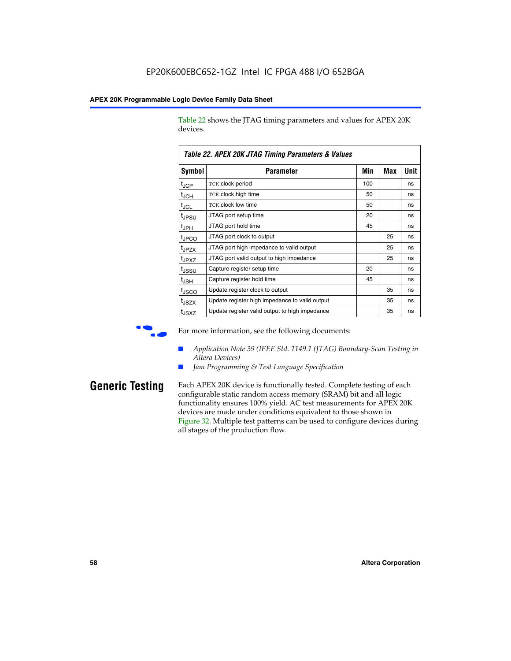Table 22 shows the JTAG timing parameters and values for APEX 20K devices.

|                   | TADIG LL. AF LA LUN JTAU THIIHIY FAIAHIGIGIS & VAIUGS |     |     |      |  |  |
|-------------------|-------------------------------------------------------|-----|-----|------|--|--|
| Symbol            | Parameter                                             | Min | Max | Unit |  |  |
| $t_{JCP}$         | <b>TCK clock period</b>                               | 100 |     | ns   |  |  |
| $t_{\text{JCH}}$  | TCK clock high time                                   | 50  |     | ns   |  |  |
| $t_{JCL}$         | TCK clock low time                                    | 50  |     | ns   |  |  |
| t <sub>JPSU</sub> | JTAG port setup time                                  | 20  |     | ns   |  |  |
| $t_{\rm JPH}$     | JTAG port hold time                                   | 45  |     | ns   |  |  |
| <sup>t</sup> JPCO | JTAG port clock to output                             |     | 25  | ns   |  |  |
| t <sub>JPZX</sub> | JTAG port high impedance to valid output              |     | 25  | ns   |  |  |
| t <sub>JPXZ</sub> | JTAG port valid output to high impedance              |     | 25  | ns   |  |  |
| tussu             | Capture register setup time                           | 20  |     | ns   |  |  |
| $t_{\rm JSH}$     | Capture register hold time                            | 45  |     | ns   |  |  |
| t <sub>JSCO</sub> | Update register clock to output                       |     | 35  | ns   |  |  |
| t <sub>JSZX</sub> | Update register high impedance to valid output        |     | 35  | ns   |  |  |
| t <sub>JSXZ</sub> | Update register valid output to high impedance        |     | 35  | ns   |  |  |

*Table 22. APEX 20K JTAG Timing Parameters & Values*

For more information, see the following documents:

- *Application Note 39 (IEEE Std. 1149.1 (JTAG) Boundary-Scan Testing in Altera Devices)*
- Jam Programming & Test Language Specification

**Generic Testing** Each APEX 20K device is functionally tested. Complete testing of each configurable static random access memory (SRAM) bit and all logic functionality ensures 100% yield. AC test measurements for APEX 20K devices are made under conditions equivalent to those shown in Figure 32. Multiple test patterns can be used to configure devices during all stages of the production flow.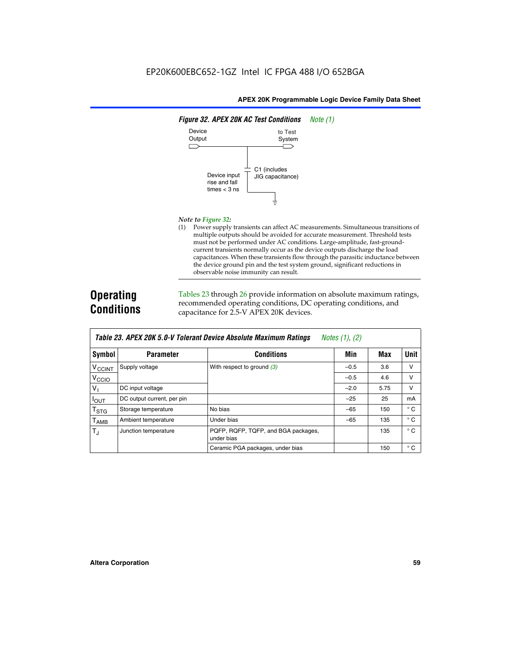

#### *Note to Figure 32:*

(1) Power supply transients can affect AC measurements. Simultaneous transitions of multiple outputs should be avoided for accurate measurement. Threshold tests must not be performed under AC conditions. Large-amplitude, fast-groundcurrent transients normally occur as the device outputs discharge the load capacitances. When these transients flow through the parasitic inductance between the device ground pin and the test system ground, significant reductions in observable noise immunity can result.

# **Operating Conditions**

Tables 23 through 26 provide information on absolute maximum ratings, recommended operating conditions, DC operating conditions, and capacitance for 2.5-V APEX 20K devices.

|                          |                            |                                                   | $1.00100 + 1.011 + 1.001$ |      |              |
|--------------------------|----------------------------|---------------------------------------------------|---------------------------|------|--------------|
| Symbol                   | <b>Parameter</b>           | <b>Conditions</b>                                 | Min                       | Max  | Unit         |
| <b>V<sub>CCINT</sub></b> | Supply voltage             | With respect to ground $(3)$                      | $-0.5$                    | 3.6  | $\vee$       |
| V <sub>CCIO</sub>        |                            |                                                   | $-0.5$                    | 4.6  | v            |
| $V_{1}$                  | DC input voltage           |                                                   | $-2.0$                    | 5.75 | v            |
| $I_{\text{OUT}}$         | DC output current, per pin |                                                   | $-25$                     | 25   | mA           |
| $T_{\rm STG}$            | Storage temperature        | No bias                                           | $-65$                     | 150  | $^{\circ}$ C |
| Т <sub>АМВ</sub>         | Ambient temperature        | Under bias                                        | $-65$                     | 135  | $^{\circ}$ C |
| $T_{\rm J}$              | Junction temperature       | PQFP, RQFP, TQFP, and BGA packages,<br>under bias |                           | 135  | $^{\circ}$ C |
|                          |                            | Ceramic PGA packages, under bias                  |                           | 150  | $^{\circ}$ C |

| Table 23. APEX 20K 5.0-V Tolerant Device Absolute Maximum Ratings Notes (1), (2) |  |
|----------------------------------------------------------------------------------|--|
|----------------------------------------------------------------------------------|--|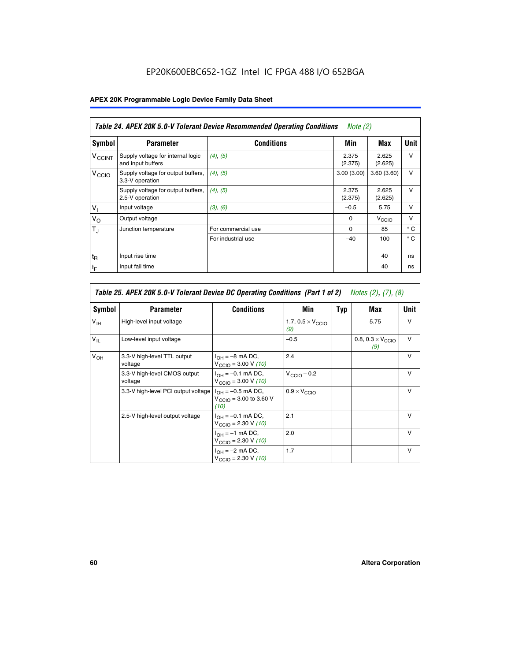# EP20K600EBC652-1GZ Intel IC FPGA 488 I/O 652BGA

# **APEX 20K Programmable Logic Device Family Data Sheet**

|                          | Table 24. APEX 20K 5.0-V Tolerant Device Recommended Operating Conditions<br><i>Note</i> $(2)$ |                    |                  |                  |              |  |
|--------------------------|------------------------------------------------------------------------------------------------|--------------------|------------------|------------------|--------------|--|
| Symbol                   | <b>Parameter</b>                                                                               | <b>Conditions</b>  | Min              | Max              | <b>Unit</b>  |  |
| <b>V<sub>CCINT</sub></b> | Supply voltage for internal logic<br>and input buffers                                         | $(4)$ , $(5)$      | 2.375<br>(2.375) | 2.625<br>(2.625) | $\vee$       |  |
| V <sub>CCIO</sub>        | Supply voltage for output buffers,<br>3.3-V operation                                          | (4), (5)           | 3.00(3.00)       | 3.60(3.60)       | $\vee$       |  |
|                          | Supply voltage for output buffers,<br>2.5-V operation                                          | (4), (5)           | 2.375<br>(2.375) | 2.625<br>(2.625) | $\vee$       |  |
| $V_1$                    | Input voltage                                                                                  | (3), (6)           | $-0.5$           | 5.75             | $\vee$       |  |
| $V_{\rm O}$              | Output voltage                                                                                 |                    | $\Omega$         | V <sub>CCO</sub> | $\vee$       |  |
| $T_{\rm J}$              | Junction temperature                                                                           | For commercial use | 0                | 85               | $^{\circ}$ C |  |
|                          |                                                                                                | For industrial use | $-40$            | 100              | $^{\circ}$ C |  |
| $t_{R}$                  | Input rise time                                                                                |                    |                  | 40               | ns           |  |
| $t_{\mathsf{F}}$         | Input fall time                                                                                |                    |                  | 40               | ns           |  |

|                 | Table 25. APEX 20K 5.0-V Tolerant Device DC Operating Conditions (Part 1 of 2) Notes (2), (7), (8) |                                                                      |                                          |     |                                          |              |  |  |
|-----------------|----------------------------------------------------------------------------------------------------|----------------------------------------------------------------------|------------------------------------------|-----|------------------------------------------|--------------|--|--|
| Symbol          | <b>Parameter</b>                                                                                   | <b>Conditions</b>                                                    | Min                                      | Typ | Max                                      | Unit         |  |  |
| $V_{\text{IH}}$ | High-level input voltage                                                                           |                                                                      | 1.7, $0.5 \times V_{\text{CCIO}}$<br>(9) |     | 5.75                                     | $\vee$       |  |  |
| $V_{IL}$        | Low-level input voltage                                                                            |                                                                      | $-0.5$                                   |     | 0.8, $0.3 \times V_{\text{CCIO}}$<br>(9) | v            |  |  |
| $V_{OH}$        | 3.3-V high-level TTL output<br>voltage                                                             | $I_{OH} = -8$ mA DC,<br>$V_{\text{CCIO}} = 3.00 V (10)$              | 2.4                                      |     |                                          | $\mathsf{v}$ |  |  |
|                 | 3.3-V high-level CMOS output<br>voltage                                                            | $I_{OH} = -0.1$ mA DC,<br>$V_{\text{CCIO}} = 3.00 V (10)$            | $V_{\text{CCIO}} - 0.2$                  |     |                                          | $\mathsf{V}$ |  |  |
|                 | 3.3-V high-level PCI output voltage                                                                | $I_{OH} = -0.5$ mA DC,<br>$V_{\text{CCIO}} = 3.00$ to 3.60 V<br>(10) | $0.9 \times V_{\text{CCIO}}$             |     |                                          | v            |  |  |
|                 | 2.5-V high-level output voltage                                                                    | $I_{OH} = -0.1$ mA DC,<br>$V_{\text{CCIO}} = 2.30 V (10)$            | 2.1                                      |     |                                          | $\mathsf{V}$ |  |  |
|                 |                                                                                                    | $I_{OH} = -1$ mA DC,<br>$V_{\text{CCIO}} = 2.30 V (10)$              | 2.0                                      |     |                                          | $\vee$       |  |  |
|                 |                                                                                                    | $I_{OH} = -2$ mA DC,<br>$V_{\text{CCIO}} = 2.30 V (10)$              | 1.7                                      |     |                                          | $\mathsf{V}$ |  |  |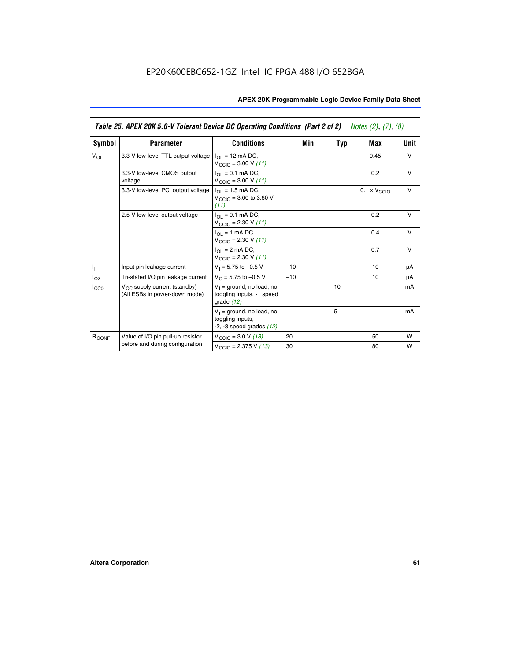|                   | Table 25. APEX 20K 5.0-V Tolerant Device DC Operating Conditions (Part 2 of 2) Notes (2), (7), (8) |                                                                                          |       |     |                              |        |  |
|-------------------|----------------------------------------------------------------------------------------------------|------------------------------------------------------------------------------------------|-------|-----|------------------------------|--------|--|
| Symbol            | <b>Parameter</b>                                                                                   | <b>Conditions</b>                                                                        | Min   | Typ | Max                          | Unit   |  |
| $V_{OL}$          | 3.3-V low-level TTL output voltage                                                                 | $I_{\Omega}$ = 12 mA DC,<br>$V_{\text{CCIO}} = 3.00 V (11)$                              |       |     | 0.45                         | $\vee$ |  |
|                   | 3.3-V low-level CMOS output<br>voltage                                                             | $I_{\Omega} = 0.1$ mA DC,<br>$V_{\text{CCIO}} = 3.00 V (11)$                             |       |     | 0.2                          | $\vee$ |  |
|                   | 3.3-V low-level PCI output voltage                                                                 | $I_{\Omega}$ = 1.5 mA DC,<br>$V_{\text{CCIO}} = 3.00 \text{ to } 3.60 \text{ V}$<br>(11) |       |     | $0.1 \times V_{\text{CCLO}}$ | $\vee$ |  |
|                   | 2.5-V low-level output voltage                                                                     | $I_{\Omega} = 0.1$ mA DC,<br>$V_{\text{CCIO}} = 2.30 V (11)$                             |       |     | 0.2                          | $\vee$ |  |
|                   |                                                                                                    | $I_{\Omega}$ = 1 mA DC,<br>$V_{\text{CCIO}} = 2.30 V (11)$                               |       |     | 0.4                          | $\vee$ |  |
|                   |                                                                                                    | $I_{\Omega}$ = 2 mA DC,<br>$V_{\text{CCIO}} = 2.30 V (11)$                               |       |     | 0.7                          | $\vee$ |  |
| h,                | Input pin leakage current                                                                          | $V_1 = 5.75$ to $-0.5$ V                                                                 | $-10$ |     | 10                           | μA     |  |
| $I_{OZ}$          | Tri-stated I/O pin leakage current                                                                 | $V_{\Omega} = 5.75$ to $-0.5$ V                                                          | $-10$ |     | 10                           | μA     |  |
| ICCO              | $V_{CC}$ supply current (standby)<br>(All ESBs in power-down mode)                                 | $V_1$ = ground, no load, no<br>toggling inputs, -1 speed<br>grade $(12)$                 |       | 10  |                              | mA     |  |
|                   |                                                                                                    | $V_1$ = ground, no load, no<br>toggling inputs,<br>$-2$ , $-3$ speed grades $(12)$       |       | 5   |                              | mA     |  |
| R <sub>CONF</sub> | Value of I/O pin pull-up resistor                                                                  | $V_{\text{CCIO}} = 3.0 V (13)$                                                           | 20    |     | 50                           | W      |  |
|                   | before and during configuration                                                                    | $V_{\text{CGIO}} = 2.375 \text{ V} (13)$                                                 | 30    |     | 80                           | W      |  |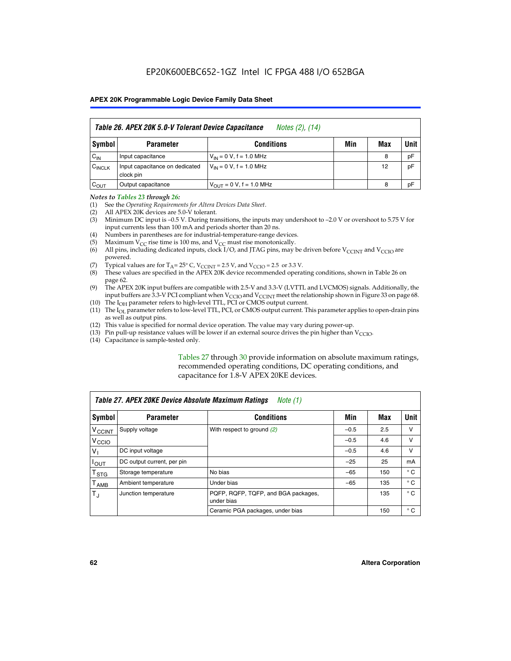|                    | Table 26. APEX 20K 5.0-V Tolerant Device Capacitance<br>Notes (2), (14) |                                      |     |     |      |  |
|--------------------|-------------------------------------------------------------------------|--------------------------------------|-----|-----|------|--|
| Symbol             | <b>Parameter</b>                                                        | <b>Conditions</b>                    | Min | Max | Unit |  |
| $C_{IN}$           | Input capacitance                                                       | $V_{IN} = 0 V$ , f = 1.0 MHz         |     | 8   | pF   |  |
| $C_{\text{INCLK}}$ | Input capacitance on dedicated<br>clock pin                             | $V_{IN} = 0 V$ , f = 1.0 MHz         |     | 12  | pF   |  |
| $C_{OUT}$          | Output capacitance                                                      | $V_{\text{OUT}} = 0 V$ , f = 1.0 MHz |     | 8   | рF   |  |

#### *Notes to Tables 23 through 26:*

- (1) See the *Operating Requirements for Altera Devices Data Sheet*.
- (2) All APEX 20K devices are 5.0-V tolerant.
- (3) Minimum DC input is –0.5 V. During transitions, the inputs may undershoot to –2.0 V or overshoot to 5.75 V for input currents less than 100 mA and periods shorter than 20 ns.
- (4) Numbers in parentheses are for industrial-temperature-range devices.
- (5) Maximum  $V_{CC}$  rise time is 100 ms, and  $V_{CC}$  must rise monotonically.<br>(6) All pins, including dedicated inputs, clock I/O, and JTAG pins, may b
- All pins, including dedicated inputs, clock I/O, and JTAG pins, may be driven before  $V_{\text{CCINT}}$  and  $V_{\text{CCIO}}$  are powered.
- (7) Typical values are for  $T_A = 25^\circ$  C, V<sub>CCINT</sub> = 2.5 V, and V<sub>CCIO</sub> = 2.5 or 3.3 V.<br>(8) These values are specified in the APEX 20K device recommended operat
- These values are specified in the APEX 20K device recommended operating conditions, shown in Table 26 on page 62.
- (9) The APEX 20K input buffers are compatible with 2.5-V and 3.3-V (LVTTL and LVCMOS) signals. Additionally, the input buffers are 3.3-V PCI compliant when  $V_{\text{CCIO}}$  and  $V_{\text{CCINI}}$  meet the relationship shown in Figure 33 on page 68.
- (10) The  $I<sub>OH</sub>$  parameter refers to high-level TTL, PCI or CMOS output current.
- (11) The I<sub>OL</sub> parameter refers to low-level TTL, PCI, or CMOS output current. This parameter applies to open-drain pins as well as output pins.
- (12) This value is specified for normal device operation. The value may vary during power-up.
- (13) Pin pull-up resistance values will be lower if an external source drives the pin higher than  $V_{\text{CCIO}}$ .
- (14) Capacitance is sample-tested only.

Tables 27 through 30 provide information on absolute maximum ratings, recommended operating conditions, DC operating conditions, and capacitance for 1.8-V APEX 20KE devices.

| Table 27. APEX 20KE Device Absolute Maximum Ratings<br>Note (1) |                            |                                                   |        |     |              |  |
|-----------------------------------------------------------------|----------------------------|---------------------------------------------------|--------|-----|--------------|--|
| Symbol                                                          | <b>Parameter</b>           | <b>Conditions</b>                                 | Min    | Max | Unit I       |  |
| $V_{\text{CCINT}}$                                              | Supply voltage             | With respect to ground $(2)$                      | $-0.5$ | 2.5 | v            |  |
| V <sub>CCIO</sub>                                               |                            |                                                   | $-0.5$ | 4.6 | v            |  |
| $V_{1}$                                                         | DC input voltage           |                                                   | $-0.5$ | 4.6 | v            |  |
| $I_{\text{OUT}}$                                                | DC output current, per pin |                                                   | $-25$  | 25  | mA           |  |
| $\mathsf{T}_{\text{STG}}$                                       | Storage temperature        | No bias                                           | $-65$  | 150 | $^{\circ}$ C |  |
| Т <sub>АМВ</sub>                                                | Ambient temperature        | Under bias                                        | $-65$  | 135 | $^{\circ}$ C |  |
| $\mathsf{T}_{\text{d}}$                                         | Junction temperature       | PQFP, RQFP, TQFP, and BGA packages,<br>under bias |        | 135 | $^{\circ}$ C |  |
|                                                                 |                            | Ceramic PGA packages, under bias                  |        | 150 | $^{\circ}$ C |  |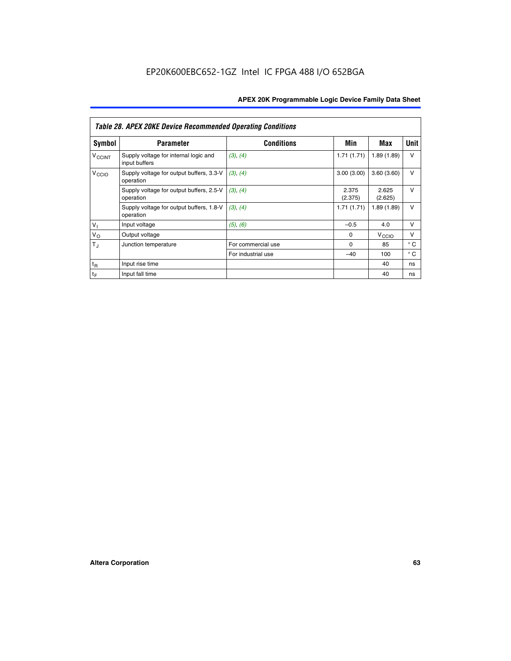|                             | <b>Table 28. APEX 20KE Device Recommended Operating Conditions</b> |                    |                  |                   |              |  |  |
|-----------------------------|--------------------------------------------------------------------|--------------------|------------------|-------------------|--------------|--|--|
| <b>Symbol</b>               | <b>Parameter</b>                                                   | <b>Conditions</b>  | Min              | Max               | <b>Unit</b>  |  |  |
| <b>V<sub>CCINT</sub></b>    | Supply voltage for internal logic and<br>input buffers             | (3), (4)           | 1.71(1.71)       | 1.89(1.89)        | $\vee$       |  |  |
| V <sub>CCIO</sub>           | Supply voltage for output buffers, 3.3-V<br>operation              | (3), (4)           | 3.00(3.00)       | 3.60(3.60)        | $\vee$       |  |  |
|                             | Supply voltage for output buffers, 2.5-V<br>operation              | (3), (4)           | 2.375<br>(2.375) | 2.625<br>(2.625)  | $\vee$       |  |  |
|                             | Supply voltage for output buffers, 1.8-V<br>operation              | (3), (4)           | 1.71(1.71)       | 1.89(1.89)        | $\vee$       |  |  |
| $V_1$                       | Input voltage                                                      | (5), (6)           | $-0.5$           | 4.0               | $\vee$       |  |  |
| $V_{\rm O}$                 | Output voltage                                                     |                    | $\Omega$         | V <sub>CCIO</sub> | v            |  |  |
| $T_{\rm J}$                 | Junction temperature                                               | For commercial use | $\Omega$         | 85                | $^{\circ}$ C |  |  |
|                             |                                                                    | For industrial use | $-40$            | 100               | $^{\circ}$ C |  |  |
| $t_{R}$                     | Input rise time                                                    |                    |                  | 40                | ns           |  |  |
| $\mathfrak{t}_{\mathsf{F}}$ | Input fall time                                                    |                    |                  | 40                | ns           |  |  |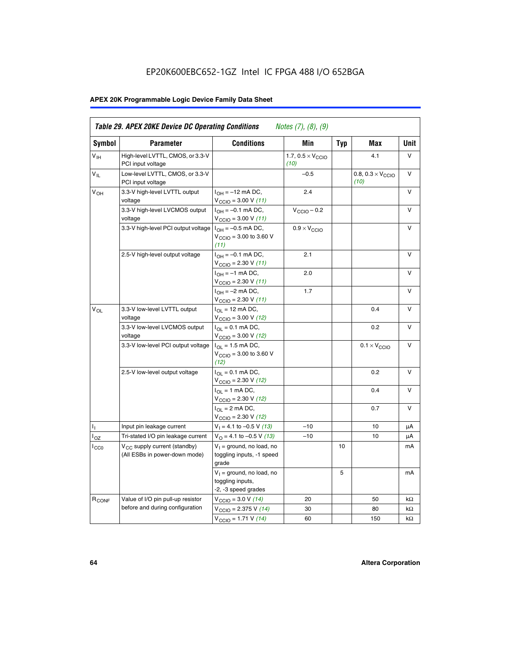# EP20K600EBC652-1GZ Intel IC FPGA 488 I/O 652BGA

# **APEX 20K Programmable Logic Device Family Data Sheet**

| <b>Symbol</b>              | <b>Parameter</b>                                                   | <b>Conditions</b>                                                                        | Min                                       | <b>Typ</b> | Max                                       | Unit      |
|----------------------------|--------------------------------------------------------------------|------------------------------------------------------------------------------------------|-------------------------------------------|------------|-------------------------------------------|-----------|
| $V_{\text{IH}}$            | High-level LVTTL, CMOS, or 3.3-V<br>PCI input voltage              |                                                                                          | 1.7, $0.5 \times V_{\text{CCIO}}$<br>(10) |            | 4.1                                       | V         |
| $\mathsf{V}_{\mathsf{IL}}$ | Low-level LVTTL, CMOS, or 3.3-V<br>PCI input voltage               |                                                                                          | $-0.5$                                    |            | 0.8, $0.3 \times V_{\text{CCIO}}$<br>(10) | $\vee$    |
| $V_{OH}$                   | 3.3-V high-level LVTTL output<br>voltage                           | $I_{OH} = -12$ mA DC,<br>$V_{\text{CCIO}} = 3.00 V (11)$                                 | 2.4                                       |            |                                           | v         |
|                            | 3.3-V high-level LVCMOS output<br>voltage                          | $I_{OH} = -0.1$ mA DC,<br>$V_{\text{CCIO}} = 3.00 V (11)$                                | $V_{\text{CGIO}} - 0.2$                   |            |                                           | v         |
|                            | 3.3-V high-level PCI output voltage $ I_{OH} = -0.5$ mA DC,        | $V_{\text{CGIO}} = 3.00$ to 3.60 V<br>(11)                                               | $0.9 \times V_{\text{CCIO}}$              |            |                                           | V         |
|                            | 2.5-V high-level output voltage                                    | $I_{OH} = -0.1$ mA DC,<br>$V_{\text{CCIO}} = 2.30 V (11)$                                | 2.1                                       |            |                                           | v         |
|                            |                                                                    | $I_{OH} = -1$ mA DC,<br>$V_{\text{CCIO}} = 2.30 V (11)$                                  | 2.0                                       |            |                                           | v         |
|                            |                                                                    | $I_{OH} = -2$ mA DC,<br>$V_{\text{CCIO}}$ = 2.30 V (11)                                  | 1.7                                       |            |                                           | V         |
| $V_{OL}$                   | 3.3-V low-level LVTTL output<br>voltage                            | $I_{\Omega}$ = 12 mA DC,<br>$V_{\text{CCIO}} = 3.00 V (12)$                              |                                           |            | 0.4                                       | v         |
|                            | 3.3-V low-level LVCMOS output<br>voltage                           | $I_{\Omega} = 0.1$ mA DC,<br>$V_{\text{CCIO}} = 3.00 V (12)$                             |                                           |            | 0.2                                       | $\vee$    |
|                            | 3.3-V low-level PCI output voltage                                 | $I_{\Omega}$ = 1.5 mA DC,<br>$V_{\text{CCIO}} = 3.00 \text{ to } 3.60 \text{ V}$<br>(12) |                                           |            | $0.1 \times V_{\text{CCIO}}$              | v         |
|                            | 2.5-V low-level output voltage                                     | $I_{\Omega} = 0.1$ mA DC,<br>$V_{\text{CCIO}}$ = 2.30 V (12)                             |                                           |            | 0.2                                       | V         |
|                            |                                                                    | $I_{\Omega} = 1$ mA DC,<br>$V_{\text{CCIO}}$ = 2.30 V (12)                               |                                           |            | 0.4                                       | v         |
|                            |                                                                    | $I_{OL}$ = 2 mA DC,<br>$V_{\text{CCIO}} = 2.30 V (12)$                                   |                                           |            | 0.7                                       | v         |
| ъ,                         | Input pin leakage current                                          | $V_1 = 4.1$ to -0.5 V (13)                                                               | $-10$                                     |            | 10                                        | μA        |
| $I_{OZ}$                   | Tri-stated I/O pin leakage current                                 | $V_O = 4.1$ to -0.5 V (13)                                                               | $-10$                                     |            | 10                                        | μA        |
| $I_{CC0}$                  | $V_{CC}$ supply current (standby)<br>(All ESBs in power-down mode) | $V_1$ = ground, no load, no<br>toggling inputs, -1 speed<br>grade                        |                                           | 10         |                                           | mA        |
|                            |                                                                    | $V_1$ = ground, no load, no<br>toggling inputs,<br>-2, -3 speed grades                   |                                           | 5          |                                           | mA        |
| R <sub>CONF</sub>          | Value of I/O pin pull-up resistor                                  | $V_{\text{CCIO}} = 3.0 V (14)$                                                           | 20                                        |            | 50                                        | $k\Omega$ |
|                            | before and during configuration                                    | $V_{\text{CGIO}} = 2.375 V (14)$                                                         | 30                                        |            | 80                                        | kΩ        |
|                            |                                                                    | $V_{\text{CCIO}} = 1.71 V (14)$                                                          | 60                                        |            | 150                                       | $k\Omega$ |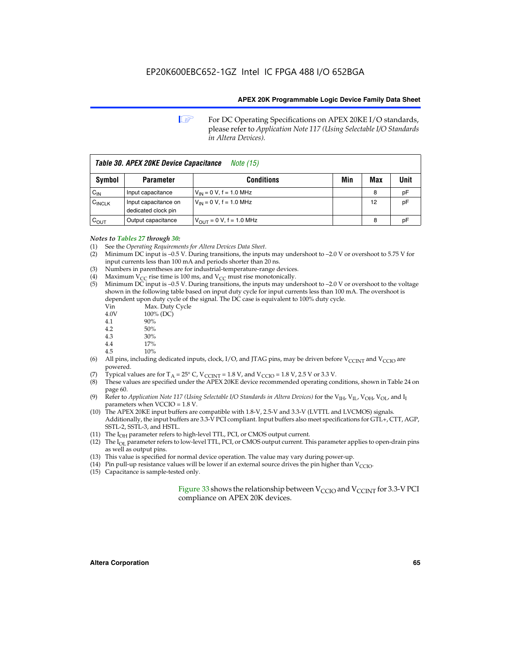**1 For DC Operating Specifications on APEX 20KE I/O standards,** please refer to *Application Note 117 (Using Selectable I/O Standards in Altera Devices).*

| Table 30. APEX 20KE Device Capacitance<br><i>Note</i> (15) |                                             |                                |     |     |      |
|------------------------------------------------------------|---------------------------------------------|--------------------------------|-----|-----|------|
| Symbol                                                     | <b>Parameter</b>                            | <b>Conditions</b>              | Min | Max | Unit |
| $C_{IN}$                                                   | Input capacitance                           | $V_{IN} = 0 V$ , f = 1.0 MHz   |     | 8   | рF   |
| $C_{\text{INCLK}}$                                         | Input capacitance on<br>dedicated clock pin | $V_{IN} = 0 V$ , f = 1.0 MHz   |     | 12  | pF   |
| $C_{OUT}$                                                  | Output capacitance                          | $V_{OUIT} = 0 V$ , f = 1.0 MHz |     | 8   | рF   |

- *Notes to Tables 27 through 30:* (1) See the *Operating Requirements for Altera Devices Data Sheet*.
- (2) Minimum DC input is –0.5 V. During transitions, the inputs may undershoot to –2.0 V or overshoot to 5.75 V for input currents less than 100 mA and periods shorter than 20 ns.
- (3) Numbers in parentheses are for industrial-temperature-range devices.
- (4) Maximum  $V_{CC}$  rise time is 100 ms, and  $V_{CC}$  must rise monotonically.<br>(5) Minimum DC input is -0.5 V. During transitions, the inputs may und
- Minimum DC input is  $-0.5$  V. During transitions, the inputs may undershoot to  $-2.0$  V or overshoot to the voltage shown in the following table based on input duty cycle for input currents less than 100 mA. The overshoot is dependent upon duty cycle of the signal. The DC case is equivalent to 100% duty cycle.

| Vin  | Max. Duty Cycle |
|------|-----------------|
| 4.0V | 100% (DC)       |
| 4.1  | 90%             |
| 4.2  | 50%             |
| 4.3  | 30%             |
|      |                 |

- 4.4  $17\%$ <br>4.5  $10\%$
- 10%
- (6) All pins, including dedicated inputs, clock, I/O, and JTAG pins, may be driven before  $V_{\text{CCINT}}$  and  $V_{\text{CCIO}}$  are powered.
- (7) Typical values are for  $T_A = 25^\circ$  C, V<sub>CCINT</sub> = 1.8 V, and V<sub>CCIO</sub> = 1.8 V, 2.5 V or 3.3 V.
- (8) These values are specified under the APEX 20KE device recommended operating conditions, shown in Table 24 on page 60.
- (9) Refer to *Application Note 117 (Using Selectable I/O Standards in Altera Devices)* for the V<sub>IH</sub>, V<sub>IL</sub>, V<sub>OH</sub>, V<sub>OL</sub>, and I<sub>I</sub> parameters when VCCIO = 1.8 V.
- (10) The APEX 20KE input buffers are compatible with 1.8-V, 2.5-V and 3.3-V (LVTTL and LVCMOS) signals. Additionally, the input buffers are 3.3-V PCI compliant. Input buffers also meet specifications for GTL+, CTT, AGP, SSTL-2, SSTL-3, and HSTL.
- (11) The  $I_{OH}$  parameter refers to high-level TTL, PCI, or CMOS output current.
- (12) The I<sub>OL</sub> parameter refers to low-level TTL, PCI, or CMOS output current. This parameter applies to open-drain pins as well as output pins.
- (13) This value is specified for normal device operation. The value may vary during power-up.
- (14) Pin pull-up resistance values will be lower if an external source drives the pin higher than  $V_{CCIO}$ .
- (15) Capacitance is sample-tested only.

Figure 33 shows the relationship between  $V_{\text{CCIO}}$  and  $V_{\text{CCINT}}$  for 3.3-V PCI compliance on APEX 20K devices.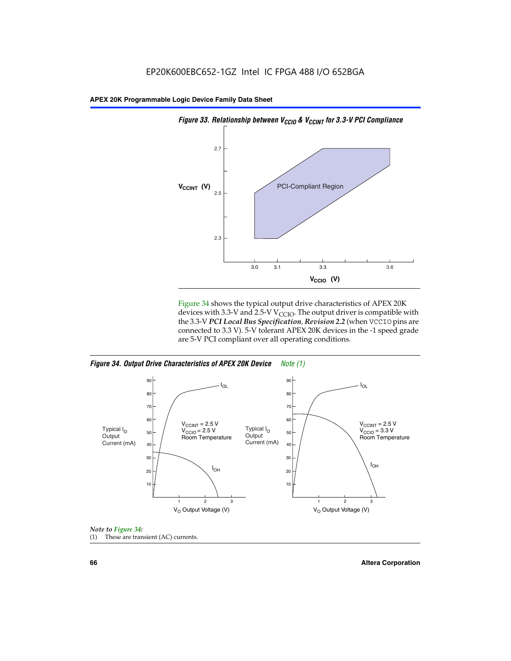

Figure 34 shows the typical output drive characteristics of APEX 20K devices with 3.3-V and 2.5-V V<sub>CCIO</sub>. The output driver is compatible with the 3.3-V *PCI Local Bus Specification, Revision 2.2* (when VCCIO pins are connected to 3.3 V). 5-V tolerant APEX 20K devices in the -1 speed grade are 5-V PCI compliant over all operating conditions.







**66 Altera Corporation**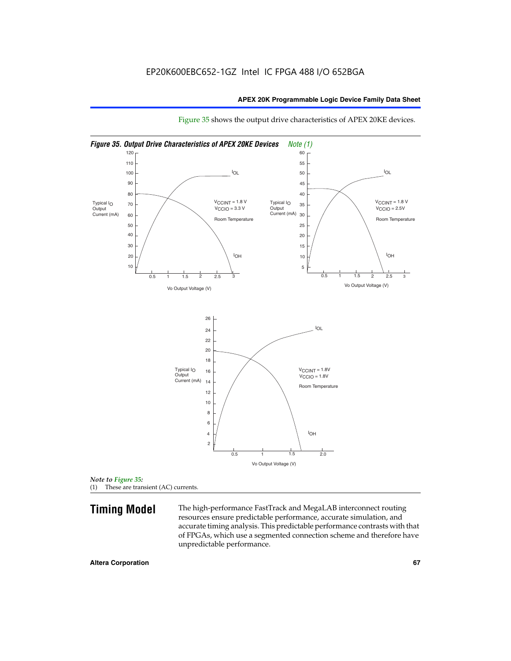

Figure 35 shows the output drive characteristics of APEX 20KE devices.

*Note to Figure 35:* (1) These are transient (AC) currents.

**Timing Model** The high-performance FastTrack and MegaLAB interconnect routing resources ensure predictable performance, accurate simulation, and accurate timing analysis. This predictable performance contrasts with that of FPGAs, which use a segmented connection scheme and therefore have unpredictable performance.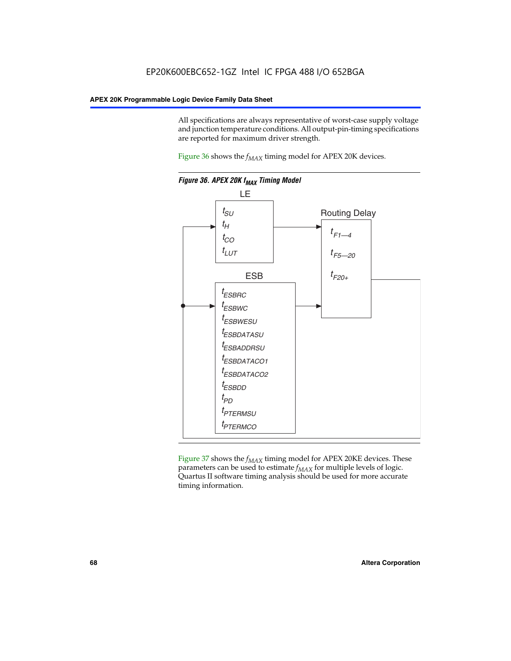All specifications are always representative of worst-case supply voltage and junction temperature conditions. All output-pin-timing specifications are reported for maximum driver strength.

Figure  $36$  shows the  $f_{MAX}$  timing model for APEX 20K devices.



Figure 37 shows the  $f_{MAX}$  timing model for APEX 20KE devices. These parameters can be used to estimate  $f_{MAX}$  for multiple levels of logic. Quartus II software timing analysis should be used for more accurate timing information.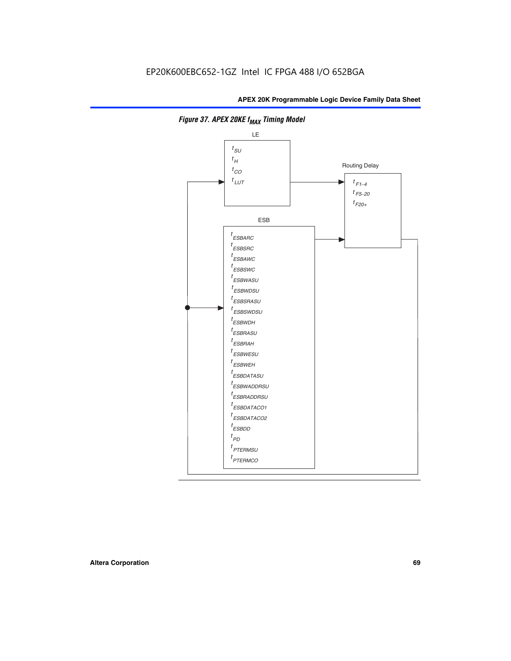

**Figure 37. APEX 20KE f<sub>MAX</sub> Timing Model**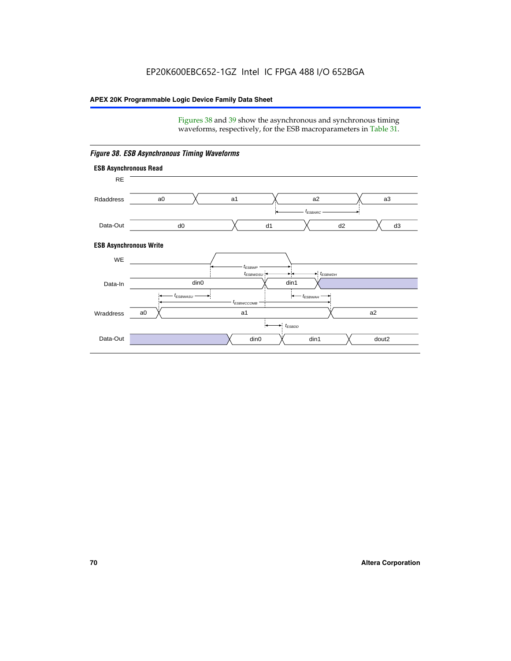Figures 38 and 39 show the asynchronous and synchronous timing waveforms, respectively, for the ESB macroparameters in Table 31.



*Figure 38. ESB Asynchronous Timing Waveforms*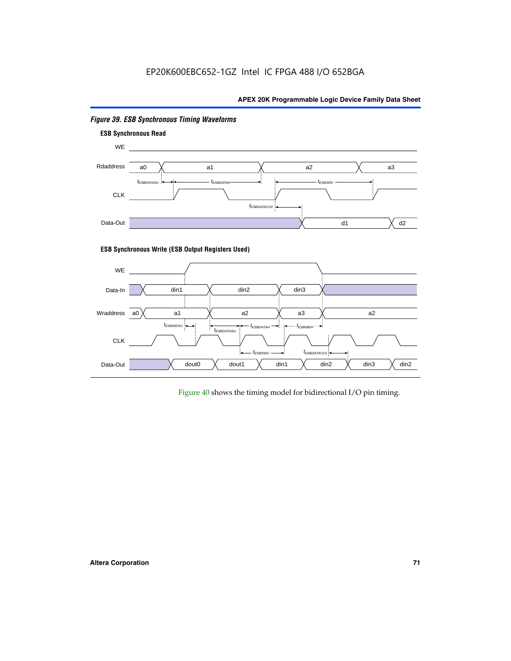

# *Figure 39. ESB Synchronous Timing Waveforms*

# **ESB Synchronous Write (ESB Output Registers Used)**



Figure 40 shows the timing model for bidirectional I/O pin timing.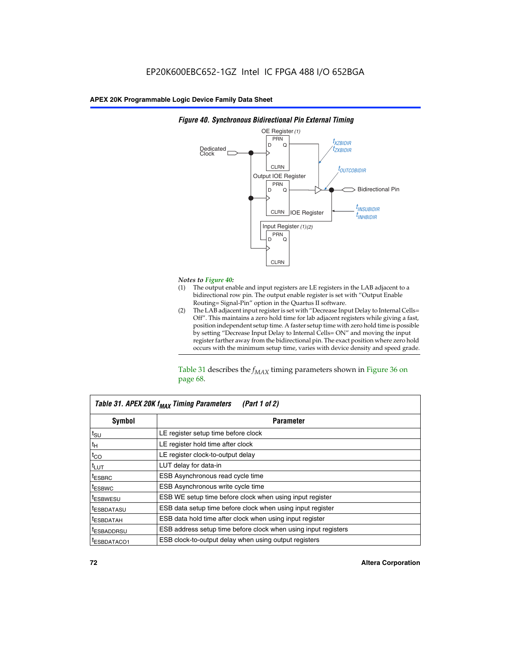

### *Figure 40. Synchronous Bidirectional Pin External Timing*

# *Notes to Figure 40:*

- The output enable and input registers are LE registers in the LAB adjacent to a bidirectional row pin. The output enable register is set with "Output Enable Routing= Signal-Pin" option in the Quartus II software.
- (2) The LAB adjacent input register is set with "Decrease Input Delay to Internal Cells= Off". This maintains a zero hold time for lab adjacent registers while giving a fast, position independent setup time. A faster setup time with zero hold time is possible by setting "Decrease Input Delay to Internal Cells= ON" and moving the input register farther away from the bidirectional pin. The exact position where zero hold occurs with the minimum setup time, varies with device density and speed grade.

Table 31 describes the  $f_{MAX}$  timing parameters shown in Figure 36 on page 68.

| Table 31. APEX 20K f <sub>MAX</sub> Timing Parameters<br>(Part 1 of 2) |                                                                |  |  |  |  |
|------------------------------------------------------------------------|----------------------------------------------------------------|--|--|--|--|
| Symbol                                                                 | <b>Parameter</b>                                               |  |  |  |  |
| $t_{\text{SU}}$                                                        | LE register setup time before clock                            |  |  |  |  |
| $t_H$                                                                  | LE register hold time after clock                              |  |  |  |  |
| $t_{CO}$                                                               | LE register clock-to-output delay                              |  |  |  |  |
| t <sub>LUT</sub>                                                       | LUT delay for data-in                                          |  |  |  |  |
| <sup>t</sup> ESBRC                                                     | ESB Asynchronous read cycle time                               |  |  |  |  |
| <sup>t</sup> ESBWC                                                     | ESB Asynchronous write cycle time                              |  |  |  |  |
| <sup>t</sup> ESBWESU                                                   | ESB WE setup time before clock when using input register       |  |  |  |  |
| <sup>t</sup> ESBDATASU                                                 | ESB data setup time before clock when using input register     |  |  |  |  |
| <sup>t</sup> ESBDATAH                                                  | ESB data hold time after clock when using input register       |  |  |  |  |
| <sup>t</sup> ESBADDRSU                                                 | ESB address setup time before clock when using input registers |  |  |  |  |
| ESBDATACO1                                                             | ESB clock-to-output delay when using output registers          |  |  |  |  |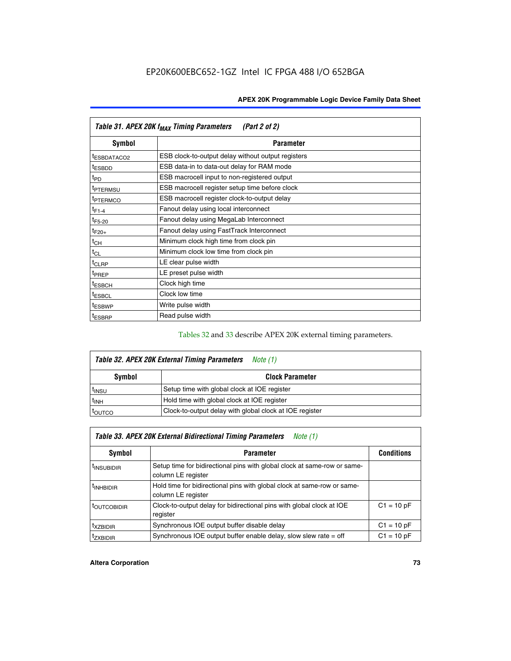| Table 31. APEX 20K f <sub>MAX</sub> Timing Parameters<br>(Part 2 of 2) |                                                    |  |  |  |  |
|------------------------------------------------------------------------|----------------------------------------------------|--|--|--|--|
| Symbol                                                                 | <b>Parameter</b>                                   |  |  |  |  |
| t <sub>ESBDATACO2</sub>                                                | ESB clock-to-output delay without output registers |  |  |  |  |
| <sup>t</sup> ESBDD                                                     | ESB data-in to data-out delay for RAM mode         |  |  |  |  |
| t <sub>PD</sub>                                                        | ESB macrocell input to non-registered output       |  |  |  |  |
| <sup>t</sup> PTERMSU                                                   | ESB macrocell register setup time before clock     |  |  |  |  |
| <sup>t</sup> PTERMCO                                                   | ESB macrocell register clock-to-output delay       |  |  |  |  |
| $t_{F1-4}$                                                             | Fanout delay using local interconnect              |  |  |  |  |
| $t_{F5-20}$                                                            | Fanout delay using MegaLab Interconnect            |  |  |  |  |
| $t_{F20+}$                                                             | Fanout delay using FastTrack Interconnect          |  |  |  |  |
| $t_{CH}$                                                               | Minimum clock high time from clock pin             |  |  |  |  |
| $t_{CL}$                                                               | Minimum clock low time from clock pin              |  |  |  |  |
| t <sub>CLRP</sub>                                                      | LE clear pulse width                               |  |  |  |  |
| t <sub>PREP</sub>                                                      | LE preset pulse width                              |  |  |  |  |
| <sup>t</sup> ESBCH                                                     | Clock high time                                    |  |  |  |  |
| <sup>t</sup> ESBCL                                                     | Clock low time                                     |  |  |  |  |
| <sup>t</sup> ESBWP                                                     | Write pulse width                                  |  |  |  |  |
| <sup>t</sup> ESBRP                                                     | Read pulse width                                   |  |  |  |  |

### Tables 32 and 33 describe APEX 20K external timing parameters.

| Table 32. APEX 20K External Timing Parameters<br>Note (1) |                                                         |  |  |  |  |
|-----------------------------------------------------------|---------------------------------------------------------|--|--|--|--|
| <b>Symbol</b>                                             | <b>Clock Parameter</b>                                  |  |  |  |  |
| <sup>t</sup> insu                                         | Setup time with global clock at IOE register            |  |  |  |  |
| $t_{\mathsf{INH}}$                                        | Hold time with global clock at IOE register             |  |  |  |  |
| <b>IOUTCO</b>                                             | Clock-to-output delay with global clock at IOE register |  |  |  |  |

| Table 33. APEX 20K External Bidirectional Timing Parameters<br>Note (1) |                                                                                                |              |  |  |  |  |
|-------------------------------------------------------------------------|------------------------------------------------------------------------------------------------|--------------|--|--|--|--|
| Symbol                                                                  | <b>Conditions</b><br><b>Parameter</b>                                                          |              |  |  |  |  |
| <sup>I</sup> INSUBIDIR                                                  | Setup time for bidirectional pins with global clock at same-row or same-<br>column LE register |              |  |  |  |  |
| <sup>t</sup> INHBIDIR                                                   | Hold time for bidirectional pins with global clock at same-row or same-<br>column LE register  |              |  |  |  |  |
| <sup>t</sup> OUTCOBIDIR                                                 | Clock-to-output delay for bidirectional pins with global clock at IOE<br>register              | $C1 = 10 pF$ |  |  |  |  |
| <sup>T</sup> XZBIDIR                                                    | Synchronous IOE output buffer disable delay                                                    | $C1 = 10 pF$ |  |  |  |  |
| <sup>I</sup> ZXBIDIR                                                    | Synchronous IOE output buffer enable delay, slow slew rate $=$ off                             | $C1 = 10 pF$ |  |  |  |  |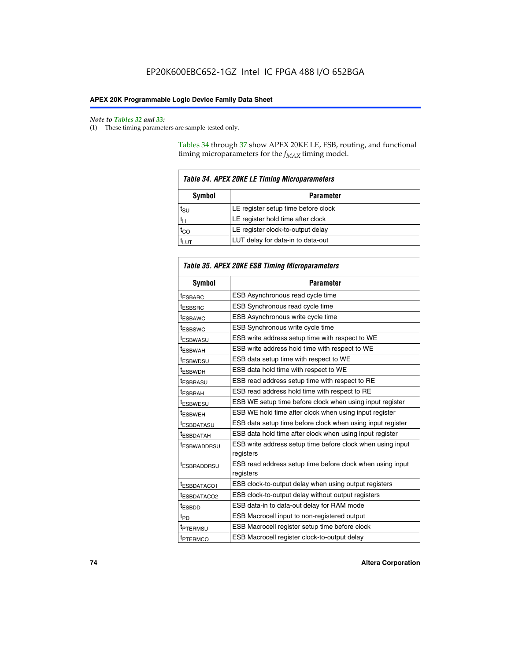$\mathbf{r}$ 

#### *Note to Tables 32 and 33:*

(1) These timing parameters are sample-tested only.

Tables 34 through 37 show APEX 20KE LE, ESB, routing, and functional timing microparameters for the  $f_{MAX}$  timing model.

| <b>Table 34. APEX 20KE LE Timing Microparameters</b> |                                     |  |  |  |  |
|------------------------------------------------------|-------------------------------------|--|--|--|--|
| Symbol<br><b>Parameter</b>                           |                                     |  |  |  |  |
| t <sub>SU</sub>                                      | LE register setup time before clock |  |  |  |  |
| $t_H$                                                | LE register hold time after clock   |  |  |  |  |
| $t_{CO}$                                             | LE register clock-to-output delay   |  |  |  |  |
| <b>LUT</b>                                           | LUT delay for data-in to data-out   |  |  |  |  |

| Table 35. APEX 20KE ESB Timing Microparameters |                                                            |  |  |  |
|------------------------------------------------|------------------------------------------------------------|--|--|--|
| Symbol                                         | <b>Parameter</b>                                           |  |  |  |
| <sup>t</sup> ESBARC                            | ESB Asynchronous read cycle time                           |  |  |  |
| <sup>t</sup> ESBSRC                            | ESB Synchronous read cycle time                            |  |  |  |
| <b><i>ESBAWC</i></b>                           | ESB Asynchronous write cycle time                          |  |  |  |
| t <sub>ESBSWC</sub>                            | ESB Synchronous write cycle time                           |  |  |  |
| t <sub>ESBWASU</sub>                           | ESB write address setup time with respect to WE            |  |  |  |
| <sup>t</sup> ESBWAH                            | ESB write address hold time with respect to WE             |  |  |  |
| t <sub>ESBWDSU</sub>                           | ESB data setup time with respect to WE                     |  |  |  |
| <sup>t</sup> ESBWDH                            | ESB data hold time with respect to WE                      |  |  |  |
| tESBRASU                                       | ESB read address setup time with respect to RE             |  |  |  |
| <sup>t</sup> ESBRAH                            | ESB read address hold time with respect to RE              |  |  |  |
| <i>ESBWESU</i>                                 | ESB WE setup time before clock when using input register   |  |  |  |
| t <sub>ESBWEH</sub>                            | ESB WE hold time after clock when using input register     |  |  |  |
| <b><i>t</i>ESBDATASU</b>                       | ESB data setup time before clock when using input register |  |  |  |
| t <sub>ESBDATAH</sub>                          | ESB data hold time after clock when using input register   |  |  |  |
| t <sub>ESBWADDRSU</sub>                        | ESB write address setup time before clock when using input |  |  |  |
|                                                | registers                                                  |  |  |  |
| <i><b>LESBRADDRSU</b></i>                      | ESB read address setup time before clock when using input  |  |  |  |
|                                                | registers                                                  |  |  |  |
| t <sub>ESBDATACO1</sub>                        | ESB clock-to-output delay when using output registers      |  |  |  |
| t <sub>ESBDATACO2</sub>                        | ESB clock-to-output delay without output registers         |  |  |  |
| $t_{ESBDD}$                                    | ESB data-in to data-out delay for RAM mode                 |  |  |  |
| $t_{\mathsf{PD}}$                              | ESB Macrocell input to non-registered output               |  |  |  |
| t <sub>PTERMSU</sub>                           | ESB Macrocell register setup time before clock             |  |  |  |
| t <sub>PTERMCO</sub>                           | ESB Macrocell register clock-to-output delay               |  |  |  |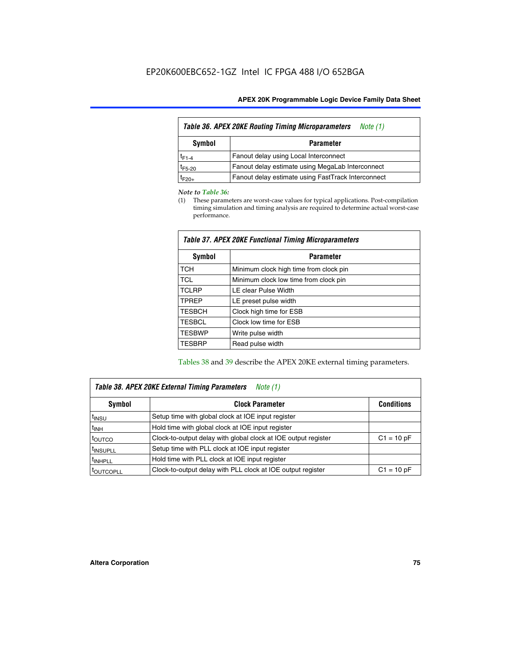| <b>Table 36. APEX 20KE Routing Timing Microparameters</b><br>Note (1) |                                                    |  |  |  |  |
|-----------------------------------------------------------------------|----------------------------------------------------|--|--|--|--|
| Symbol<br><b>Parameter</b>                                            |                                                    |  |  |  |  |
| $t_{F1-4}$                                                            | Fanout delay using Local Interconnect              |  |  |  |  |
| $t_{F5-20}$                                                           | Fanout delay estimate using MegaLab Interconnect   |  |  |  |  |
| $t_{F20+}$                                                            | Fanout delay estimate using FastTrack Interconnect |  |  |  |  |

#### *Note to Table 36:*

(1) These parameters are worst-case values for typical applications. Post-compilation timing simulation and timing analysis are required to determine actual worst-case performance.

| Symbol        | <b>Parameter</b>                       |  |  |  |  |  |
|---------------|----------------------------------------|--|--|--|--|--|
| <b>TCH</b>    | Minimum clock high time from clock pin |  |  |  |  |  |
| <b>TCL</b>    | Minimum clock low time from clock pin  |  |  |  |  |  |
| <b>TCLRP</b>  | LE clear Pulse Width                   |  |  |  |  |  |
| <b>TPREP</b>  | LE preset pulse width                  |  |  |  |  |  |
| <b>TESBCH</b> | Clock high time for ESB                |  |  |  |  |  |
| <b>TESBCL</b> | Clock low time for ESB                 |  |  |  |  |  |
| <b>TESBWP</b> | Write pulse width                      |  |  |  |  |  |
| <b>TESBRP</b> | Read pulse width                       |  |  |  |  |  |

## *Table 37. APEX 20KE Functional Timing Microparameters*

Tables 38 and 39 describe the APEX 20KE external timing parameters.

| Table 38. APEX 20KE External Timing Parameters<br>Note (1) |                                                                |              |  |  |  |
|------------------------------------------------------------|----------------------------------------------------------------|--------------|--|--|--|
| <b>Clock Parameter</b><br>Symbol<br><b>Conditions</b>      |                                                                |              |  |  |  |
| <sup>t</sup> insu                                          | Setup time with global clock at IOE input register             |              |  |  |  |
| $t_{\text{INH}}$                                           | Hold time with global clock at IOE input register              |              |  |  |  |
| toutco                                                     | Clock-to-output delay with global clock at IOE output register | $C1 = 10 pF$ |  |  |  |
| <sup>t</sup> INSUPLL                                       | Setup time with PLL clock at IOE input register                |              |  |  |  |
| <sup>t</sup> INHPLL                                        | Hold time with PLL clock at IOE input register                 |              |  |  |  |
| <sup>I</sup> OUTCOPLL                                      | Clock-to-output delay with PLL clock at IOE output register    | $C1 = 10 pF$ |  |  |  |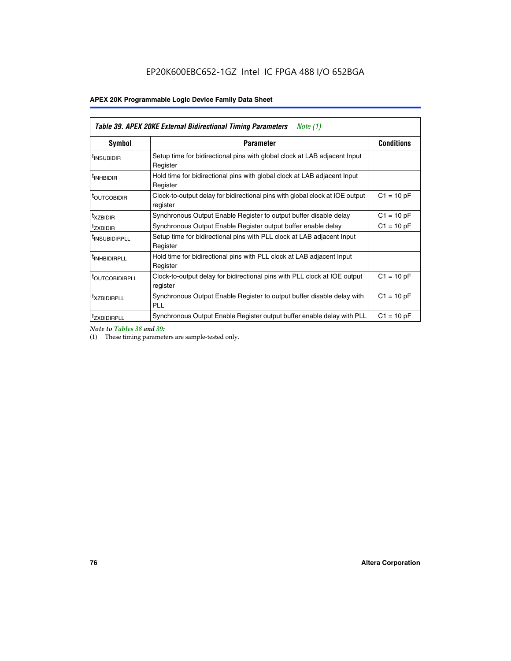| Table 39. APEX 20KE External Bidirectional Timing Parameters<br>Note $(1)$ |                                                                                                          |              |  |  |  |  |  |  |
|----------------------------------------------------------------------------|----------------------------------------------------------------------------------------------------------|--------------|--|--|--|--|--|--|
| <b>Symbol</b>                                                              | <b>Conditions</b><br><b>Parameter</b>                                                                    |              |  |  |  |  |  |  |
| <sup>t</sup> INSUBIDIR                                                     | Setup time for bidirectional pins with global clock at LAB adjacent Input<br>Register                    |              |  |  |  |  |  |  |
| <sup>t</sup> INHBIDIR                                                      | Hold time for bidirectional pins with global clock at LAB adjacent Input<br>Register                     |              |  |  |  |  |  |  |
| <b><i>LOUTCOBIDIR</i></b>                                                  | $C1 = 10 pF$<br>Clock-to-output delay for bidirectional pins with global clock at IOE output<br>register |              |  |  |  |  |  |  |
| t <sub>XZBIDIR</sub>                                                       | $C1 = 10 pF$<br>Synchronous Output Enable Register to output buffer disable delay                        |              |  |  |  |  |  |  |
| <sup>t</sup> zxbidir                                                       | Synchronous Output Enable Register output buffer enable delay                                            | $C1 = 10 pF$ |  |  |  |  |  |  |
| <sup>I</sup> INSUBIDIRPLL                                                  | Setup time for bidirectional pins with PLL clock at LAB adjacent Input<br>Register                       |              |  |  |  |  |  |  |
| <sup>t</sup> INHBIDIRPLL                                                   | Hold time for bidirectional pins with PLL clock at LAB adjacent Input<br>Register                        |              |  |  |  |  |  |  |
| <sup>t</sup> OUTCOBIDIRPLL                                                 | Clock-to-output delay for bidirectional pins with PLL clock at IOE output<br>register                    | $C1 = 10 pF$ |  |  |  |  |  |  |
| <sup>t</sup> XZBIDIRPLL                                                    | Synchronous Output Enable Register to output buffer disable delay with<br><b>PLL</b>                     | $C1 = 10 pF$ |  |  |  |  |  |  |
| <sup>I</sup> ZXBIDIRPLL                                                    | Synchronous Output Enable Register output buffer enable delay with PLL                                   | $C1 = 10 pF$ |  |  |  |  |  |  |

*Note to Tables 38 and 39:*

(1) These timing parameters are sample-tested only.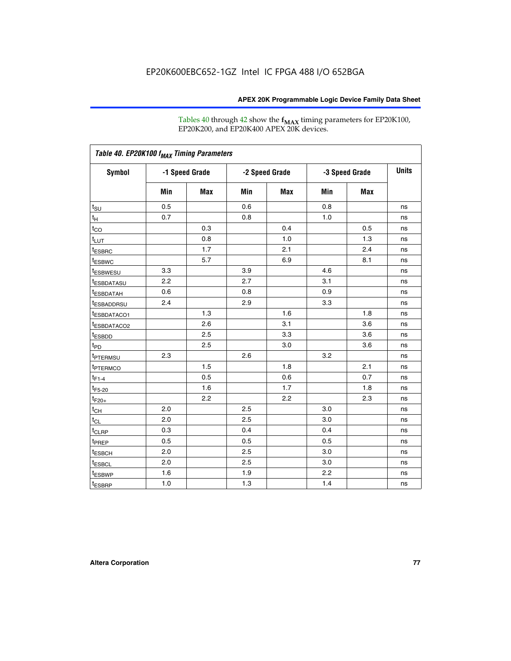Tables 40 through 42 show the **f<sub>MAX</sub>** timing parameters for EP20K100, EP20K200, and EP20K400 APEX 20K devices.

|                         |     |                |     |                |     |                | <b>Units</b> |
|-------------------------|-----|----------------|-----|----------------|-----|----------------|--------------|
| <b>Symbol</b>           |     | -1 Speed Grade |     | -2 Speed Grade |     | -3 Speed Grade |              |
|                         | Min | Max            | Min | Max            | Min | <b>Max</b>     |              |
| $t_{\text{SU}}$         | 0.5 |                | 0.6 |                | 0.8 |                | ns           |
| $t_H$                   | 0.7 |                | 0.8 |                | 1.0 |                | ns           |
| $t_{CO}$                |     | 0.3            |     | 0.4            |     | 0.5            | ns           |
| $t_{LUT}$               |     | 0.8            |     | 1.0            |     | 1.3            | ns           |
| <sup>t</sup> ESBRC      |     | 1.7            |     | 2.1            |     | 2.4            | ns           |
| t <sub>ESBWC</sub>      |     | 5.7            |     | 6.9            |     | 8.1            | ns           |
| <sup>t</sup> ESBWESU    | 3.3 |                | 3.9 |                | 4.6 |                | ns           |
| <sup>t</sup> ESBDATASU  | 2.2 |                | 2.7 |                | 3.1 |                | ns           |
| <sup>t</sup> ESBDATAH   | 0.6 |                | 0.8 |                | 0.9 |                | ns           |
| <sup>t</sup> ESBADDRSU  | 2.4 |                | 2.9 |                | 3.3 |                | ns           |
| <sup>t</sup> ESBDATACO1 |     | 1.3            |     | 1.6            |     | 1.8            | ns           |
| t <sub>ESBDATACO2</sub> |     | 2.6            |     | 3.1            |     | 3.6            | ns           |
| t <sub>ESBDD</sub>      |     | 2.5            |     | 3.3            |     | 3.6            | ns           |
| t <sub>PD</sub>         |     | 2.5            |     | 3.0            |     | 3.6            | ns           |
| <sup>t</sup> PTERMSU    | 2.3 |                | 2.6 |                | 3.2 |                | ns           |
| t <sub>PTERMCO</sub>    |     | 1.5            |     | 1.8            |     | 2.1            | ns           |
| $t_{F1-4}$              |     | 0.5            |     | 0.6            |     | 0.7            | ns           |
| $t_{F5-20}$             |     | 1.6            |     | 1.7            |     | 1.8            | ns           |
| $t_{F20+}$              |     | 2.2            |     | 2.2            |     | 2.3            | ns           |
| $t_{\mathsf{CH}}$       | 2.0 |                | 2.5 |                | 3.0 |                | ns           |
| $t_{CL}$                | 2.0 |                | 2.5 |                | 3.0 |                | ns           |
| t <sub>CLRP</sub>       | 0.3 |                | 0.4 |                | 0.4 |                | ns           |
| t <sub>PREP</sub>       | 0.5 |                | 0.5 |                | 0.5 |                | ns           |
| t <sub>ESBCH</sub>      | 2.0 |                | 2.5 |                | 3.0 |                | ns           |
| t <sub>ESBCL</sub>      | 2.0 |                | 2.5 |                | 3.0 |                | ns           |
| t <sub>ESBWP</sub>      | 1.6 |                | 1.9 |                | 2.2 |                | ns           |
| $t_{ESBRP}$             | 1.0 |                | 1.3 |                | 1.4 |                | ns           |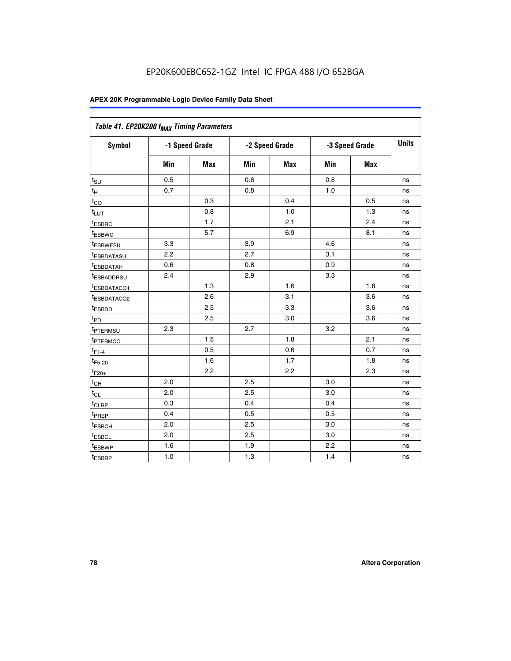| Table 41. EP20K200 f <sub>MAX</sub> Timing Parameters |                |     |     |                |     |                |    |
|-------------------------------------------------------|----------------|-----|-----|----------------|-----|----------------|----|
| Symbol                                                | -1 Speed Grade |     |     | -2 Speed Grade |     | -3 Speed Grade |    |
|                                                       | Min            | Max | Min | <b>Max</b>     | Min | Max            |    |
| $t_{\text{SU}}$                                       | 0.5            |     | 0.6 |                | 0.8 |                | ns |
| $t_H$                                                 | 0.7            |     | 0.8 |                | 1.0 |                | ns |
| $t_{CO}$                                              |                | 0.3 |     | 0.4            |     | 0.5            | ns |
| $t_{LUT}$                                             |                | 0.8 |     | 1.0            |     | 1.3            | ns |
| t <sub>ESBRC</sub>                                    |                | 1.7 |     | 2.1            |     | 2.4            | ns |
| t <sub>ESBWC</sub>                                    |                | 5.7 |     | 6.9            |     | 8.1            | ns |
| t <sub>ESBWESU</sub>                                  | 3.3            |     | 3.9 |                | 4.6 |                | ns |
| <sup>t</sup> ESBDATASU                                | 2.2            |     | 2.7 |                | 3.1 |                | ns |
| t <sub>ESBDATAH</sub>                                 | 0.6            |     | 0.8 |                | 0.9 |                | ns |
| t <sub>ESBADDRSU</sub>                                | 2.4            |     | 2.9 |                | 3.3 |                | ns |
| <u>t<sub>ESBDATACO1</sub></u>                         |                | 1.3 |     | 1.6            |     | 1.8            | ns |
| <sup>t</sup> ESBDATACO2                               |                | 2.6 |     | 3.1            |     | 3.6            | ns |
| t <sub>ESBDD</sub>                                    |                | 2.5 |     | 3.3            |     | 3.6            | ns |
| t <sub>PD</sub>                                       |                | 2.5 |     | 3.0            |     | 3.6            | ns |
| t <sub>PTERMSU</sub>                                  | 2.3            |     | 2.7 |                | 3.2 |                | ns |
| t <sub>PTERMCO</sub>                                  |                | 1.5 |     | 1.8            |     | 2.1            | ns |
| $t_{F1-4}$                                            |                | 0.5 |     | 0.6            |     | 0.7            | ns |
| $t_{F5-20}$                                           |                | 1.6 |     | 1.7            |     | 1.8            | ns |
| $t_{F20+}$                                            |                | 2.2 |     | 2.2            |     | 2.3            | ns |
| $\textnormal{t}_{\textnormal{CH}}$                    | 2.0            |     | 2.5 |                | 3.0 |                | ns |
| $t_{CL}$                                              | 2.0            |     | 2.5 |                | 3.0 |                | ns |
| t <sub>CLRP</sub>                                     | 0.3            |     | 0.4 |                | 0.4 |                | ns |
| t <sub>PREP</sub>                                     | 0.4            |     | 0.5 |                | 0.5 |                | ns |
| t <sub>ESBCH</sub>                                    | 2.0            |     | 2.5 |                | 3.0 |                | ns |
| t <sub>ESBCL</sub>                                    | 2.0            |     | 2.5 |                | 3.0 |                | ns |
| t <sub>ESBWP</sub>                                    | 1.6            |     | 1.9 |                | 2.2 |                | ns |
| t <sub>ESBRP</sub>                                    | 1.0            |     | 1.3 |                | 1.4 |                | ns |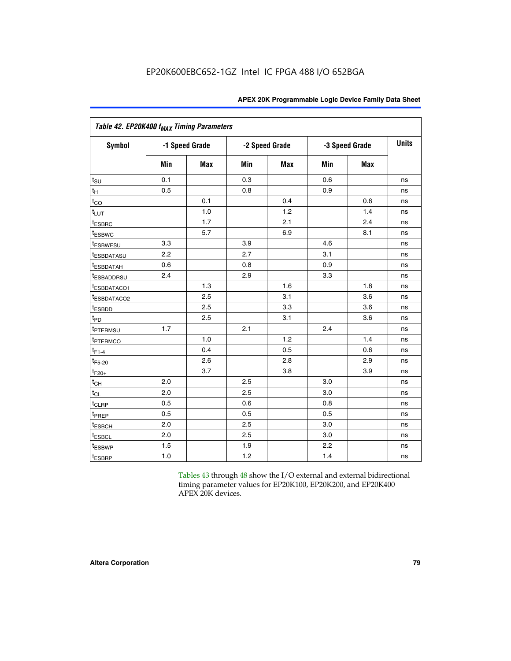|                           | Table 42. EP20K400 f <sub>MAX</sub> Timing Parameters |                |     |                |     |                |              |  |  |  |  |
|---------------------------|-------------------------------------------------------|----------------|-----|----------------|-----|----------------|--------------|--|--|--|--|
| <b>Symbol</b>             |                                                       | -1 Speed Grade |     | -2 Speed Grade |     | -3 Speed Grade | <b>Units</b> |  |  |  |  |
|                           | Min                                                   | <b>Max</b>     | Min | Max            | Min | <b>Max</b>     |              |  |  |  |  |
| $t_{\text{SU}}$           | 0.1                                                   |                | 0.3 |                | 0.6 |                | ns           |  |  |  |  |
| $t_H$                     | 0.5                                                   |                | 0.8 |                | 0.9 |                | ns           |  |  |  |  |
| $t_{CO}$                  |                                                       | 0.1            |     | 0.4            |     | 0.6            | ns           |  |  |  |  |
| t <sub>LUT</sub>          |                                                       | 1.0            |     | 1.2            |     | 1.4            | ns           |  |  |  |  |
| t <sub>ESBRC</sub>        |                                                       | 1.7            |     | 2.1            |     | 2.4            | ns           |  |  |  |  |
| <b>t</b> <sub>ESBWC</sub> |                                                       | 5.7            |     | 6.9            |     | 8.1            | ns           |  |  |  |  |
| <i>t</i> ESBWESU          | 3.3                                                   |                | 3.9 |                | 4.6 |                | ns           |  |  |  |  |
| <sup>t</sup> ESBDATASU    | 2.2                                                   |                | 2.7 |                | 3.1 |                | ns           |  |  |  |  |
| t <sub>ESBDATAH</sub>     | 0.6                                                   |                | 0.8 |                | 0.9 |                | ns           |  |  |  |  |
| <sup>t</sup> ESBADDRSU    | 2.4                                                   |                | 2.9 |                | 3.3 |                | ns           |  |  |  |  |
| t <sub>ESBDATACO1</sub>   |                                                       | 1.3            |     | 1.6            |     | 1.8            | ns           |  |  |  |  |
| <sup>t</sup> ESBDATACO2   |                                                       | 2.5            |     | 3.1            |     | 3.6            | ns           |  |  |  |  |
| t <sub>ESBDD</sub>        |                                                       | 2.5            |     | 3.3            |     | 3.6            | ns           |  |  |  |  |
| $t_{PD}$                  |                                                       | 2.5            |     | 3.1            |     | 3.6            | ns           |  |  |  |  |
| t <sub>PTERMSU</sub>      | 1.7                                                   |                | 2.1 |                | 2.4 |                | ns           |  |  |  |  |
| t <sub>PTERMCO</sub>      |                                                       | 1.0            |     | 1.2            |     | 1.4            | ns           |  |  |  |  |
| $t_{F1-4}$                |                                                       | 0.4            |     | 0.5            |     | 0.6            | ns           |  |  |  |  |
| $t_{F5-20}$               |                                                       | 2.6            |     | 2.8            |     | 2.9            | ns           |  |  |  |  |
| $t_{F20+}$                |                                                       | 3.7            |     | 3.8            |     | 3.9            | ns           |  |  |  |  |
| $t_{\text{CH}}$           | 2.0                                                   |                | 2.5 |                | 3.0 |                | ns           |  |  |  |  |
| $t_{CL}$                  | 2.0                                                   |                | 2.5 |                | 3.0 |                | ns           |  |  |  |  |
| t <sub>CLRP</sub>         | 0.5                                                   |                | 0.6 |                | 0.8 |                | ns           |  |  |  |  |
| t <sub>PREP</sub>         | 0.5                                                   |                | 0.5 |                | 0.5 |                | ns           |  |  |  |  |
| t <sub>ESBCH</sub>        | 2.0                                                   |                | 2.5 |                | 3.0 |                | ns           |  |  |  |  |
| t <sub>ESBCL</sub>        | 2.0                                                   |                | 2.5 |                | 3.0 |                | ns           |  |  |  |  |
| t <sub>ESBWP</sub>        | 1.5                                                   |                | 1.9 |                | 2.2 |                | ns           |  |  |  |  |
| t <sub>ESBRP</sub>        | 1.0                                                   |                | 1.2 |                | 1.4 |                | ns           |  |  |  |  |

Tables 43 through 48 show the I/O external and external bidirectional timing parameter values for EP20K100, EP20K200, and EP20K400 APEX 20K devices.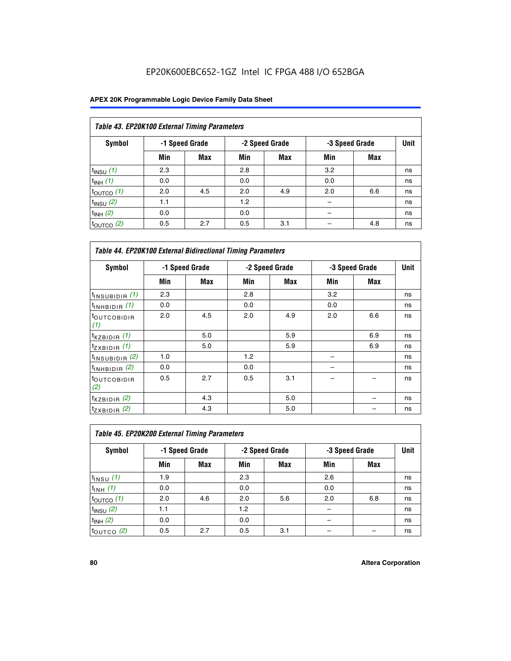## EP20K600EBC652-1GZ Intel IC FPGA 488 I/O 652BGA

| Table 43. EP20K100 External Timing Parameters |     |                |     |                |     |                |             |  |  |  |  |
|-----------------------------------------------|-----|----------------|-----|----------------|-----|----------------|-------------|--|--|--|--|
| Symbol                                        |     | -1 Speed Grade |     | -2 Speed Grade |     | -3 Speed Grade | <b>Unit</b> |  |  |  |  |
|                                               | Min | Max            | Min | <b>Max</b>     | Min | <b>Max</b>     |             |  |  |  |  |
| $t_{INSU}$ (1)                                | 2.3 |                | 2.8 |                | 3.2 |                | ns          |  |  |  |  |
| $t_{INH}$ (1)                                 | 0.0 |                | 0.0 |                | 0.0 |                | ns          |  |  |  |  |
| $t_{\text{OUTCO}}(1)$                         | 2.0 | 4.5            | 2.0 | 4.9            | 2.0 | 6.6            | ns          |  |  |  |  |
| $t_{IN}$ su $(2)$                             | 1.1 |                | 1.2 |                |     |                | ns          |  |  |  |  |
| $t_{INH}$ (2)                                 | 0.0 |                | 0.0 |                |     |                | ns          |  |  |  |  |
| $t_{\text{OUTCO}}$ (2)                        | 0.5 | 2.7            | 0.5 | 3.1            |     | 4.8            | ns          |  |  |  |  |

|                                | <b>Table 44. EP20K100 External Bidirectional Timing Parameters</b> |     |     |                |     |                |    |  |  |  |  |
|--------------------------------|--------------------------------------------------------------------|-----|-----|----------------|-----|----------------|----|--|--|--|--|
| Symbol                         | -1 Speed Grade                                                     |     |     | -2 Speed Grade |     | -3 Speed Grade |    |  |  |  |  |
|                                | Min                                                                | Max | Min | Max            | Min | <b>Max</b>     |    |  |  |  |  |
| $t_{\text{INSUBIDIR}}(1)$      | 2.3                                                                |     | 2.8 |                | 3.2 |                | ns |  |  |  |  |
| $t_{INHBIDIR}$ (1)             | 0.0                                                                |     | 0.0 |                | 0.0 |                | ns |  |  |  |  |
| <sup>t</sup> OUTCOBIDIR<br>(1) | 2.0                                                                | 4.5 | 2.0 | 4.9            | 2.0 | 6.6            | ns |  |  |  |  |
| $t_{XZBIDIR}$ (1)              |                                                                    | 5.0 |     | 5.9            |     | 6.9            | ns |  |  |  |  |
| $t_{ZXBIDIR}$ (1)              |                                                                    | 5.0 |     | 5.9            |     | 6.9            | ns |  |  |  |  |
| $t_{INSUBIDIR}$ (2)            | 1.0                                                                |     | 1.2 |                |     |                | ns |  |  |  |  |
| $t_{INHBIDIR}$ (2)             | 0.0                                                                |     | 0.0 |                |     |                | ns |  |  |  |  |
| <sup>t</sup> OUTCOBIDIR<br>(2) | 0.5                                                                | 2.7 | 0.5 | 3.1            |     |                | ns |  |  |  |  |
| $t_{XZBIDIR}$ (2)              |                                                                    | 4.3 |     | 5.0            |     |                | ns |  |  |  |  |
| $t_{ZXBIDIR}$ (2)              |                                                                    | 4.3 |     | 5.0            |     |                | ns |  |  |  |  |

| Table 45. EP20K200 External Timing Parameters |                |     |     |                |     |                |      |  |  |  |  |
|-----------------------------------------------|----------------|-----|-----|----------------|-----|----------------|------|--|--|--|--|
| Symbol                                        | -1 Speed Grade |     |     | -2 Speed Grade |     | -3 Speed Grade | Unit |  |  |  |  |
|                                               | Min            | Max | Min | Max            | Min | Max            |      |  |  |  |  |
| $t$ <sub>INSU</sub> $(1)$                     | 1.9            |     | 2.3 |                | 2.6 |                | ns   |  |  |  |  |
| $t_{INH}$ (1)                                 | 0.0            |     | 0.0 |                | 0.0 |                | ns   |  |  |  |  |
| $t_{\text{OUTCO}}(1)$                         | 2.0            | 4.6 | 2.0 | 5.6            | 2.0 | 6.8            | ns   |  |  |  |  |
| $t_{INSU}$ (2)                                | 1.1            |     | 1.2 |                |     |                | ns   |  |  |  |  |
| $t_{INH}$ (2)                                 | 0.0            |     | 0.0 |                |     |                | ns   |  |  |  |  |
| $t_{\text{OUTCO}}$ (2)                        | 0.5            | 2.7 | 0.5 | 3.1            |     |                | ns   |  |  |  |  |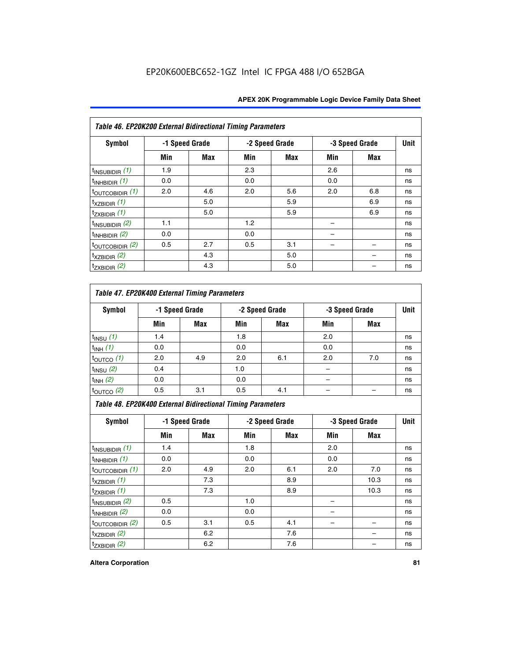| Table 46. EP20K200 External Bidirectional Timing Parameters |     |                |     |                |     |                |             |
|-------------------------------------------------------------|-----|----------------|-----|----------------|-----|----------------|-------------|
| Symbol                                                      |     | -1 Speed Grade |     | -2 Speed Grade |     | -3 Speed Grade | <b>Unit</b> |
|                                                             | Min | Max            | Min | Max            | Min | Max            |             |
| $t_{\text{INSUBIDIR}}(1)$                                   | 1.9 |                | 2.3 |                | 2.6 |                | ns          |
| $t_{INHBIDIR}$ (1)                                          | 0.0 |                | 0.0 |                | 0.0 |                | ns          |
| $t_{\text{OUTCOBIDIR}}(1)$                                  | 2.0 | 4.6            | 2.0 | 5.6            | 2.0 | 6.8            | ns          |
| $t_{XZBIDIR}$ (1)                                           |     | 5.0            |     | 5.9            |     | 6.9            | ns          |
| $t_{ZXBIDIR}$ (1)                                           |     | 5.0            |     | 5.9            |     | 6.9            | ns          |
| $t_{INSUBIDIR}$ (2)                                         | 1.1 |                | 1.2 |                |     |                | ns          |
| $t_{INHBIDIR}$ (2)                                          | 0.0 |                | 0.0 |                |     |                | ns          |
| $t_{\text{OUTCOBIDIR}}(2)$                                  | 0.5 | 2.7            | 0.5 | 3.1            |     |                | ns          |
| $t_{XZBIDIR}$ (2)                                           |     | 4.3            |     | 5.0            |     |                | ns          |
| $t_{ZXBIDIR}$ (2)                                           |     | 4.3            |     | 5.0            |     |                | ns          |

### *Table 47. EP20K400 External Timing Parameters*

| Symbol                | -1 Speed Grade |            | -2 Speed Grade |            | -3 Speed Grade | <b>Unit</b> |    |
|-----------------------|----------------|------------|----------------|------------|----------------|-------------|----|
|                       | Min            | <b>Max</b> | Min            | <b>Max</b> | Min            | <b>Max</b>  |    |
| $t_{INSU}$ (1)        | 1.4            |            | 1.8            |            | 2.0            |             | ns |
| $t_{INH}$ (1)         | 0.0            |            | 0.0            |            | 0.0            |             | ns |
| $t_{\text{OUTCO}}(1)$ | 2.0            | 4.9        | 2.0            | 6.1        | 2.0            | 7.0         | ns |
| $t_{INSU}$ (2)        | 0.4            |            | 1.0            |            |                |             | ns |
| $t_{INH}$ (2)         | 0.0            |            | 0.0            |            | -              |             | ns |
| $t_{\text{OUTCO}}(2)$ | 0.5            | 3.1        | 0.5            | 4.1        |                |             | ns |

*Table 48. EP20K400 External Bidirectional Timing Parameters*

| Symbol                      | -1 Speed Grade |     | -2 Speed Grade |     |     | -3 Speed Grade | <b>Unit</b> |
|-----------------------------|----------------|-----|----------------|-----|-----|----------------|-------------|
|                             | Min            | Max | Min            | Max | Min | Max            |             |
| $t_{\text{INSUBIDIR}}(1)$   | 1.4            |     | 1.8            |     | 2.0 |                | ns          |
| $t_{INHBIDIR}$ (1)          | 0.0            |     | 0.0            |     | 0.0 |                | ns          |
| $t_{\text{OUTCOBIDIR}}(1)$  | 2.0            | 4.9 | 2.0            | 6.1 | 2.0 | 7.0            | ns          |
| $t_{XZBIDIR}$ (1)           |                | 7.3 |                | 8.9 |     | 10.3           | ns          |
| $t_{ZXBIDIR}$ (1)           |                | 7.3 |                | 8.9 |     | 10.3           | ns          |
| $t_{\text{INSUBIDIR}}(2)$   | 0.5            |     | 1.0            |     |     |                | ns          |
| $t_{INHBIDIR}$ (2)          | 0.0            |     | 0.0            |     |     |                | ns          |
| $t_{\text{OUTCOBIDIR}}$ (2) | 0.5            | 3.1 | 0.5            | 4.1 |     |                | ns          |
| $t_{XZBIDIR}$ (2)           |                | 6.2 |                | 7.6 |     |                | ns          |
| $t_{ZXBIDIR}$ (2)           |                | 6.2 |                | 7.6 |     |                | ns          |

#### **Altera Corporation 81**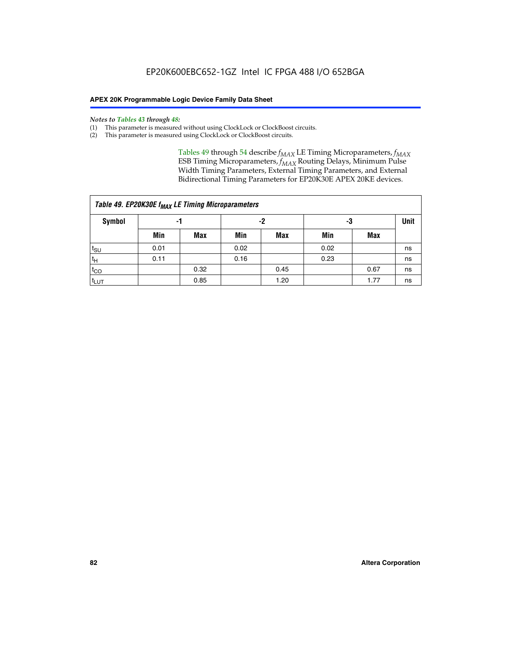#### *Notes to Tables 43 through 48:*

- (1) This parameter is measured without using ClockLock or ClockBoost circuits.
- (2) This parameter is measured using ClockLock or ClockBoost circuits.

Tables 49 through 54 describe  $f_{MAX}$  LE Timing Microparameters,  $f_{MAX}$ ESB Timing Microparameters, *f<sub>MAX</sub>* Routing Delays, Minimum Pulse Width Timing Parameters, External Timing Parameters, and External Bidirectional Timing Parameters for EP20K30E APEX 20KE devices.

|                  | Table 49. EP20K30E f <sub>MAX</sub> LE Timing Microparameters |      |      |            |      |      |    |  |  |  |  |  |
|------------------|---------------------------------------------------------------|------|------|------------|------|------|----|--|--|--|--|--|
| <b>Symbol</b>    |                                                               | -1   |      | -2         |      | -3   |    |  |  |  |  |  |
|                  | Min                                                           | Max  | Min  | <b>Max</b> | Min  | Max  |    |  |  |  |  |  |
| t <sub>SU</sub>  | 0.01                                                          |      | 0.02 |            | 0.02 |      | ns |  |  |  |  |  |
| 't <sub>H</sub>  | 0.11                                                          |      | 0.16 |            | 0.23 |      | ns |  |  |  |  |  |
| $t_{CO}$         |                                                               | 0.32 |      | 0.45       |      | 0.67 | ns |  |  |  |  |  |
| t <sub>LUT</sub> |                                                               | 0.85 |      | 1.20       |      | 1.77 | ns |  |  |  |  |  |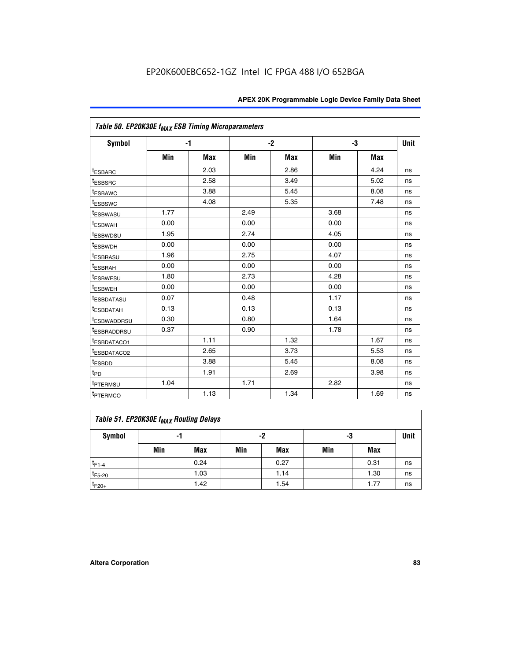| Table 50. EP20K30E f <sub>MAX</sub> ESB Timing Microparameters |      |            |      |            |      |            |             |
|----------------------------------------------------------------|------|------------|------|------------|------|------------|-------------|
| <b>Symbol</b>                                                  |      | $-1$       |      | $-2$       |      | -3         | <b>Unit</b> |
|                                                                | Min  | <b>Max</b> | Min  | <b>Max</b> | Min  | <b>Max</b> |             |
| <sup>t</sup> ESBARC                                            |      | 2.03       |      | 2.86       |      | 4.24       | ns          |
| <sup>t</sup> ESBSRC                                            |      | 2.58       |      | 3.49       |      | 5.02       | ns          |
| <sup>t</sup> ESBAWC                                            |      | 3.88       |      | 5.45       |      | 8.08       | ns          |
| t <sub>ESBSWC</sub>                                            |      | 4.08       |      | 5.35       |      | 7.48       | ns          |
| <sup>t</sup> ESBWASU                                           | 1.77 |            | 2.49 |            | 3.68 |            | ns          |
| <sup>t</sup> ESBWAH                                            | 0.00 |            | 0.00 |            | 0.00 |            | ns          |
| <sup>t</sup> ESBWDSU                                           | 1.95 |            | 2.74 |            | 4.05 |            | ns          |
| <sup>t</sup> ESBWDH                                            | 0.00 |            | 0.00 |            | 0.00 |            | ns          |
| <sup>t</sup> ESBRASU                                           | 1.96 |            | 2.75 |            | 4.07 |            | ns          |
| <sup>t</sup> ESBRAH                                            | 0.00 |            | 0.00 |            | 0.00 |            | ns          |
| <i>t</i> <sub>ESBWESU</sub>                                    | 1.80 |            | 2.73 |            | 4.28 |            | ns          |
| <sup>I</sup> ESBWEH                                            | 0.00 |            | 0.00 |            | 0.00 |            | ns          |
| t <sub>ESBDATASU</sub>                                         | 0.07 |            | 0.48 |            | 1.17 |            | ns          |
| <sup>t</sup> ESBDATAH                                          | 0.13 |            | 0.13 |            | 0.13 |            | ns          |
| <sup>t</sup> ESBWADDRSU                                        | 0.30 |            | 0.80 |            | 1.64 |            | ns          |
| <sup>I</sup> ESBRADDRSU                                        | 0.37 |            | 0.90 |            | 1.78 |            | ns          |
| ESBDATACO1                                                     |      | 1.11       |      | 1.32       |      | 1.67       | ns          |
| <sup>t</sup> ESBDATACO2                                        |      | 2.65       |      | 3.73       |      | 5.53       | ns          |
| <sup>t</sup> ESBDD                                             |      | 3.88       |      | 5.45       |      | 8.08       | ns          |
| t <sub>PD</sub>                                                |      | 1.91       |      | 2.69       |      | 3.98       | ns          |
| <sup>t</sup> PTERMSU                                           | 1.04 |            | 1.71 |            | 2.82 |            | ns          |
| t <sub>PTERMCO</sub>                                           |      | 1.13       |      | 1.34       |      | 1.69       | ns          |

### **Table 51. EP20K30E f<sub>MAX</sub> Routing Delays**

| Symbol      | - 1 |            | -2  |            | -3  |      | Unit |
|-------------|-----|------------|-----|------------|-----|------|------|
|             | Min | <b>Max</b> | Min | <b>Max</b> | Min | Max  |      |
| $t_{F1-4}$  |     | 0.24       |     | 0.27       |     | 0.31 | ns   |
| $t_{F5-20}$ |     | 1.03       |     | 1.14       |     | 1.30 | ns   |
| $t_{F20+}$  |     | 1.42       |     | 1.54       |     | 1.77 | ns   |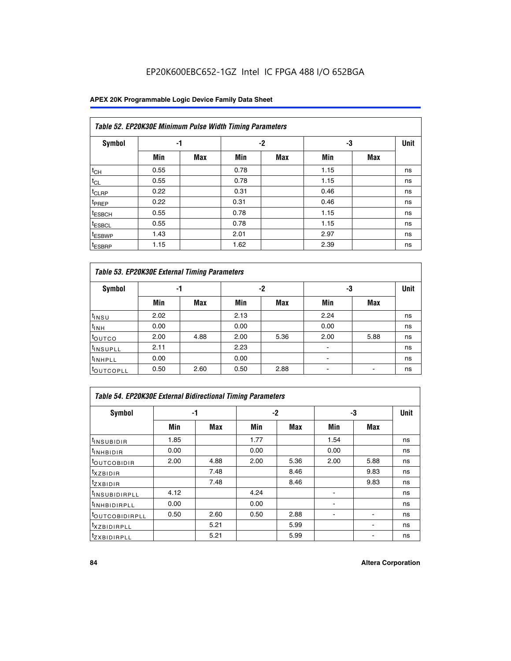## EP20K600EBC652-1GZ Intel IC FPGA 488 I/O 652BGA

### **APEX 20K Programmable Logic Device Family Data Sheet**

|                    | Table 52. EP20K30E Minimum Pulse Width Timing Parameters |            |      |            |      |            |             |  |  |  |  |  |
|--------------------|----------------------------------------------------------|------------|------|------------|------|------------|-------------|--|--|--|--|--|
| <b>Symbol</b>      | -1                                                       |            |      | -2         | -3   |            | <b>Unit</b> |  |  |  |  |  |
|                    | Min                                                      | <b>Max</b> | Min  | <b>Max</b> | Min  | <b>Max</b> |             |  |  |  |  |  |
| $t_{CH}$           | 0.55                                                     |            | 0.78 |            | 1.15 |            | ns          |  |  |  |  |  |
| $t_{CL}$           | 0.55                                                     |            | 0.78 |            | 1.15 |            | ns          |  |  |  |  |  |
| $t_{CLRP}$         | 0.22                                                     |            | 0.31 |            | 0.46 |            | ns          |  |  |  |  |  |
| <sup>t</sup> PREP  | 0.22                                                     |            | 0.31 |            | 0.46 |            | ns          |  |  |  |  |  |
| <sup>t</sup> ESBCH | 0.55                                                     |            | 0.78 |            | 1.15 |            | ns          |  |  |  |  |  |
| <sup>t</sup> ESBCL | 0.55                                                     |            | 0.78 |            | 1.15 |            | ns          |  |  |  |  |  |
| <sup>t</sup> ESBWP | 1.43                                                     |            | 2.01 |            | 2.97 |            | ns          |  |  |  |  |  |
| <sup>t</sup> ESBRP | 1.15                                                     |            | 1.62 |            | 2.39 |            | ns          |  |  |  |  |  |

| Table 53. EP20K30E External Timing Parameters |      |            |      |            |                |            |             |  |  |  |  |
|-----------------------------------------------|------|------------|------|------------|----------------|------------|-------------|--|--|--|--|
| <b>Symbol</b>                                 | -1   |            |      | -2         | -3             |            | <b>Unit</b> |  |  |  |  |
|                                               | Min  | <b>Max</b> | Min  | <b>Max</b> | Min            | <b>Max</b> |             |  |  |  |  |
| $t_{INSU}$                                    | 2.02 |            | 2.13 |            | 2.24           |            | ns          |  |  |  |  |
| $t_{\rm INH}$                                 | 0.00 |            | 0.00 |            | 0.00           |            | ns          |  |  |  |  |
| <b>t</b> outco                                | 2.00 | 4.88       | 2.00 | 5.36       | 2.00           | 5.88       | ns          |  |  |  |  |
| <sup>t</sup> INSUPLL                          | 2.11 |            | 2.23 |            |                |            | ns          |  |  |  |  |
| <sup>t</sup> INHPLL                           | 0.00 |            | 0.00 |            | $\blacksquare$ |            | ns          |  |  |  |  |
| <b>LOUTCOPLL</b>                              | 0.50 | 2.60       | 0.50 | 2.88       | -              |            | ns          |  |  |  |  |

| Table 54. EP20K30E External Bidirectional Timing Parameters |      |      |      |      |                          |      |             |  |  |  |  |
|-------------------------------------------------------------|------|------|------|------|--------------------------|------|-------------|--|--|--|--|
| Symbol                                                      |      | -1   |      | $-2$ |                          | -3   | <b>Unit</b> |  |  |  |  |
|                                                             | Min  | Max  | Min  | Max  | Min                      | Max  |             |  |  |  |  |
| <sup>t</sup> INSUBIDIR                                      | 1.85 |      | 1.77 |      | 1.54                     |      | ns          |  |  |  |  |
| <b>INHBIDIR</b>                                             | 0.00 |      | 0.00 |      | 0.00                     |      | ns          |  |  |  |  |
| <b>LOUTCOBIDIR</b>                                          | 2.00 | 4.88 | 2.00 | 5.36 | 2.00                     | 5.88 | ns          |  |  |  |  |
| <sup>T</sup> XZBIDIR                                        |      | 7.48 |      | 8.46 |                          | 9.83 | ns          |  |  |  |  |
| <sup>t</sup> zxbidir                                        |      | 7.48 |      | 8.46 |                          | 9.83 | ns          |  |  |  |  |
| <sup>I</sup> INSUBIDIRPLL                                   | 4.12 |      | 4.24 |      | $\overline{\phantom{0}}$ |      | ns          |  |  |  |  |
| <b>INHBIDIRPLL</b>                                          | 0.00 |      | 0.00 |      |                          |      | ns          |  |  |  |  |
| <b><i>COUTCOBIDIRPLL</i></b>                                | 0.50 | 2.60 | 0.50 | 2.88 |                          |      | ns          |  |  |  |  |
| <sup>I</sup> XZBIDIRPLL                                     |      | 5.21 |      | 5.99 |                          |      | ns          |  |  |  |  |
| <sup>I</sup> ZXBIDIRPLL                                     |      | 5.21 |      | 5.99 |                          |      | ns          |  |  |  |  |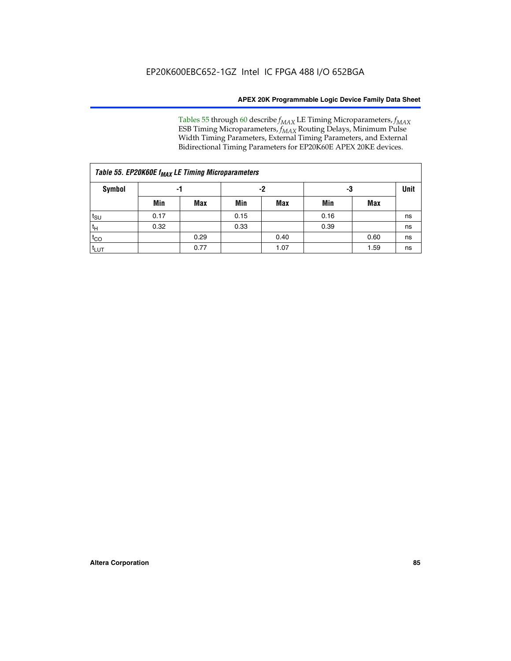Tables 55 through 60 describe *f<sub>MAX</sub>* LE Timing Microparameters, *f<sub>MAX</sub>* ESB Timing Microparameters, *f<sub>MAX</sub>* Routing Delays, Minimum Pulse Width Timing Parameters, External Timing Parameters, and External Bidirectional Timing Parameters for EP20K60E APEX 20KE devices.

| Table 55. EP20K60E f <sub>MAX</sub> LE Timing Microparameters |      |      |      |      |      |      |    |  |  |  |  |
|---------------------------------------------------------------|------|------|------|------|------|------|----|--|--|--|--|
| <b>Symbol</b>                                                 |      | -1   |      | -2   |      | -3   |    |  |  |  |  |
|                                                               | Min  | Max  | Min  | Max  | Min  | Max  |    |  |  |  |  |
| $t_{\text{SU}}$                                               | 0.17 |      | 0.15 |      | 0.16 |      | ns |  |  |  |  |
| $t_H$                                                         | 0.32 |      | 0.33 |      | 0.39 |      | ns |  |  |  |  |
| $t_{CO}$                                                      |      | 0.29 |      | 0.40 |      | 0.60 | ns |  |  |  |  |
| t <sub>lut</sub>                                              |      | 0.77 |      | 1.07 |      | 1.59 | ns |  |  |  |  |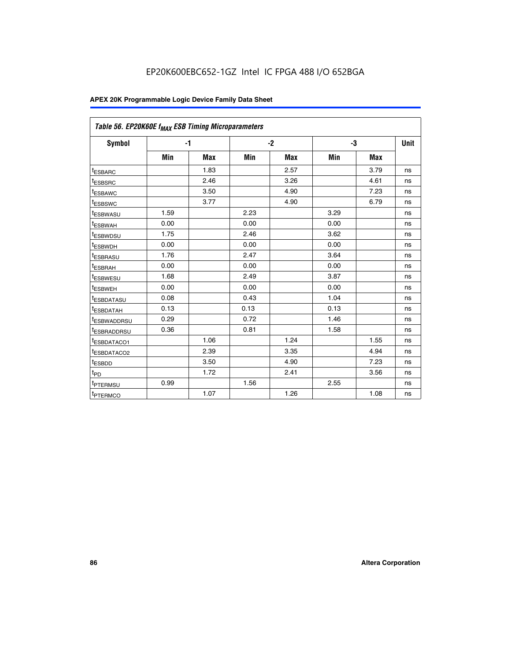| Table 56. EP20K60E f <sub>MAX</sub> ESB Timing Microparameters |      |            |      |            |      |            |      |
|----------------------------------------------------------------|------|------------|------|------------|------|------------|------|
| <b>Symbol</b>                                                  |      | $-1$       |      | $-2$       |      | -3         | Unit |
|                                                                | Min  | <b>Max</b> | Min  | <b>Max</b> | Min  | <b>Max</b> |      |
| <sup>t</sup> ESBARC                                            |      | 1.83       |      | 2.57       |      | 3.79       | ns   |
| t <sub>ESBSRC</sub>                                            |      | 2.46       |      | 3.26       |      | 4.61       | ns   |
| <sup>t</sup> ESBAWC                                            |      | 3.50       |      | 4.90       |      | 7.23       | ns   |
| t <sub>ESBSWC</sub>                                            |      | 3.77       |      | 4.90       |      | 6.79       | ns   |
| <sup>t</sup> ESBWASU                                           | 1.59 |            | 2.23 |            | 3.29 |            | ns   |
| <sup>t</sup> ESBWAH                                            | 0.00 |            | 0.00 |            | 0.00 |            | ns   |
| t <sub>ESBWDSU</sub>                                           | 1.75 |            | 2.46 |            | 3.62 |            | ns   |
| t <sub>ESBWDH</sub>                                            | 0.00 |            | 0.00 |            | 0.00 |            | ns   |
| t <sub>ESBRASU</sub>                                           | 1.76 |            | 2.47 |            | 3.64 |            | ns   |
| <sup>t</sup> ESBRAH                                            | 0.00 |            | 0.00 |            | 0.00 |            | ns   |
| t <sub>ESBWESU</sub>                                           | 1.68 |            | 2.49 |            | 3.87 |            | ns   |
| <sup>t</sup> ESBWEH                                            | 0.00 |            | 0.00 |            | 0.00 |            | ns   |
| <sup>t</sup> ESBDATASU                                         | 0.08 |            | 0.43 |            | 1.04 |            | ns   |
| <sup>t</sup> ESBDATAH                                          | 0.13 |            | 0.13 |            | 0.13 |            | ns   |
| <sup>t</sup> ESBWADDRSU                                        | 0.29 |            | 0.72 |            | 1.46 |            | ns   |
| <sup>t</sup> ESBRADDRSU                                        | 0.36 |            | 0.81 |            | 1.58 |            | ns   |
| <sup>I</sup> ESBDATACO1                                        |      | 1.06       |      | 1.24       |      | 1.55       | ns   |
| t <sub>ESBDATACO2</sub>                                        |      | 2.39       |      | 3.35       |      | 4.94       | ns   |
| <sup>t</sup> ESBDD                                             |      | 3.50       |      | 4.90       |      | 7.23       | ns   |
| t <sub>PD</sub>                                                |      | 1.72       |      | 2.41       |      | 3.56       | ns   |
| t <sub>PTERMSU</sub>                                           | 0.99 |            | 1.56 |            | 2.55 |            | ns   |
| t <sub>PTERMCO</sub>                                           |      | 1.07       |      | 1.26       |      | 1.08       | ns   |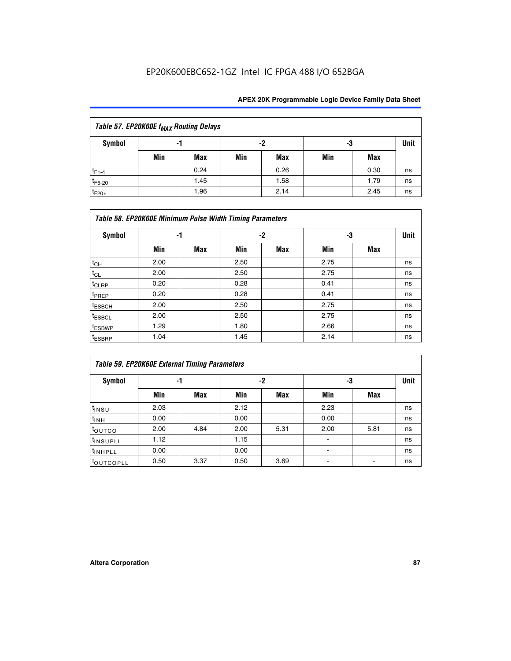## EP20K600EBC652-1GZ Intel IC FPGA 488 I/O 652BGA

| Table 57. EP20K60E f <sub>MAX</sub> Routing Delays |          |      |     |            |     |      |      |  |  |  |  |
|----------------------------------------------------|----------|------|-----|------------|-----|------|------|--|--|--|--|
| Symbol                                             | -2<br>-1 |      |     |            |     | -3   | Unit |  |  |  |  |
|                                                    | Min      | Max  | Min | <b>Max</b> | Min | Max  |      |  |  |  |  |
| $t_{F1-4}$                                         |          | 0.24 |     | 0.26       |     | 0.30 | ns   |  |  |  |  |
| $t_{F5-20}$                                        |          | 1.45 |     | 1.58       |     | 1.79 | ns   |  |  |  |  |
| $t_{F20+}$                                         |          | 1.96 |     | 2.14       |     | 2.45 | ns   |  |  |  |  |

|                    | Table 58. EP20K60E Minimum Pulse Width Timing Parameters |            |      |            |      |     |             |  |  |  |  |  |  |
|--------------------|----------------------------------------------------------|------------|------|------------|------|-----|-------------|--|--|--|--|--|--|
| Symbol             |                                                          | -1         |      | -2         |      | -3  | <b>Unit</b> |  |  |  |  |  |  |
|                    | Min                                                      | <b>Max</b> | Min  | <b>Max</b> | Min  | Max |             |  |  |  |  |  |  |
| $t_{CH}$           | 2.00                                                     |            | 2.50 |            | 2.75 |     | ns          |  |  |  |  |  |  |
| $t_{CL}$           | 2.00                                                     |            | 2.50 |            | 2.75 |     | ns          |  |  |  |  |  |  |
| $t_{CLRP}$         | 0.20                                                     |            | 0.28 |            | 0.41 |     | ns          |  |  |  |  |  |  |
| t <sub>PREP</sub>  | 0.20                                                     |            | 0.28 |            | 0.41 |     | ns          |  |  |  |  |  |  |
| t <sub>ESBCH</sub> | 2.00                                                     |            | 2.50 |            | 2.75 |     | ns          |  |  |  |  |  |  |
| $t_{ESBCL}$        | 2.00                                                     |            | 2.50 |            | 2.75 |     | ns          |  |  |  |  |  |  |
| t <sub>ESBWP</sub> | 1.29                                                     |            | 1.80 |            | 2.66 |     | ns          |  |  |  |  |  |  |
| t <sub>ESBRP</sub> | 1.04                                                     |            | 1.45 |            | 2.14 |     | ns          |  |  |  |  |  |  |

| Table 59. EP20K60E External Timing Parameters |      |      |      |      |      |      |    |  |  |  |  |  |
|-----------------------------------------------|------|------|------|------|------|------|----|--|--|--|--|--|
| Symbol                                        | -1   |      |      | -2   | -3   | Unit |    |  |  |  |  |  |
|                                               | Min  | Max  | Min  | Max  | Min  | Max  |    |  |  |  |  |  |
| $t_{INSU}$                                    | 2.03 |      | 2.12 |      | 2.23 |      | ns |  |  |  |  |  |
| t <sub>INH</sub>                              | 0.00 |      | 0.00 |      | 0.00 |      | ns |  |  |  |  |  |
| toutco                                        | 2.00 | 4.84 | 2.00 | 5.31 | 2.00 | 5.81 | ns |  |  |  |  |  |
| <sup>t</sup> INSUPLL                          | 1.12 |      | 1.15 |      |      |      | ns |  |  |  |  |  |
| <sup>t</sup> INHPLL                           | 0.00 |      | 0.00 |      | ۰    |      | ns |  |  |  |  |  |
| toutcopll                                     | 0.50 | 3.37 | 0.50 | 3.69 |      |      | ns |  |  |  |  |  |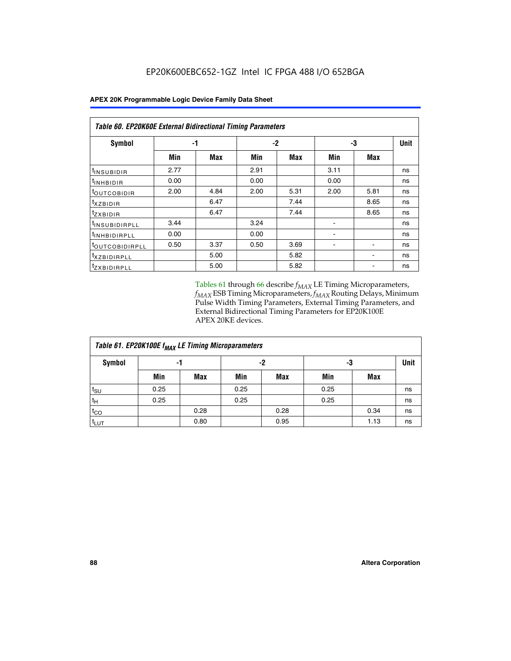| <b>Table 60. EP20K60E External Bidirectional Timing Parameters</b> |      |      |      |      |      |      |             |  |  |  |  |
|--------------------------------------------------------------------|------|------|------|------|------|------|-------------|--|--|--|--|
| Symbol                                                             |      | -1   | -2   |      |      | -3   | <b>Unit</b> |  |  |  |  |
|                                                                    | Min  | Max  | Min  | Max  | Min  | Max  |             |  |  |  |  |
| I <sup>t</sup> INSUBIDIR                                           | 2.77 |      | 2.91 |      | 3.11 |      | ns          |  |  |  |  |
| <sup>t</sup> INHBIDIR                                              | 0.00 |      | 0.00 |      | 0.00 |      | ns          |  |  |  |  |
| <sup>t</sup> OUTCOBIDIR                                            | 2.00 | 4.84 | 2.00 | 5.31 | 2.00 | 5.81 | ns          |  |  |  |  |
| $txz$ BIDIR                                                        |      | 6.47 |      | 7.44 |      | 8.65 | ns          |  |  |  |  |
| <i>tzxbidir</i>                                                    |      | 6.47 |      | 7.44 |      | 8.65 | ns          |  |  |  |  |
| <sup>t</sup> INSUBIDIRPLL                                          | 3.44 |      | 3.24 |      |      |      | ns          |  |  |  |  |
| <sup>t</sup> INHBIDIRPLL                                           | 0.00 |      | 0.00 |      |      |      | ns          |  |  |  |  |
| <sup>t</sup> OUTCOBIDIRPLL                                         | 0.50 | 3.37 | 0.50 | 3.69 |      |      | ns          |  |  |  |  |
| <sup>t</sup> XZBIDIRPLL                                            |      | 5.00 |      | 5.82 |      |      | ns          |  |  |  |  |
| <sup>t</sup> zxbidirpll                                            |      | 5.00 |      | 5.82 |      |      | ns          |  |  |  |  |

Tables 61 through 66 describe  $f_{MAX}$  LE Timing Microparameters, *fMAX* ESB Timing Microparameters, *fMAX* Routing Delays, Minimum Pulse Width Timing Parameters, External Timing Parameters, and External Bidirectional Timing Parameters for EP20K100E APEX 20KE devices.

| Table 61. EP20K100E f <sub>MAX</sub> LE Timing Microparameters |      |      |      |            |      |            |             |  |  |  |  |
|----------------------------------------------------------------|------|------|------|------------|------|------------|-------------|--|--|--|--|
| <b>Symbol</b>                                                  |      | -1   |      | -2         |      | -3         | <b>Unit</b> |  |  |  |  |
|                                                                | Min  | Max  | Min  | <b>Max</b> | Min  | <b>Max</b> |             |  |  |  |  |
| $t_{\text{SU}}$                                                | 0.25 |      | 0.25 |            | 0.25 |            | ns          |  |  |  |  |
| tμ                                                             | 0.25 |      | 0.25 |            | 0.25 |            | ns          |  |  |  |  |
| $t_{CO}$                                                       |      | 0.28 |      | 0.28       |      | 0.34       | ns          |  |  |  |  |
| t <sub>LUT</sub>                                               |      | 0.80 |      | 0.95       |      | 1.13       | ns          |  |  |  |  |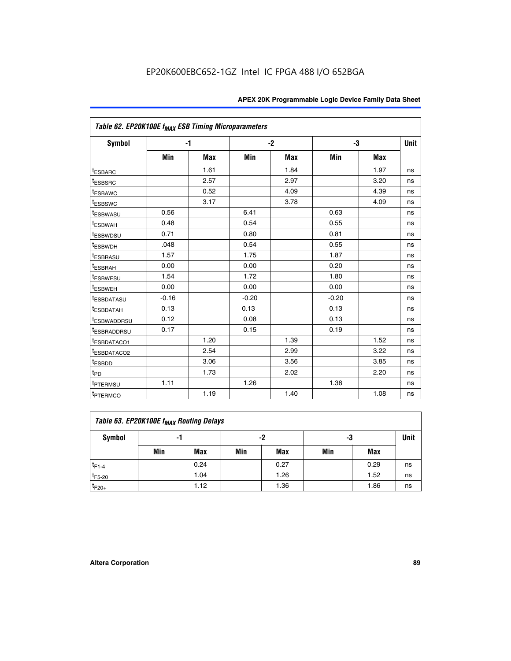| Table 62. EP20K100E f <sub>MAX</sub> ESB Timing Microparameters |         |      |         |      |         |      |             |
|-----------------------------------------------------------------|---------|------|---------|------|---------|------|-------------|
| <b>Symbol</b>                                                   |         | $-1$ |         | $-2$ |         | -3   | <b>Unit</b> |
|                                                                 | Min     | Max  | Min     | Max  | Min     | Max  |             |
| <sup>t</sup> ESBARC                                             |         | 1.61 |         | 1.84 |         | 1.97 | ns          |
| t <sub>ESBSRC</sub>                                             |         | 2.57 |         | 2.97 |         | 3.20 | ns          |
| <sup>t</sup> ESBAWC                                             |         | 0.52 |         | 4.09 |         | 4.39 | ns          |
| <sup>t</sup> ESBSWC                                             |         | 3.17 |         | 3.78 |         | 4.09 | ns          |
| <sup>t</sup> ESBWASU                                            | 0.56    |      | 6.41    |      | 0.63    |      | ns          |
| <sup>t</sup> ESBWAH                                             | 0.48    |      | 0.54    |      | 0.55    |      | ns          |
| t <sub>ESBWDSU</sub>                                            | 0.71    |      | 0.80    |      | 0.81    |      | ns          |
| t <sub>ESBWDH</sub>                                             | .048    |      | 0.54    |      | 0.55    |      | ns          |
| <sup>t</sup> ESBRASU                                            | 1.57    |      | 1.75    |      | 1.87    |      | ns          |
| <sup>t</sup> ESBRAH                                             | 0.00    |      | 0.00    |      | 0.20    |      | ns          |
| <i>t</i> <sub>ESBWESU</sub>                                     | 1.54    |      | 1.72    |      | 1.80    |      | ns          |
| t <sub>ESBWEH</sub>                                             | 0.00    |      | 0.00    |      | 0.00    |      | ns          |
| <sup>t</sup> ESBDATASU                                          | $-0.16$ |      | $-0.20$ |      | $-0.20$ |      | ns          |
| <sup>t</sup> ESBDATAH                                           | 0.13    |      | 0.13    |      | 0.13    |      | ns          |
| <sup>t</sup> ESBWADDRSU                                         | 0.12    |      | 0.08    |      | 0.13    |      | ns          |
| <sup>I</sup> ESBRADDRSU                                         | 0.17    |      | 0.15    |      | 0.19    |      | ns          |
| <sup>t</sup> ESBDATACO1                                         |         | 1.20 |         | 1.39 |         | 1.52 | ns          |
| <sup>t</sup> ESBDATACO2                                         |         | 2.54 |         | 2.99 |         | 3.22 | ns          |
| <sup>t</sup> ESBDD                                              |         | 3.06 |         | 3.56 |         | 3.85 | ns          |
| t <sub>PD</sub>                                                 |         | 1.73 |         | 2.02 |         | 2.20 | ns          |
| <sup>t</sup> PTERMSU                                            | 1.11    |      | 1.26    |      | 1.38    |      | ns          |
| t <sub>PTERMCO</sub>                                            |         | 1.19 |         | 1.40 |         | 1.08 | ns          |

| Table 63. EP20K100E f <sub>MAX</sub> Routing Delays |                |      |     |      |     |      |    |  |  |  |
|-----------------------------------------------------|----------------|------|-----|------|-----|------|----|--|--|--|
| <b>Symbol</b>                                       | -2<br>-3<br>-1 |      |     |      |     |      |    |  |  |  |
|                                                     | Min            | Max  | Min | Max  | Min | Max  |    |  |  |  |
| $t_{F1-4}$                                          |                | 0.24 |     | 0.27 |     | 0.29 | ns |  |  |  |
| $t_{F5-20}$                                         |                | 1.04 |     | 1.26 |     | 1.52 | ns |  |  |  |
| $t_{F20+}$                                          |                | 1.12 |     | 1.36 |     | 1.86 | ns |  |  |  |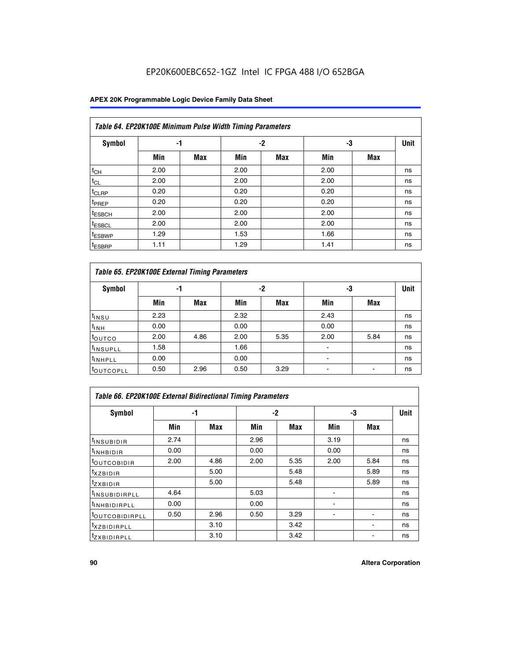## EP20K600EBC652-1GZ Intel IC FPGA 488 I/O 652BGA

### **APEX 20K Programmable Logic Device Family Data Sheet**

| Table 64. EP20K100E Minimum Pulse Width Timing Parameters |      |            |      |            |      |            |             |  |  |  |  |  |
|-----------------------------------------------------------|------|------------|------|------------|------|------------|-------------|--|--|--|--|--|
| <b>Symbol</b>                                             | -1   |            |      | $-2$       | -3   |            | <b>Unit</b> |  |  |  |  |  |
|                                                           | Min  | <b>Max</b> | Min  | <b>Max</b> | Min  | <b>Max</b> |             |  |  |  |  |  |
| $t_{CH}$                                                  | 2.00 |            | 2.00 |            | 2.00 |            | ns          |  |  |  |  |  |
| $t_{CL}$                                                  | 2.00 |            | 2.00 |            | 2.00 |            | ns          |  |  |  |  |  |
| t <sub>CLRP</sub>                                         | 0.20 |            | 0.20 |            | 0.20 |            | ns          |  |  |  |  |  |
| <sup>t</sup> PREP                                         | 0.20 |            | 0.20 |            | 0.20 |            | ns          |  |  |  |  |  |
| <sup>t</sup> ESBCH                                        | 2.00 |            | 2.00 |            | 2.00 |            | ns          |  |  |  |  |  |
| <sup>t</sup> ESBCL                                        | 2.00 |            | 2.00 |            | 2.00 |            | ns          |  |  |  |  |  |
| <sup>t</sup> ESBWP                                        | 1.29 |            | 1.53 |            | 1.66 |            | ns          |  |  |  |  |  |
| <sup>t</sup> ESBRP                                        | 1.11 |            | 1.29 |            | 1.41 |            | ns          |  |  |  |  |  |

|                      | Table 65. EP20K100E External Timing Parameters |            |      |            |                |            |    |  |  |  |  |  |  |
|----------------------|------------------------------------------------|------------|------|------------|----------------|------------|----|--|--|--|--|--|--|
| <b>Symbol</b>        | -1                                             |            |      | -2         |                | -3         |    |  |  |  |  |  |  |
|                      | Min                                            | <b>Max</b> | Min  | <b>Max</b> | Min            | <b>Max</b> |    |  |  |  |  |  |  |
| $t_{INSU}$           | 2.23                                           |            | 2.32 |            | 2.43           |            | ns |  |  |  |  |  |  |
| $t_{\rm INH}$        | 0.00                                           |            | 0.00 |            | 0.00           |            | ns |  |  |  |  |  |  |
| toutco               | 2.00                                           | 4.86       | 2.00 | 5.35       | 2.00           | 5.84       | ns |  |  |  |  |  |  |
| <sup>t</sup> INSUPLL | 1.58                                           |            | 1.66 |            |                |            | ns |  |  |  |  |  |  |
| <sup>t</sup> INHPLL  | 0.00                                           |            | 0.00 |            | $\blacksquare$ |            | ns |  |  |  |  |  |  |
| <b>LOUTCOPLL</b>     | 0.50                                           | 2.96       | 0.50 | 3.29       | -              |            | ns |  |  |  |  |  |  |

| Table 66. EP20K100E External Bidirectional Timing Parameters |      |      |      |      |      |            |    |  |  |  |
|--------------------------------------------------------------|------|------|------|------|------|------------|----|--|--|--|
| Symbol                                                       |      | -1   |      | $-2$ |      | -3         |    |  |  |  |
|                                                              | Min  | Max  | Min  | Max  | Min  | <b>Max</b> |    |  |  |  |
| <sup>t</sup> INSUBIDIR                                       | 2.74 |      | 2.96 |      | 3.19 |            | ns |  |  |  |
| <b>TINHBIDIR</b>                                             | 0.00 |      | 0.00 |      | 0.00 |            | ns |  |  |  |
| <b>LOUTCOBIDIR</b>                                           | 2.00 | 4.86 | 2.00 | 5.35 | 2.00 | 5.84       | ns |  |  |  |
| <sup>T</sup> XZBIDIR                                         |      | 5.00 |      | 5.48 |      | 5.89       | ns |  |  |  |
| $I_{Z}$ XBIDIR                                               |      | 5.00 |      | 5.48 |      | 5.89       | ns |  |  |  |
| <sup>t</sup> INSUBIDIRPLL                                    | 4.64 |      | 5.03 |      |      |            | ns |  |  |  |
| <sup>I</sup> INHBIDIRPLL                                     | 0.00 |      | 0.00 |      |      |            | ns |  |  |  |
| <b><i>COUTCOBIDIRPLL</i></b>                                 | 0.50 | 2.96 | 0.50 | 3.29 |      |            | ns |  |  |  |
| <sup>I</sup> XZBIDIRPLL                                      |      | 3.10 |      | 3.42 |      |            | ns |  |  |  |
| <sup>I</sup> ZXBIDIRPLL                                      |      | 3.10 |      | 3.42 |      |            | ns |  |  |  |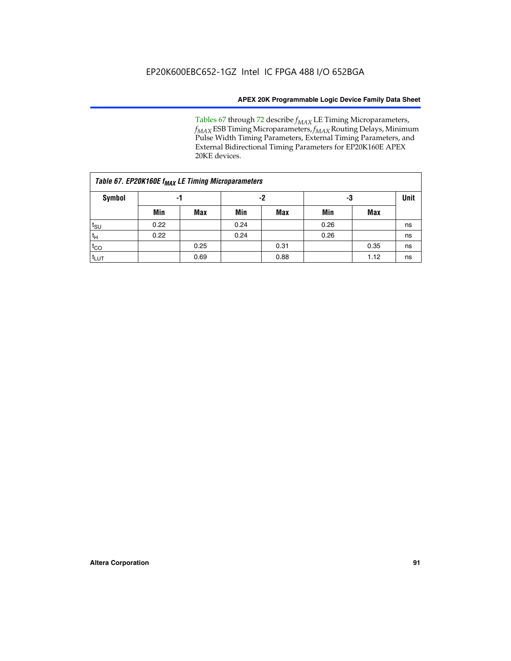Tables 67 through 72 describe *f<sub>MAX</sub>* LE Timing Microparameters, *f<sub>MAX</sub>* ESB Timing Microparameters, *f<sub>MAX</sub>* Routing Delays, Minimum Pulse Width Timing Parameters, External Timing Parameters, and External Bidirectional Timing Parameters for EP20K160E APEX 20KE devices.

| Table 67. EP20K160E f <sub>MAX</sub> LE Timing Microparameters |      |            |      |            |      |      |    |  |  |  |  |
|----------------------------------------------------------------|------|------------|------|------------|------|------|----|--|--|--|--|
| Symbol                                                         | -1   |            |      | -2         |      | -3   |    |  |  |  |  |
|                                                                | Min  | <b>Max</b> | Min  | <b>Max</b> | Min  | Max  |    |  |  |  |  |
| $t_{\text{SU}}$                                                | 0.22 |            | 0.24 |            | 0.26 |      | ns |  |  |  |  |
| $t_H$                                                          | 0.22 |            | 0.24 |            | 0.26 |      | ns |  |  |  |  |
| $t_{CO}$                                                       |      | 0.25       |      | 0.31       |      | 0.35 | ns |  |  |  |  |
| t <sub>LUT</sub>                                               |      | 0.69       |      | 0.88       |      | 1.12 | ns |  |  |  |  |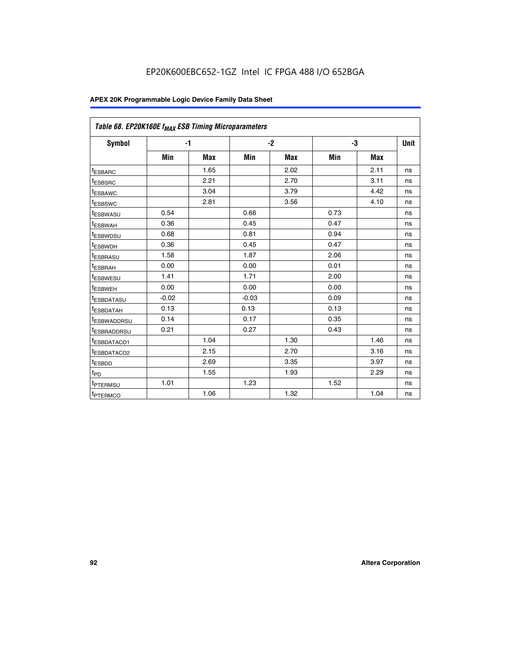| Table 68. EP20K160E f <sub>MAX</sub> ESB Timing Microparameters |         |            |         |            |      |      |      |
|-----------------------------------------------------------------|---------|------------|---------|------------|------|------|------|
| <b>Symbol</b>                                                   |         | $-1$       |         | $-2$       |      | -3   | Unit |
|                                                                 | Min     | <b>Max</b> | Min     | <b>Max</b> | Min  | Max  |      |
| <sup>t</sup> ESBARC                                             |         | 1.65       |         | 2.02       |      | 2.11 | ns   |
| t <sub>ESBSRC</sub>                                             |         | 2.21       |         | 2.70       |      | 3.11 | ns   |
| <sup>t</sup> ESBAWC                                             |         | 3.04       |         | 3.79       |      | 4.42 | ns   |
| t <sub>ESBSWC</sub>                                             |         | 2.81       |         | 3.56       |      | 4.10 | ns   |
| <sup>t</sup> ESBWASU                                            | 0.54    |            | 0.66    |            | 0.73 |      | ns   |
| <sup>t</sup> ESBWAH                                             | 0.36    |            | 0.45    |            | 0.47 |      | ns   |
| t <sub>ESBWDSU</sub>                                            | 0.68    |            | 0.81    |            | 0.94 |      | ns   |
| <sup>t</sup> ESBWDH                                             | 0.36    |            | 0.45    |            | 0.47 |      | ns   |
| t <sub>ESBRASU</sub>                                            | 1.58    |            | 1.87    |            | 2.06 |      | ns   |
| <sup>t</sup> ESBRAH                                             | 0.00    |            | 0.00    |            | 0.01 |      | ns   |
| <sup>t</sup> ESBWESU                                            | 1.41    |            | 1.71    |            | 2.00 |      | ns   |
| t <sub>ESBWEH</sub>                                             | 0.00    |            | 0.00    |            | 0.00 |      | ns   |
| t <sub>ESBDATASU</sub>                                          | $-0.02$ |            | $-0.03$ |            | 0.09 |      | ns   |
| t <sub>ESBDATAH</sub>                                           | 0.13    |            | 0.13    |            | 0.13 |      | ns   |
| t <sub>ESBWADDRSU</sub>                                         | 0.14    |            | 0.17    |            | 0.35 |      | ns   |
| <sup>t</sup> ESBRADDRSU                                         | 0.21    |            | 0.27    |            | 0.43 |      | ns   |
| <sup>I</sup> ESBDATACO1                                         |         | 1.04       |         | 1.30       |      | 1.46 | ns   |
| t <sub>ESBDATACO2</sub>                                         |         | 2.15       |         | 2.70       |      | 3.16 | ns   |
| <sup>t</sup> ESBDD                                              |         | 2.69       |         | 3.35       |      | 3.97 | ns   |
| $t_{\mathsf{PD}}$                                               |         | 1.55       |         | 1.93       |      | 2.29 | ns   |
| t <sub>PTERMSU</sub>                                            | 1.01    |            | 1.23    |            | 1.52 |      | ns   |
| t <sub>PTERMCO</sub>                                            |         | 1.06       |         | 1.32       |      | 1.04 | ns   |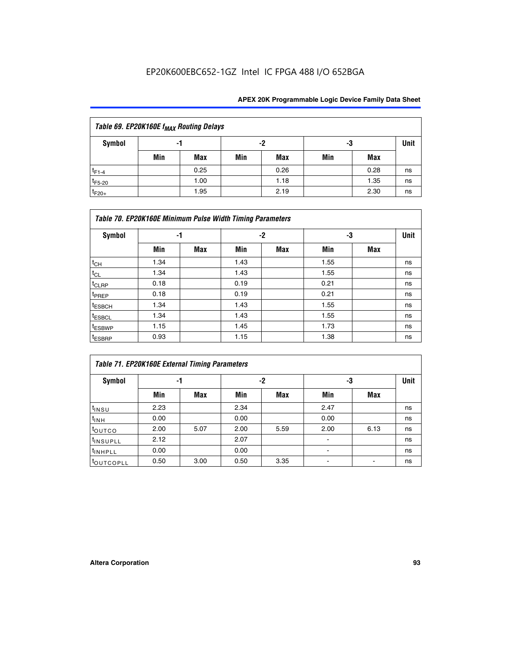## EP20K600EBC652-1GZ Intel IC FPGA 488 I/O 652BGA

| Table 69. EP20K160E f <sub>MAX</sub> Routing Delays |     |      |     |      |     |      |             |  |  |  |  |
|-----------------------------------------------------|-----|------|-----|------|-----|------|-------------|--|--|--|--|
| Symbol                                              | -1  |      |     | -2   | -3  |      | <b>Unit</b> |  |  |  |  |
|                                                     | Min | Max  | Min | Max  | Min | Max  |             |  |  |  |  |
| $t_{F1-4}$                                          |     | 0.25 |     | 0.26 |     | 0.28 | ns          |  |  |  |  |
| $t_{F5-20}$                                         |     | 1.00 |     | 1.18 |     | 1.35 | ns          |  |  |  |  |
| $t_{F20+}$                                          |     | 1.95 |     | 2.19 |     | 2.30 | ns          |  |  |  |  |

| Table 70. EP20K160E Minimum Pulse Width Timing Parameters |      |            |      |            |      |     |    |  |  |  |  |
|-----------------------------------------------------------|------|------------|------|------------|------|-----|----|--|--|--|--|
| <b>Symbol</b>                                             | -1   |            |      | -2         |      | -3  |    |  |  |  |  |
|                                                           | Min  | <b>Max</b> | Min  | <b>Max</b> | Min  | Max |    |  |  |  |  |
| $t_{CH}$                                                  | 1.34 |            | 1.43 |            | 1.55 |     | ns |  |  |  |  |
| $t_{CL}$                                                  | 1.34 |            | 1.43 |            | 1.55 |     | ns |  |  |  |  |
| $t_{CLRP}$                                                | 0.18 |            | 0.19 |            | 0.21 |     | ns |  |  |  |  |
| t <sub>PREP</sub>                                         | 0.18 |            | 0.19 |            | 0.21 |     | ns |  |  |  |  |
| <sup>t</sup> ESBCH                                        | 1.34 |            | 1.43 |            | 1.55 |     | ns |  |  |  |  |
| <sup>t</sup> ESBCL                                        | 1.34 |            | 1.43 |            | 1.55 |     | ns |  |  |  |  |
| <sup>t</sup> ESBWP                                        | 1.15 |            | 1.45 |            | 1.73 |     | ns |  |  |  |  |
| <sup>t</sup> ESBRP                                        | 0.93 |            | 1.15 |            | 1.38 |     | ns |  |  |  |  |

| Table 71. EP20K160E External Timing Parameters |      |      |      |      |                          |      |    |  |  |  |  |
|------------------------------------------------|------|------|------|------|--------------------------|------|----|--|--|--|--|
| Symbol                                         | -1   |      |      | -2   |                          | -3   |    |  |  |  |  |
|                                                | Min  | Max  | Min  | Max  | Min                      | Max  |    |  |  |  |  |
| t <sub>INSU</sub>                              | 2.23 |      | 2.34 |      | 2.47                     |      | ns |  |  |  |  |
| $t_{\text{INH}}$                               | 0.00 |      | 0.00 |      | 0.00                     |      | ns |  |  |  |  |
| toutco                                         | 2.00 | 5.07 | 2.00 | 5.59 | 2.00                     | 6.13 | ns |  |  |  |  |
| tinsupLL                                       | 2.12 |      | 2.07 |      | $\overline{\phantom{a}}$ |      | ns |  |  |  |  |
| <sup>t</sup> INHPLL                            | 0.00 |      | 0.00 |      | ۰                        |      | ns |  |  |  |  |
| <b>COUTCOPLL</b>                               | 0.50 | 3.00 | 0.50 | 3.35 |                          |      | ns |  |  |  |  |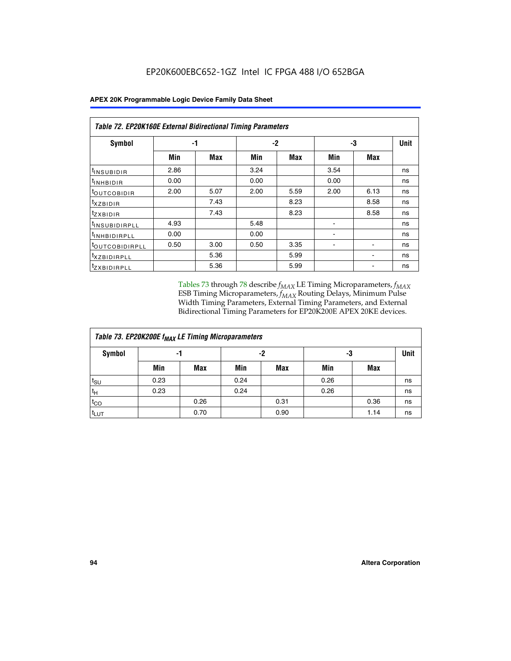|  |  |  | APEX 20K Programmable Logic Device Family Data Sheet |
|--|--|--|------------------------------------------------------|
|--|--|--|------------------------------------------------------|

| Table 72. EP20K160E External Bidirectional Timing Parameters |      |      |      |            |                          |                          |    |  |  |  |
|--------------------------------------------------------------|------|------|------|------------|--------------------------|--------------------------|----|--|--|--|
| Symbol                                                       |      | -1   |      | $-2$       |                          | -3                       |    |  |  |  |
|                                                              | Min  | Max  | Min  | <b>Max</b> | Min                      | Max                      |    |  |  |  |
| <sup>t</sup> INSUB <u>IDIR</u>                               | 2.86 |      | 3.24 |            | 3.54                     |                          | ns |  |  |  |
| <b>UNHBIDIR</b>                                              | 0.00 |      | 0.00 |            | 0.00                     |                          | ns |  |  |  |
| <b>LOUTCOBIDIR</b>                                           | 2.00 | 5.07 | 2.00 | 5.59       | 2.00                     | 6.13                     | ns |  |  |  |
| KZBIDIR                                                      |      | 7.43 |      | 8.23       |                          | 8.58                     | ns |  |  |  |
| <sup>t</sup> zxbidir                                         |      | 7.43 |      | 8.23       |                          | 8.58                     | ns |  |  |  |
| <sup>t</sup> INSUBIDIRPLL                                    | 4.93 |      | 5.48 |            |                          |                          | ns |  |  |  |
| <sup>t</sup> INHBIDIRPLL                                     | 0.00 |      | 0.00 |            | ٠                        |                          | ns |  |  |  |
| <b><i>LOUTCOBIDIRPLL</i></b>                                 | 0.50 | 3.00 | 0.50 | 3.35       | $\overline{\phantom{0}}$ | $\overline{\phantom{0}}$ | ns |  |  |  |
| <sup>T</sup> XZBIDIRPLL                                      |      | 5.36 |      | 5.99       |                          |                          | ns |  |  |  |
| <sup>I</sup> ZXBIDIRPLL                                      |      | 5.36 |      | 5.99       |                          |                          | ns |  |  |  |

Tables 73 through 78 describe  $f_{MAX}$  LE Timing Microparameters,  $f_{MAX}$ ESB Timing Microparameters, *f<sub>MAX</sub>* Routing Delays, Minimum Pulse Width Timing Parameters, External Timing Parameters, and External Bidirectional Timing Parameters for EP20K200E APEX 20KE devices.

| Table 73. EP20K200E f <sub>MAX</sub> LE Timing Microparameters |      |      |      |            |      |      |             |  |  |  |  |
|----------------------------------------------------------------|------|------|------|------------|------|------|-------------|--|--|--|--|
| <b>Symbol</b>                                                  | -1   |      |      | -2         | -3   |      | <b>Unit</b> |  |  |  |  |
|                                                                | Min  | Max  | Min  | <b>Max</b> | Min  | Max  |             |  |  |  |  |
| $t_{\text{SU}}$                                                | 0.23 |      | 0.24 |            | 0.26 |      | ns          |  |  |  |  |
| $t_H$                                                          | 0.23 |      | 0.24 |            | 0.26 |      | ns          |  |  |  |  |
| $t_{CO}$                                                       |      | 0.26 |      | 0.31       |      | 0.36 | ns          |  |  |  |  |
| t <sub>LUT</sub>                                               |      | 0.70 |      | 0.90       |      | 1.14 | ns          |  |  |  |  |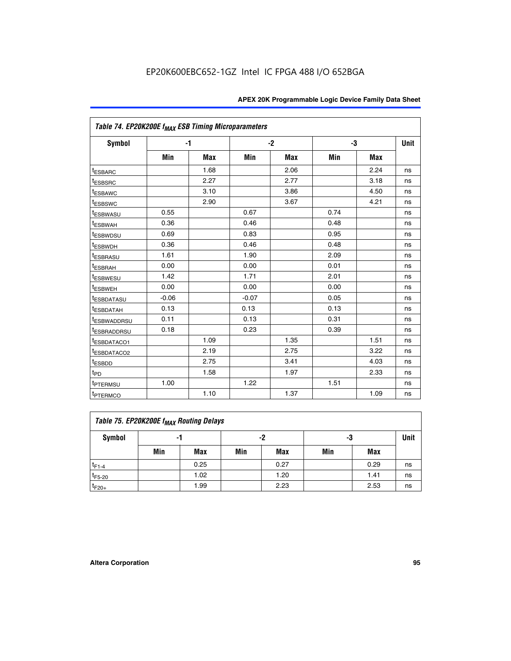|                                     | Table 74. EP20K200E f <sub>MAX</sub> ESB Timing Microparameters |            |         |            |      |            |      |  |  |  |  |
|-------------------------------------|-----------------------------------------------------------------|------------|---------|------------|------|------------|------|--|--|--|--|
| Symbol                              |                                                                 | $-1$       |         | $-2$       |      | -3         | Unit |  |  |  |  |
|                                     | Min                                                             | <b>Max</b> | Min     | <b>Max</b> | Min  | <b>Max</b> |      |  |  |  |  |
| <sup>t</sup> ESBARC                 |                                                                 | 1.68       |         | 2.06       |      | 2.24       | ns   |  |  |  |  |
| <sup>t</sup> ESBSRC                 |                                                                 | 2.27       |         | 2.77       |      | 3.18       | ns   |  |  |  |  |
| t <sub>ESBAWC</sub>                 |                                                                 | 3.10       |         | 3.86       |      | 4.50       | ns   |  |  |  |  |
| <sup>t</sup> ESBSWC                 |                                                                 | 2.90       |         | 3.67       |      | 4.21       | ns   |  |  |  |  |
| t <sub>ESBWASU</sub>                | 0.55                                                            |            | 0.67    |            | 0.74 |            | ns   |  |  |  |  |
| <sup>t</sup> ESBWAH                 | 0.36                                                            |            | 0.46    |            | 0.48 |            | ns   |  |  |  |  |
| <sup>t</sup> ESBWDSU                | 0.69                                                            |            | 0.83    |            | 0.95 |            | ns   |  |  |  |  |
| t <sub>ESBWDH</sub>                 | 0.36                                                            |            | 0.46    |            | 0.48 |            | ns   |  |  |  |  |
| <sup>t</sup> ESBRASU                | 1.61                                                            |            | 1.90    |            | 2.09 |            | ns   |  |  |  |  |
| <sup>t</sup> ESBRAH                 | 0.00                                                            |            | 0.00    |            | 0.01 |            | ns   |  |  |  |  |
| <i>t</i> ESBWESU                    | 1.42                                                            |            | 1.71    |            | 2.01 |            | ns   |  |  |  |  |
| <sup>t</sup> ESBWEH                 | 0.00                                                            |            | 0.00    |            | 0.00 |            | ns   |  |  |  |  |
| <sup>t</sup> ESBDATASU              | $-0.06$                                                         |            | $-0.07$ |            | 0.05 |            | ns   |  |  |  |  |
| <sup>I</sup> ESBDATAH               | 0.13                                                            |            | 0.13    |            | 0.13 |            | ns   |  |  |  |  |
| <sup>t</sup> ESBWADDRSU             | 0.11                                                            |            | 0.13    |            | 0.31 |            | ns   |  |  |  |  |
| <sup>t</sup> ESBRADDRSU             | 0.18                                                            |            | 0.23    |            | 0.39 |            | ns   |  |  |  |  |
| <sup>t</sup> ESBDATACO1             |                                                                 | 1.09       |         | 1.35       |      | 1.51       | ns   |  |  |  |  |
| <sup>t</sup> ESBDATACO <sub>2</sub> |                                                                 | 2.19       |         | 2.75       |      | 3.22       | ns   |  |  |  |  |
| t <sub>ESBDD</sub>                  |                                                                 | 2.75       |         | 3.41       |      | 4.03       | ns   |  |  |  |  |
| $t_{\text{PD}}$                     |                                                                 | 1.58       |         | 1.97       |      | 2.33       | ns   |  |  |  |  |
| <sup>t</sup> PTERMSU                | 1.00                                                            |            | 1.22    |            | 1.51 |            | ns   |  |  |  |  |
| t <sub>PTERMCO</sub>                |                                                                 | 1.10       |         | 1.37       |      | 1.09       | ns   |  |  |  |  |

| Table 75. EP20K200E f <sub>MAX</sub> Routing Delays |     |      |     |      |     |      |             |  |  |  |  |
|-----------------------------------------------------|-----|------|-----|------|-----|------|-------------|--|--|--|--|
| Symbol                                              | -1  |      |     | -2   | -3  |      | <b>Unit</b> |  |  |  |  |
|                                                     | Min | Max  | Min | Max  | Min | Max  |             |  |  |  |  |
| $t_{F1-4}$                                          |     | 0.25 |     | 0.27 |     | 0.29 | ns          |  |  |  |  |
| $t_{F5-20}$                                         |     | 1.02 |     | 1.20 |     | 1.41 | ns          |  |  |  |  |
| $t_{F20+}$                                          |     | 1.99 |     | 2.23 |     | 2.53 | ns          |  |  |  |  |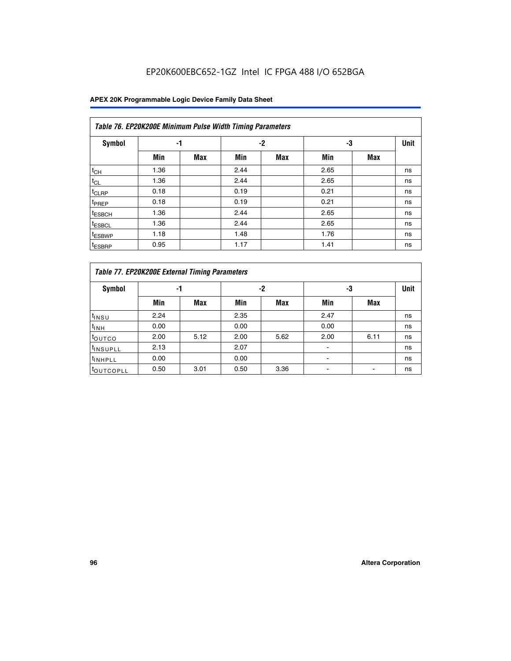## EP20K600EBC652-1GZ Intel IC FPGA 488 I/O 652BGA

| Table 76. EP20K200E Minimum Pulse Width Timing Parameters |      |            |      |            |      |            |             |  |  |  |  |
|-----------------------------------------------------------|------|------------|------|------------|------|------------|-------------|--|--|--|--|
| <b>Symbol</b>                                             | -1   |            |      | $-2$       | -3   |            | <b>Unit</b> |  |  |  |  |
|                                                           | Min  | <b>Max</b> | Min  | <b>Max</b> | Min  | <b>Max</b> |             |  |  |  |  |
| $t_{CH}$                                                  | 1.36 |            | 2.44 |            | 2.65 |            | ns          |  |  |  |  |
| $t_{CL}$                                                  | 1.36 |            | 2.44 |            | 2.65 |            | ns          |  |  |  |  |
| $t_{CLRP}$                                                | 0.18 |            | 0.19 |            | 0.21 |            | ns          |  |  |  |  |
| t <sub>PREP</sub>                                         | 0.18 |            | 0.19 |            | 0.21 |            | ns          |  |  |  |  |
| <sup>t</sup> ESBCH                                        | 1.36 |            | 2.44 |            | 2.65 |            | ns          |  |  |  |  |
| t <sub>ESBCL</sub>                                        | 1.36 |            | 2.44 |            | 2.65 |            | ns          |  |  |  |  |
| <sup>t</sup> ESBWP                                        | 1.18 |            | 1.48 |            | 1.76 |            | ns          |  |  |  |  |
| <sup>t</sup> ESBRP                                        | 0.95 |            | 1.17 |            | 1.41 |            | ns          |  |  |  |  |

|                       | Table 77. EP20K200E External Timing Parameters |            |      |            |      |      |    |  |  |  |  |  |
|-----------------------|------------------------------------------------|------------|------|------------|------|------|----|--|--|--|--|--|
| <b>Symbol</b>         |                                                | -1         |      | -2         |      | -3   |    |  |  |  |  |  |
|                       | Min                                            | <b>Max</b> | Min  | <b>Max</b> | Min  | Max  |    |  |  |  |  |  |
| t <sub>INSU</sub>     | 2.24                                           |            | 2.35 |            | 2.47 |      | ns |  |  |  |  |  |
| $t_{\text{INH}}$      | 0.00                                           |            | 0.00 |            | 0.00 |      | ns |  |  |  |  |  |
| toutco                | 2.00                                           | 5.12       | 2.00 | 5.62       | 2.00 | 6.11 | ns |  |  |  |  |  |
| <sup>t</sup> INSUPLL  | 2.13                                           |            | 2.07 |            |      |      | ns |  |  |  |  |  |
| <sup>t</sup> INHPLL   | 0.00                                           |            | 0.00 |            | -    |      | ns |  |  |  |  |  |
| <sup>I</sup> OUTCOPLL | 0.50                                           | 3.01       | 0.50 | 3.36       |      |      | ns |  |  |  |  |  |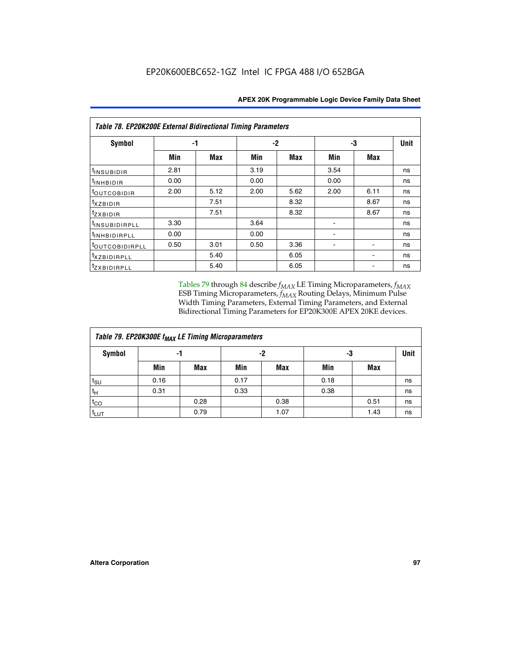| Table 78. EP20K200E External Bidirectional Timing Parameters |      |      |      |      |      |             |    |  |  |  |  |
|--------------------------------------------------------------|------|------|------|------|------|-------------|----|--|--|--|--|
| Symbol                                                       | -1   |      | $-2$ |      | -3   | <b>Unit</b> |    |  |  |  |  |
|                                                              | Min  | Max  | Min  | Max  | Min  | Max         |    |  |  |  |  |
| $t_{INSUBIDIR}$                                              | 2.81 |      | 3.19 |      | 3.54 |             | ns |  |  |  |  |
| $t_{INHBIDIR}$                                               | 0.00 |      | 0.00 |      | 0.00 |             | ns |  |  |  |  |
| t <sub>OUTCOBIDIR</sub>                                      | 2.00 | 5.12 | 2.00 | 5.62 | 2.00 | 6.11        | ns |  |  |  |  |
| <i>txzbidir</i>                                              |      | 7.51 |      | 8.32 |      | 8.67        | ns |  |  |  |  |
| tzxbidir                                                     |      | 7.51 |      | 8.32 |      | 8.67        | ns |  |  |  |  |
| <sup>t</sup> INSUBIDIRPLL                                    | 3.30 |      | 3.64 |      |      |             | ns |  |  |  |  |
| t <sub>INHBIDIRPLL</sub>                                     | 0.00 |      | 0.00 |      |      |             | ns |  |  |  |  |
| <sup>t</sup> OUTCOBIDIRPLL                                   | 0.50 | 3.01 | 0.50 | 3.36 |      |             | ns |  |  |  |  |
| <i>txzBIDIRPLL</i>                                           |      | 5.40 |      | 6.05 |      |             | ns |  |  |  |  |
| tzxBIDIRPLL                                                  |      | 5.40 |      | 6.05 |      |             | ns |  |  |  |  |

Tables 79 through 84 describe  $f_{MAX}$  LE Timing Microparameters,  $f_{MAX}$ ESB Timing Microparameters, *f<sub>MAX</sub>* Routing Delays, Minimum Pulse Width Timing Parameters, External Timing Parameters, and External Bidirectional Timing Parameters for EP20K300E APEX 20KE devices.

| Table 79. EP20K300E f <sub>MAX</sub> LE Timing Microparameters |      |            |      |            |      |            |    |  |  |  |
|----------------------------------------------------------------|------|------------|------|------------|------|------------|----|--|--|--|
| <b>Symbol</b>                                                  |      | -1         |      | -2         |      | -3         |    |  |  |  |
|                                                                | Min  | <b>Max</b> | Min  | <b>Max</b> | Min  | <b>Max</b> |    |  |  |  |
| $t_{\text{SU}}$                                                | 0.16 |            | 0.17 |            | 0.18 |            | ns |  |  |  |
| $t_H$                                                          | 0.31 |            | 0.33 |            | 0.38 |            | ns |  |  |  |
| $t_{CO}$                                                       |      | 0.28       |      | 0.38       |      | 0.51       | ns |  |  |  |
| t <sub>LUT</sub>                                               |      | 0.79       |      | 1.07       |      | 1.43       | ns |  |  |  |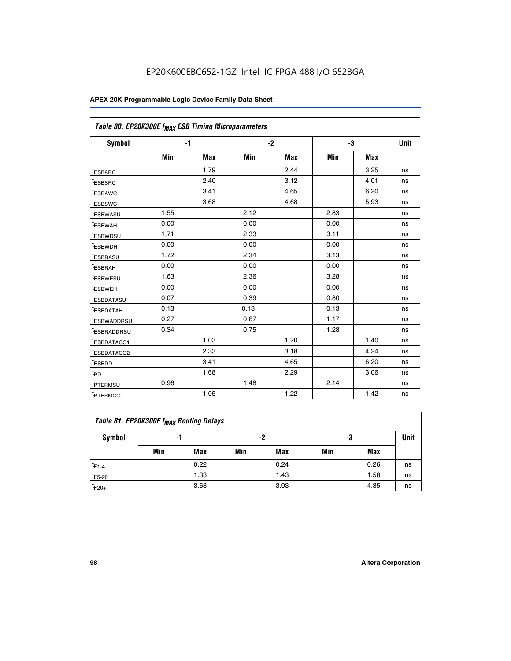| Table 80. EP20K300E f <sub>MAX</sub> ESB Timing Microparameters |      |            |      |            |      |            |      |
|-----------------------------------------------------------------|------|------------|------|------------|------|------------|------|
| <b>Symbol</b>                                                   |      | -1         |      | $-2$       |      | -3         | Unit |
|                                                                 | Min  | <b>Max</b> | Min  | <b>Max</b> | Min  | <b>Max</b> |      |
| t <sub>ESBARC</sub>                                             |      | 1.79       |      | 2.44       |      | 3.25       | ns   |
| t <sub>ESBSRC</sub>                                             |      | 2.40       |      | 3.12       |      | 4.01       | ns   |
| t <sub>ESBAWC</sub>                                             |      | 3.41       |      | 4.65       |      | 6.20       | ns   |
| t <sub>ESBSWC</sub>                                             |      | 3.68       |      | 4.68       |      | 5.93       | ns   |
| <sup>I</sup> ESBWASU                                            | 1.55 |            | 2.12 |            | 2.83 |            | ns   |
| <sup>t</sup> ESBWAH                                             | 0.00 |            | 0.00 |            | 0.00 |            | ns   |
| <sup>I</sup> ESBWDSU                                            | 1.71 |            | 2.33 |            | 3.11 |            | ns   |
| <sup>t</sup> ESBWDH                                             | 0.00 |            | 0.00 |            | 0.00 |            | ns   |
| <sup>t</sup> ESBRASU                                            | 1.72 |            | 2.34 |            | 3.13 |            | ns   |
| t <sub>ESBRAH</sub>                                             | 0.00 |            | 0.00 |            | 0.00 |            | ns   |
| <sup>t</sup> ESBWESU                                            | 1.63 |            | 2.36 |            | 3.28 |            | ns   |
| <sup>t</sup> ESBWEH                                             | 0.00 |            | 0.00 |            | 0.00 |            | ns   |
| t <sub>ESBDATASU</sub>                                          | 0.07 |            | 0.39 |            | 0.80 |            | ns   |
| <sup>t</sup> ESBDATAH                                           | 0.13 |            | 0.13 |            | 0.13 |            | ns   |
| <sup>t</sup> ESBWADDRSU                                         | 0.27 |            | 0.67 |            | 1.17 |            | ns   |
| <sup>t</sup> ESBRADDRSU                                         | 0.34 |            | 0.75 |            | 1.28 |            | ns   |
| <sup>I</sup> ESBDATACO1                                         |      | 1.03       |      | 1.20       |      | 1.40       | ns   |
| <sup>t</sup> ESBDATACO2                                         |      | 2.33       |      | 3.18       |      | 4.24       | ns   |
| <sup>t</sup> ESBDD                                              |      | 3.41       |      | 4.65       |      | 6.20       | ns   |
| t <sub>PD</sub>                                                 |      | 1.68       |      | 2.29       |      | 3.06       | ns   |
| t <sub>PTERMSU</sub>                                            | 0.96 |            | 1.48 |            | 2.14 |            | ns   |
| t <sub>PTERMCO</sub>                                            |      | 1.05       |      | 1.22       |      | 1.42       | ns   |

| Table 81. EP20K300E f <sub>MAX</sub> Routing Delays |     |      |     |            |     |      |    |  |  |  |
|-----------------------------------------------------|-----|------|-----|------------|-----|------|----|--|--|--|
| Symbol                                              |     | -1   |     | -2         |     | -3   |    |  |  |  |
|                                                     | Min | Max  | Min | <b>Max</b> | Min | Max  |    |  |  |  |
| $t_{F1-4}$                                          |     | 0.22 |     | 0.24       |     | 0.26 | ns |  |  |  |
| $t_{F5-20}$                                         |     | 1.33 |     | 1.43       |     | 1.58 | ns |  |  |  |
| $t_{F20+}$                                          |     | 3.63 |     | 3.93       |     | 4.35 | ns |  |  |  |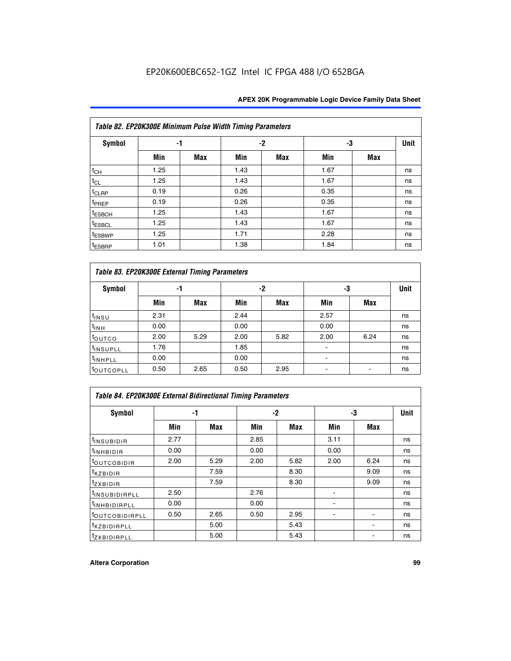|                    | Table 82. EP20K300E Minimum Pulse Width Timing Parameters |            |      |      |      |     |             |  |  |  |  |  |
|--------------------|-----------------------------------------------------------|------------|------|------|------|-----|-------------|--|--|--|--|--|
| <b>Symbol</b>      | -1                                                        |            |      | $-2$ | -3   |     | <b>Unit</b> |  |  |  |  |  |
|                    | Min                                                       | <b>Max</b> | Min  | Max  | Min  | Max |             |  |  |  |  |  |
| $t_{CH}$           | 1.25                                                      |            | 1.43 |      | 1.67 |     | ns          |  |  |  |  |  |
| $t_{CL}$           | 1.25                                                      |            | 1.43 |      | 1.67 |     | ns          |  |  |  |  |  |
| t <sub>CLRP</sub>  | 0.19                                                      |            | 0.26 |      | 0.35 |     | ns          |  |  |  |  |  |
| t <sub>PREP</sub>  | 0.19                                                      |            | 0.26 |      | 0.35 |     | ns          |  |  |  |  |  |
| t <sub>ESBCH</sub> | 1.25                                                      |            | 1.43 |      | 1.67 |     | ns          |  |  |  |  |  |
| <sup>t</sup> ESBCL | 1.25                                                      |            | 1.43 |      | 1.67 |     | ns          |  |  |  |  |  |
| <sup>t</sup> ESBWP | 1.25                                                      |            | 1.71 |      | 2.28 |     | ns          |  |  |  |  |  |
| <sup>t</sup> ESBRP | 1.01                                                      |            | 1.38 |      | 1.84 |     | ns          |  |  |  |  |  |

|                       | Table 83. EP20K300E External Timing Parameters |      |      |      |      |            |             |  |  |  |  |  |
|-----------------------|------------------------------------------------|------|------|------|------|------------|-------------|--|--|--|--|--|
| Symbol                |                                                | -1   |      | -2   |      | -3         | <b>Unit</b> |  |  |  |  |  |
|                       | Min                                            | Max  | Min  | Max  | Min  | <b>Max</b> |             |  |  |  |  |  |
| t <sub>INSU</sub>     | 2.31                                           |      | 2.44 |      | 2.57 |            | ns          |  |  |  |  |  |
| $t_{INH}$             | 0.00                                           |      | 0.00 |      | 0.00 |            | ns          |  |  |  |  |  |
| toutco                | 2.00                                           | 5.29 | 2.00 | 5.82 | 2.00 | 6.24       | ns          |  |  |  |  |  |
| <sup>t</sup> INSUPLL  | 1.76                                           |      | 1.85 |      |      |            | ns          |  |  |  |  |  |
| <sup>t</sup> INHPLL   | 0.00                                           |      | 0.00 |      | -    |            | ns          |  |  |  |  |  |
| <sup>t</sup> OUTCOPLL | 0.50                                           | 2.65 | 0.50 | 2.95 |      |            | ns          |  |  |  |  |  |

| Table 84. EP20K300E External Bidirectional Timing Parameters |      |      |      |      |      |             |    |  |  |  |  |
|--------------------------------------------------------------|------|------|------|------|------|-------------|----|--|--|--|--|
| Symbol                                                       | -1   |      | $-2$ |      | -3   | <b>Unit</b> |    |  |  |  |  |
|                                                              | Min  | Max  | Min  | Max  | Min  | <b>Max</b>  |    |  |  |  |  |
| <sup>t</sup> INSUBIDIR                                       | 2.77 |      | 2.85 |      | 3.11 |             | ns |  |  |  |  |
| <b>TINHBIDIR</b>                                             | 0.00 |      | 0.00 |      | 0.00 |             | ns |  |  |  |  |
| <sup>t</sup> OUTCOBIDIR                                      | 2.00 | 5.29 | 2.00 | 5.82 | 2.00 | 6.24        | ns |  |  |  |  |
| KZBIDIR                                                      |      | 7.59 |      | 8.30 |      | 9.09        | ns |  |  |  |  |
| $t_{Z}$ <i>x</i> BIDIR                                       |      | 7.59 |      | 8.30 |      | 9.09        | ns |  |  |  |  |
| <b>INSUBIDIRPLL</b>                                          | 2.50 |      | 2.76 |      |      |             | ns |  |  |  |  |
| <sup>t</sup> INHBIDIRPLL                                     | 0.00 |      | 0.00 |      |      |             | ns |  |  |  |  |
| <sup>t</sup> OUTCOBIDIRPLL                                   | 0.50 | 2.65 | 0.50 | 2.95 |      |             | ns |  |  |  |  |
| <sup>t</sup> XZBIDIRPLL                                      |      | 5.00 |      | 5.43 |      |             | ns |  |  |  |  |
| <sup>t</sup> ZXBIDIRPLL                                      |      | 5.00 |      | 5.43 |      |             | ns |  |  |  |  |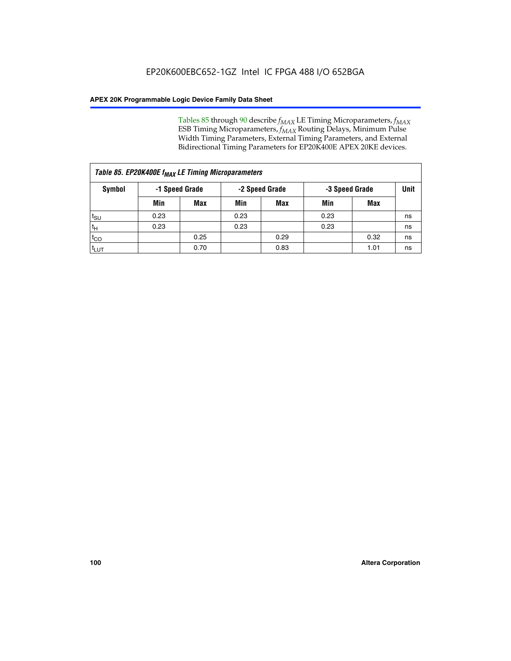Tables 85 through 90 describe  $f_{MAX}$  LE Timing Microparameters,  $f_{MAX}$ ESB Timing Microparameters, *f<sub>MAX</sub>* Routing Delays, Minimum Pulse Width Timing Parameters, External Timing Parameters, and External Bidirectional Timing Parameters for EP20K400E APEX 20KE devices.

| Table 85. EP20K400E f <sub>MAX</sub> LE Timing Microparameters |                |            |                |            |                |      |      |  |  |  |
|----------------------------------------------------------------|----------------|------------|----------------|------------|----------------|------|------|--|--|--|
| Symbol                                                         | -1 Speed Grade |            | -2 Speed Grade |            | -3 Speed Grade |      | Unit |  |  |  |
|                                                                | Min            | <b>Max</b> | Min            | <b>Max</b> | Min            | Max  |      |  |  |  |
| $t_{\text{SU}}$                                                | 0.23           |            | 0.23           |            | 0.23           |      | ns   |  |  |  |
| $t_H$                                                          | 0.23           |            | 0.23           |            | 0.23           |      | ns   |  |  |  |
| $t_{CO}$                                                       |                | 0.25       |                | 0.29       |                | 0.32 | ns   |  |  |  |
| ι <sup>t</sup> ιυτ                                             |                | 0.70       |                | 0.83       |                | 1.01 | ns   |  |  |  |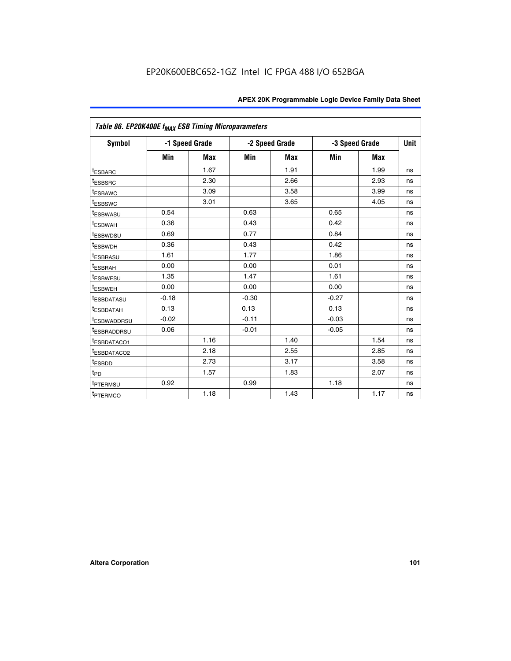| Table 86. EP20K400E f <sub>MAX</sub> ESB Timing Microparameters |         |                |         |                |         |                |             |
|-----------------------------------------------------------------|---------|----------------|---------|----------------|---------|----------------|-------------|
| Symbol                                                          |         | -1 Speed Grade |         | -2 Speed Grade |         | -3 Speed Grade | <b>Unit</b> |
|                                                                 | Min     | <b>Max</b>     | Min     | <b>Max</b>     | Min     | <b>Max</b>     |             |
| <sup>t</sup> ESBARC                                             |         | 1.67           |         | 1.91           |         | 1.99           | ns          |
| <sup>t</sup> ESBSRC                                             |         | 2.30           |         | 2.66           |         | 2.93           | ns          |
| <sup>t</sup> ESBAWC                                             |         | 3.09           |         | 3.58           |         | 3.99           | ns          |
| <sup>t</sup> ESBSWC                                             |         | 3.01           |         | 3.65           |         | 4.05           | ns          |
| <sup>t</sup> ESBWASU                                            | 0.54    |                | 0.63    |                | 0.65    |                | ns          |
| t <sub>ESBWAH</sub>                                             | 0.36    |                | 0.43    |                | 0.42    |                | ns          |
| <sup>t</sup> ESBWDSU                                            | 0.69    |                | 0.77    |                | 0.84    |                | ns          |
| <sup>t</sup> ESBWDH                                             | 0.36    |                | 0.43    |                | 0.42    |                | ns          |
| <sup>t</sup> ESBRASU                                            | 1.61    |                | 1.77    |                | 1.86    |                | ns          |
| <sup>t</sup> ESBRAH                                             | 0.00    |                | 0.00    |                | 0.01    |                | ns          |
| t <sub>ESBWESU</sub>                                            | 1.35    |                | 1.47    |                | 1.61    |                | ns          |
| t <sub>ESBWEH</sub>                                             | 0.00    |                | 0.00    |                | 0.00    |                | ns          |
| <sup>I</sup> ESBDATASU                                          | $-0.18$ |                | $-0.30$ |                | $-0.27$ |                | ns          |
| <b>ESBDATAH</b>                                                 | 0.13    |                | 0.13    |                | 0.13    |                | ns          |
| <sup>t</sup> ESBWADDRSU                                         | $-0.02$ |                | $-0.11$ |                | $-0.03$ |                | ns          |
| t <sub>ESBRADDRSU</sub>                                         | 0.06    |                | $-0.01$ |                | $-0.05$ |                | ns          |
| <sup>t</sup> ESBDATACO1                                         |         | 1.16           |         | 1.40           |         | 1.54           | ns          |
| <sup>I</sup> ESBDATACO2                                         |         | 2.18           |         | 2.55           |         | 2.85           | ns          |
| <sup>t</sup> ESBDD                                              |         | 2.73           |         | 3.17           |         | 3.58           | ns          |
| $t_{\mathsf{PD}}$                                               |         | 1.57           |         | 1.83           |         | 2.07           | ns          |
| t <sub>PTERMSU</sub>                                            | 0.92    |                | 0.99    |                | 1.18    |                | ns          |
| <sup>t</sup> PTERMCO                                            |         | 1.18           |         | 1.43           |         | 1.17           | ns          |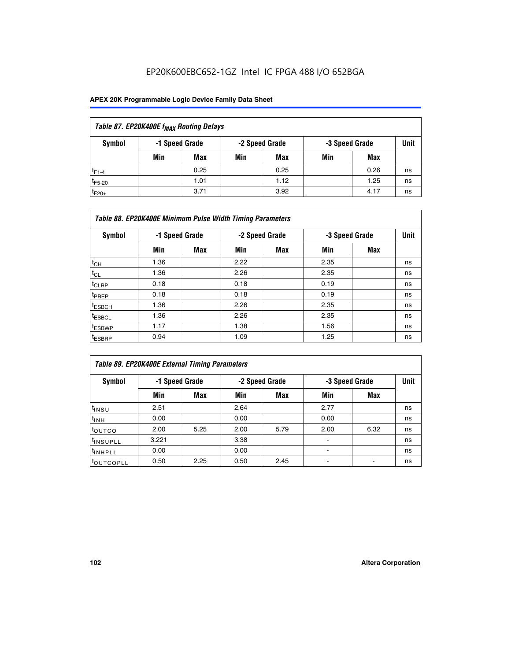## EP20K600EBC652-1GZ Intel IC FPGA 488 I/O 652BGA

| Table 87. EP20K400E f <sub>MAX</sub> Routing Delays |     |                |     |                |                |      |      |  |  |  |
|-----------------------------------------------------|-----|----------------|-----|----------------|----------------|------|------|--|--|--|
| Symbol                                              |     | -1 Speed Grade |     | -2 Speed Grade | -3 Speed Grade |      | Unit |  |  |  |
|                                                     | Min | Max            | Min | Max            | Min            | Max  |      |  |  |  |
| $t_{F1-4}$                                          |     | 0.25           |     | 0.25           |                | 0.26 | ns   |  |  |  |
| $t_{F5-20}$                                         |     | 1.01           |     | 1.12           |                | 1.25 | ns   |  |  |  |
| $t_{F20+}$                                          |     | 3.71           |     | 3.92           |                | 4.17 | ns   |  |  |  |

|                    | Table 88. EP20K400E Minimum Pulse Width Timing Parameters |                |      |                |      |                |             |  |  |  |  |
|--------------------|-----------------------------------------------------------|----------------|------|----------------|------|----------------|-------------|--|--|--|--|
| Symbol             |                                                           | -1 Speed Grade |      | -2 Speed Grade |      | -3 Speed Grade | <b>Unit</b> |  |  |  |  |
|                    | Min                                                       | <b>Max</b>     | Min  | <b>Max</b>     | Min  | Max            |             |  |  |  |  |
| $t_{CH}$           | 1.36                                                      |                | 2.22 |                | 2.35 |                | ns          |  |  |  |  |
| $t_{CL}$           | 1.36                                                      |                | 2.26 |                | 2.35 |                | ns          |  |  |  |  |
| $t_{CLRP}$         | 0.18                                                      |                | 0.18 |                | 0.19 |                | ns          |  |  |  |  |
| t <sub>PREP</sub>  | 0.18                                                      |                | 0.18 |                | 0.19 |                | ns          |  |  |  |  |
| t <sub>ESBCH</sub> | 1.36                                                      |                | 2.26 |                | 2.35 |                | ns          |  |  |  |  |
| <sup>t</sup> ESBCL | 1.36                                                      |                | 2.26 |                | 2.35 |                | ns          |  |  |  |  |
| <sup>t</sup> ESBWP | 1.17                                                      |                | 1.38 |                | 1.56 |                | ns          |  |  |  |  |
| <sup>t</sup> ESBRP | 0.94                                                      |                | 1.09 |                | 1.25 |                | ns          |  |  |  |  |

| Table 89. EP20K400E External Timing Parameters |       |                |      |                |      |                               |    |  |  |
|------------------------------------------------|-------|----------------|------|----------------|------|-------------------------------|----|--|--|
| Symbol                                         |       | -1 Speed Grade |      | -2 Speed Grade |      | <b>Unit</b><br>-3 Speed Grade |    |  |  |
|                                                | Min   | <b>Max</b>     | Min  | <b>Max</b>     | Min  | Max                           |    |  |  |
| t <sub>INSU</sub>                              | 2.51  |                | 2.64 |                | 2.77 |                               | ns |  |  |
| $t_{INH}$                                      | 0.00  |                | 0.00 |                | 0.00 |                               | ns |  |  |
| <b>t</b> outco                                 | 2.00  | 5.25           | 2.00 | 5.79           | 2.00 | 6.32                          | ns |  |  |
| <sup>t</sup> INSUPLL                           | 3.221 |                | 3.38 |                | -    |                               | ns |  |  |
| I <sup>t</sup> INHPLL                          | 0.00  |                | 0.00 |                | -    |                               | ns |  |  |
| toutcopll                                      | 0.50  | 2.25           | 0.50 | 2.45           | -    |                               | ns |  |  |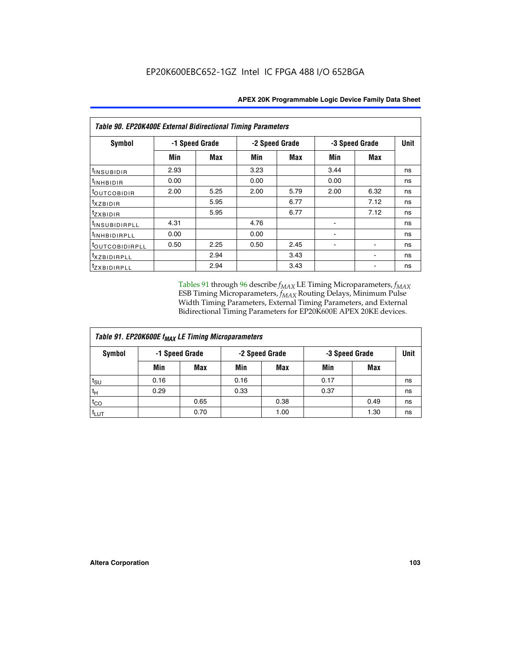| Table 90. EP20K400E External Bidirectional Timing Parameters |                |      |                |            |      |                |             |  |  |  |
|--------------------------------------------------------------|----------------|------|----------------|------------|------|----------------|-------------|--|--|--|
| Symbol                                                       | -1 Speed Grade |      | -2 Speed Grade |            |      | -3 Speed Grade | <b>Unit</b> |  |  |  |
|                                                              | Min            | Max  | Min            | <b>Max</b> | Min  | Max            |             |  |  |  |
| <sup>t</sup> INSUBIDIR                                       | 2.93           |      | 3.23           |            | 3.44 |                | ns          |  |  |  |
| $t_{\rm INHBIDIR}$                                           | 0.00           |      | 0.00           |            | 0.00 |                | ns          |  |  |  |
| toutcobidir                                                  | 2.00           | 5.25 | 2.00           | 5.79       | 2.00 | 6.32           | ns          |  |  |  |
| $t_{XZBIDIR}$                                                |                | 5.95 |                | 6.77       |      | 7.12           | ns          |  |  |  |
| tzxbidir                                                     |                | 5.95 |                | 6.77       |      | 7.12           | ns          |  |  |  |
| <sup>t</sup> INSUBIDIRPLL                                    | 4.31           |      | 4.76           |            |      |                | ns          |  |  |  |
| <sup>t</sup> INHBIDIRPLL                                     | 0.00           |      | 0.00           |            |      |                | ns          |  |  |  |
| <sup>t</sup> OUTCOBIDIRPLL                                   | 0.50           | 2.25 | 0.50           | 2.45       |      |                | ns          |  |  |  |
| <sup>t</sup> xzbidirpll                                      |                | 2.94 |                | 3.43       |      |                | ns          |  |  |  |
| <i>tzxBIDIRPLL</i>                                           |                | 2.94 |                | 3.43       |      |                | ns          |  |  |  |

Tables 91 through 96 describe  $f_{MAX}$  LE Timing Microparameters,  $f_{MAX}$ ESB Timing Microparameters, *f<sub>MAX</sub>* Routing Delays, Minimum Pulse Width Timing Parameters, External Timing Parameters, and External Bidirectional Timing Parameters for EP20K600E APEX 20KE devices.

| Table 91. EP20K600E f <sub>MAX</sub> LE Timing Microparameters |      |                |      |                |                |      |      |  |  |
|----------------------------------------------------------------|------|----------------|------|----------------|----------------|------|------|--|--|
| Symbol                                                         |      | -1 Speed Grade |      | -2 Speed Grade | -3 Speed Grade |      | Unit |  |  |
|                                                                | Min  | <b>Max</b>     | Min  | <b>Max</b>     | Min            | Max  |      |  |  |
| $t_{\text{SU}}$                                                | 0.16 |                | 0.16 |                | 0.17           |      | ns   |  |  |
| $t_H$                                                          | 0.29 |                | 0.33 |                | 0.37           |      | ns   |  |  |
| $t_{CO}$                                                       |      | 0.65           |      | 0.38           |                | 0.49 | ns   |  |  |
| t <sub>LUT</sub>                                               |      | 0.70           |      | 1.00           |                | 1.30 | ns   |  |  |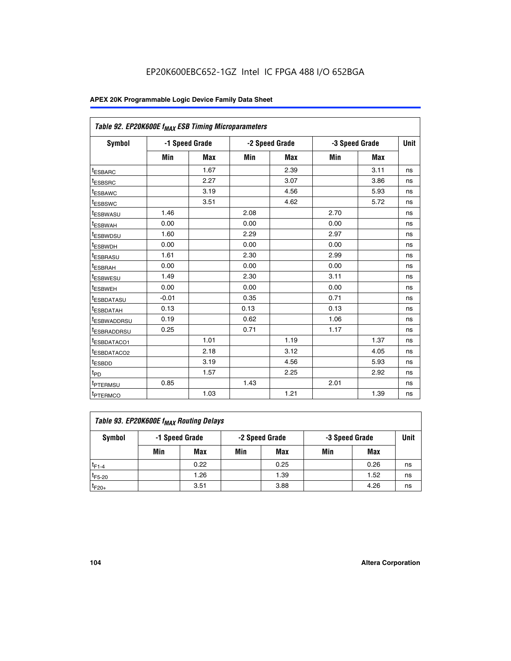| Table 92. EP20K600E f <sub>MAX</sub> ESB Timing Microparameters |         |                |      |                |      |                |    |
|-----------------------------------------------------------------|---------|----------------|------|----------------|------|----------------|----|
| <b>Symbol</b>                                                   |         | -1 Speed Grade |      | -2 Speed Grade |      | -3 Speed Grade |    |
|                                                                 | Min     | <b>Max</b>     | Min  | <b>Max</b>     | Min  | <b>Max</b>     |    |
| <sup>t</sup> ESBARC                                             |         | 1.67           |      | 2.39           |      | 3.11           | ns |
| t <sub>ESBSRC</sub>                                             |         | 2.27           |      | 3.07           |      | 3.86           | ns |
| t <sub>ESBAWC</sub>                                             |         | 3.19           |      | 4.56           |      | 5.93           | ns |
| t <sub>ESBSWC</sub>                                             |         | 3.51           |      | 4.62           |      | 5.72           | ns |
| <sup>t</sup> ESBWASU                                            | 1.46    |                | 2.08 |                | 2.70 |                | ns |
| <sup>t</sup> ESBWAH                                             | 0.00    |                | 0.00 |                | 0.00 |                | ns |
| t <sub>ESBWDSU</sub>                                            | 1.60    |                | 2.29 |                | 2.97 |                | ns |
| <sup>t</sup> ESBWDH                                             | 0.00    |                | 0.00 |                | 0.00 |                | ns |
| <sup>t</sup> ESBRASU                                            | 1.61    |                | 2.30 |                | 2.99 |                | ns |
| <sup>t</sup> ESBRAH                                             | 0.00    |                | 0.00 |                | 0.00 |                | ns |
| t <sub>ESBWESU</sub>                                            | 1.49    |                | 2.30 |                | 3.11 |                | ns |
| t <sub>ESBWEH</sub>                                             | 0.00    |                | 0.00 |                | 0.00 |                | ns |
| <sup>t</sup> ESBDATASU                                          | $-0.01$ |                | 0.35 |                | 0.71 |                | ns |
| <sup>t</sup> ESBDATAH                                           | 0.13    |                | 0.13 |                | 0.13 |                | ns |
| <sup>t</sup> ESBWADDRSU                                         | 0.19    |                | 0.62 |                | 1.06 |                | ns |
| tESBRADDRSU                                                     | 0.25    |                | 0.71 |                | 1.17 |                | ns |
| <sup>I</sup> ESBDATACO1                                         |         | 1.01           |      | 1.19           |      | 1.37           | ns |
| <sup>t</sup> ESBDATACO2                                         |         | 2.18           |      | 3.12           |      | 4.05           | ns |
| <sup>t</sup> ESBDD                                              |         | 3.19           |      | 4.56           |      | 5.93           | ns |
| t <sub>PD</sub>                                                 |         | 1.57           |      | 2.25           |      | 2.92           | ns |
| t <sub>PTERMSU</sub>                                            | 0.85    |                | 1.43 |                | 2.01 |                | ns |
| t <sub>PTERMCO</sub>                                            |         | 1.03           |      | 1.21           |      | 1.39           | ns |

| Table 93. EP20K600E f <sub>MAX</sub> Routing Delays |                                                    |      |     |      |     |             |    |  |  |
|-----------------------------------------------------|----------------------------------------------------|------|-----|------|-----|-------------|----|--|--|
| Symbol                                              | -1 Speed Grade<br>-2 Speed Grade<br>-3 Speed Grade |      |     |      |     | <b>Unit</b> |    |  |  |
|                                                     | Min                                                | Max  | Min | Max  | Min | Max         |    |  |  |
| $t_{F1-4}$                                          |                                                    | 0.22 |     | 0.25 |     | 0.26        | ns |  |  |
| $t_{F5-20}$                                         |                                                    | 1.26 |     | 1.39 |     | 1.52        | ns |  |  |
| $t_{F20+}$                                          |                                                    | 3.51 |     | 3.88 |     | 4.26        | ns |  |  |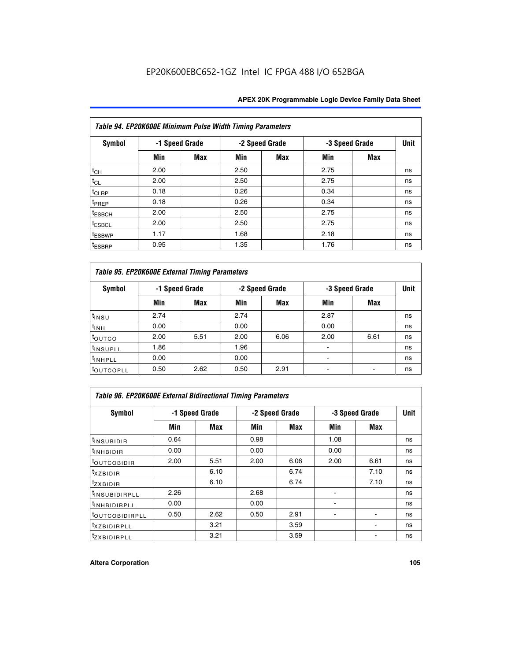| Table 94. EP20K600E Minimum Pulse Width Timing Parameters |      |                |      |                |                |            |             |  |  |
|-----------------------------------------------------------|------|----------------|------|----------------|----------------|------------|-------------|--|--|
| Symbol                                                    |      | -1 Speed Grade |      | -2 Speed Grade | -3 Speed Grade |            | <b>Unit</b> |  |  |
|                                                           | Min  | Max            | Min  | Max            | Min            | <b>Max</b> |             |  |  |
| $t_{CH}$                                                  | 2.00 |                | 2.50 |                | 2.75           |            | ns          |  |  |
| $t_{CL}$                                                  | 2.00 |                | 2.50 |                | 2.75           |            | ns          |  |  |
| $t_{CLRP}$                                                | 0.18 |                | 0.26 |                | 0.34           |            | ns          |  |  |
| t <sub>PREP</sub>                                         | 0.18 |                | 0.26 |                | 0.34           |            | ns          |  |  |
| <sup>t</sup> ESBCH                                        | 2.00 |                | 2.50 |                | 2.75           |            | ns          |  |  |
| <sup>t</sup> ESBCL                                        | 2.00 |                | 2.50 |                | 2.75           |            | ns          |  |  |
| <sup>t</sup> ESBWP                                        | 1.17 |                | 1.68 |                | 2.18           |            | ns          |  |  |
| <sup>t</sup> ESBRP                                        | 0.95 |                | 1.35 |                | 1.76           |            | ns          |  |  |

| Table 95. EP20K600E External Timing Parameters |                |      |      |                |                          |             |    |  |  |  |
|------------------------------------------------|----------------|------|------|----------------|--------------------------|-------------|----|--|--|--|
| Symbol                                         | -1 Speed Grade |      |      | -2 Speed Grade | -3 Speed Grade           | <b>Unit</b> |    |  |  |  |
|                                                | Min            | Max  | Min  | Max            | Min                      | Max         |    |  |  |  |
| t <sub>insu</sub>                              | 2.74           |      | 2.74 |                | 2.87                     |             | ns |  |  |  |
| $t_{INH}$                                      | 0.00           |      | 0.00 |                | 0.00                     |             | ns |  |  |  |
| toutco                                         | 2.00           | 5.51 | 2.00 | 6.06           | 2.00                     | 6.61        | ns |  |  |  |
| <sup>t</sup> INSUPLL                           | 1.86           |      | 1.96 |                |                          |             | ns |  |  |  |
| <sup>t</sup> INHPLL                            | 0.00           |      | 0.00 |                | $\overline{\phantom{a}}$ |             | ns |  |  |  |
| <b>LOUTCOPLL</b>                               | 0.50           | 2.62 | 0.50 | 2.91           |                          |             | ns |  |  |  |

| <b>Table 96. EP20K600E External Bidirectional Timing Parameters</b> |                |      |      |                |                |             |    |  |  |  |
|---------------------------------------------------------------------|----------------|------|------|----------------|----------------|-------------|----|--|--|--|
| Symbol                                                              | -1 Speed Grade |      |      | -2 Speed Grade | -3 Speed Grade | <b>Unit</b> |    |  |  |  |
|                                                                     | Min            | Max  | Min  | Max            | Min            | Max         |    |  |  |  |
| <sup>t</sup> INSUBIDIR                                              | 0.64           |      | 0.98 |                | 1.08           |             | ns |  |  |  |
| $t_{\rm INHBIDIR}$                                                  | 0.00           |      | 0.00 |                | 0.00           |             | ns |  |  |  |
| <sup>t</sup> OUTCOBIDIR                                             | 2.00           | 5.51 | 2.00 | 6.06           | 2.00           | 6.61        | ns |  |  |  |
| $t_{XZBIDIR}$                                                       |                | 6.10 |      | 6.74           |                | 7.10        | ns |  |  |  |
| $t_{ZXBIDIR}$                                                       |                | 6.10 |      | 6.74           |                | 7.10        | ns |  |  |  |
| <sup>t</sup> INSUBIDIRPLL                                           | 2.26           |      | 2.68 |                |                |             | ns |  |  |  |
| <sup>t</sup> INHBIDIRPLL                                            | 0.00           |      | 0.00 |                |                |             | ns |  |  |  |
| <b><i>LOUTCOBIDIRPLL</i></b>                                        | 0.50           | 2.62 | 0.50 | 2.91           |                |             | ns |  |  |  |
| <sup>t</sup> XZBIDIRPLL                                             |                | 3.21 |      | 3.59           |                |             | ns |  |  |  |
| <sup>t</sup> zxbidirpll                                             |                | 3.21 |      | 3.59           |                |             | ns |  |  |  |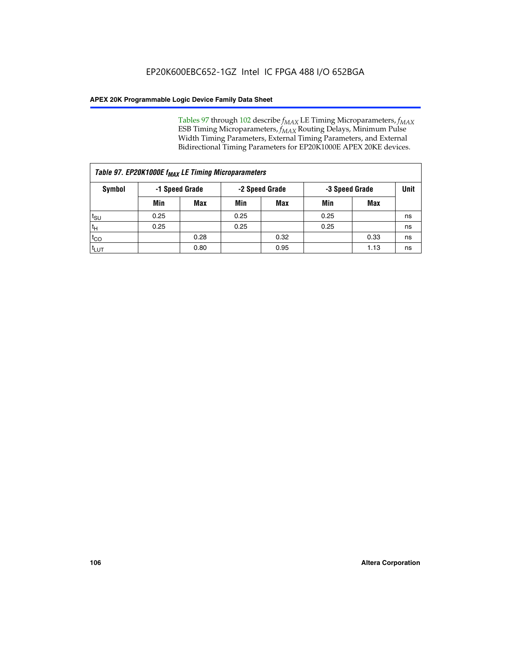Tables 97 through 102 describe  $f_{MAX}$  LE Timing Microparameters,  $f_{MAX}$ ESB Timing Microparameters, *f<sub>MAX</sub>* Routing Delays, Minimum Pulse Width Timing Parameters, External Timing Parameters, and External Bidirectional Timing Parameters for EP20K1000E APEX 20KE devices.

| Table 97. EP20K1000E f <sub>MAX</sub> LE Timing Microparameters |                |            |                |            |                |      |             |  |  |
|-----------------------------------------------------------------|----------------|------------|----------------|------------|----------------|------|-------------|--|--|
| Symbol                                                          | -1 Speed Grade |            | -2 Speed Grade |            | -3 Speed Grade |      | <b>Unit</b> |  |  |
|                                                                 | Min            | <b>Max</b> | Min            | <b>Max</b> | Min            | Max  |             |  |  |
| $t_{\text{SU}}$                                                 | 0.25           |            | 0.25           |            | 0.25           |      | ns          |  |  |
| $t_H$                                                           | 0.25           |            | 0.25           |            | 0.25           |      | ns          |  |  |
| $t_{CO}$                                                        |                | 0.28       |                | 0.32       |                | 0.33 | ns          |  |  |
| t <sub>LUT</sub>                                                |                | 0.80       |                | 0.95       |                | 1.13 | ns          |  |  |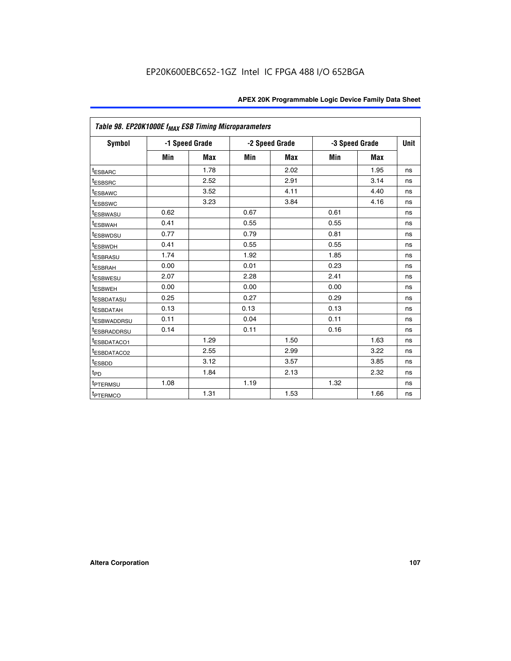|                         | Table 98. EP20K1000E f <sub>MAX</sub> ESB Timing Microparameters |                |      |                |                |             |    |  |  |  |  |
|-------------------------|------------------------------------------------------------------|----------------|------|----------------|----------------|-------------|----|--|--|--|--|
| Symbol                  |                                                                  | -1 Speed Grade |      | -2 Speed Grade | -3 Speed Grade | <b>Unit</b> |    |  |  |  |  |
|                         | Min                                                              | <b>Max</b>     | Min  | Max            | Min            | <b>Max</b>  |    |  |  |  |  |
| <b>tESBARC</b>          |                                                                  | 1.78           |      | 2.02           |                | 1.95        | ns |  |  |  |  |
| <sup>t</sup> ESBSRC     |                                                                  | 2.52           |      | 2.91           |                | 3.14        | ns |  |  |  |  |
| t <sub>ESBAWC</sub>     |                                                                  | 3.52           |      | 4.11           |                | 4.40        | ns |  |  |  |  |
| <sup>t</sup> ESBSWC     |                                                                  | 3.23           |      | 3.84           |                | 4.16        | ns |  |  |  |  |
| <sup>t</sup> ESBWASU    | 0.62                                                             |                | 0.67 |                | 0.61           |             | ns |  |  |  |  |
| t <sub>ESBWAH</sub>     | 0.41                                                             |                | 0.55 |                | 0.55           |             | ns |  |  |  |  |
| <sup>t</sup> ESBWDSU    | 0.77                                                             |                | 0.79 |                | 0.81           |             | ns |  |  |  |  |
| t <sub>ESBWDH</sub>     | 0.41                                                             |                | 0.55 |                | 0.55           |             | ns |  |  |  |  |
| t <sub>ESBRASU</sub>    | 1.74                                                             |                | 1.92 |                | 1.85           |             | ns |  |  |  |  |
| t <sub>ESBRAH</sub>     | 0.00                                                             |                | 0.01 |                | 0.23           |             | ns |  |  |  |  |
| <sup>t</sup> ESBWESU    | 2.07                                                             |                | 2.28 |                | 2.41           |             | ns |  |  |  |  |
| t <sub>ESBWEH</sub>     | 0.00                                                             |                | 0.00 |                | 0.00           |             | ns |  |  |  |  |
| <sup>I</sup> ESBDATASU  | 0.25                                                             |                | 0.27 |                | 0.29           |             | ns |  |  |  |  |
| <b>ESBDATAH</b>         | 0.13                                                             |                | 0.13 |                | 0.13           |             | ns |  |  |  |  |
| <sup>T</sup> ESBWADDRSU | 0.11                                                             |                | 0.04 |                | 0.11           |             | ns |  |  |  |  |
| <sup>T</sup> ESBRADDRSU | 0.14                                                             |                | 0.11 |                | 0.16           |             | ns |  |  |  |  |
| <sup>t</sup> ESBDATACO1 |                                                                  | 1.29           |      | 1.50           |                | 1.63        | ns |  |  |  |  |
| <sup>t</sup> ESBDATACO2 |                                                                  | 2.55           |      | 2.99           |                | 3.22        | ns |  |  |  |  |
| <sup>t</sup> ESBDD      |                                                                  | 3.12           |      | 3.57           |                | 3.85        | ns |  |  |  |  |
| $t_{P\underline{D}}$    |                                                                  | 1.84           |      | 2.13           |                | 2.32        | ns |  |  |  |  |
| t <sub>PTERMSU</sub>    | 1.08                                                             |                | 1.19 |                | 1.32           |             | ns |  |  |  |  |
| <sup>t</sup> PTERMCO    |                                                                  | 1.31           |      | 1.53           |                | 1.66        | ns |  |  |  |  |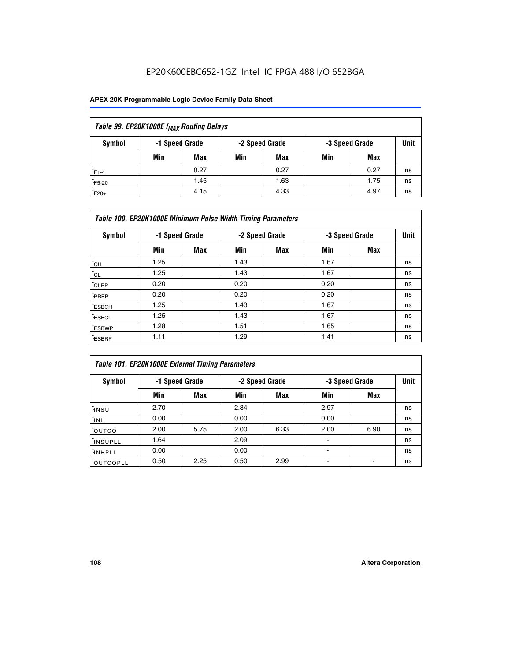## EP20K600EBC652-1GZ Intel IC FPGA 488 I/O 652BGA

### **APEX 20K Programmable Logic Device Family Data Sheet**

| Table 99. EP20K1000E f <sub>MAX</sub> Routing Delays |     |                |     |                |     |                |    |  |  |  |  |
|------------------------------------------------------|-----|----------------|-----|----------------|-----|----------------|----|--|--|--|--|
| Symbol                                               |     | -1 Speed Grade |     | -2 Speed Grade |     | -3 Speed Grade |    |  |  |  |  |
|                                                      | Min | Max            | Min | Max            | Min | Max            |    |  |  |  |  |
| $t_{F1-4}$                                           |     | 0.27           |     | 0.27           |     | 0.27           | ns |  |  |  |  |
| $t_{F5-20}$                                          |     | 1.45           |     | 1.63           |     | 1.75           | ns |  |  |  |  |
| $t_{F20+}$                                           |     | 4.15           |     | 4.33           |     | 4.97           | ns |  |  |  |  |

|                    | Table 100. EP20K1000E Minimum Pulse Width Timing Parameters |                |      |                |      |                |             |  |  |  |  |  |
|--------------------|-------------------------------------------------------------|----------------|------|----------------|------|----------------|-------------|--|--|--|--|--|
| Symbol             |                                                             | -1 Speed Grade |      | -2 Speed Grade |      | -3 Speed Grade | <b>Unit</b> |  |  |  |  |  |
|                    | Min                                                         | <b>Max</b>     | Min  | Max            | Min  | Max            |             |  |  |  |  |  |
| $t_{CH}$           | 1.25                                                        |                | 1.43 |                | 1.67 |                | ns          |  |  |  |  |  |
| $t_{CL}$           | 1.25                                                        |                | 1.43 |                | 1.67 |                | ns          |  |  |  |  |  |
| t <sub>CLRP</sub>  | 0.20                                                        |                | 0.20 |                | 0.20 |                | ns          |  |  |  |  |  |
| <sup>t</sup> PREP  | 0.20                                                        |                | 0.20 |                | 0.20 |                | ns          |  |  |  |  |  |
| <sup>t</sup> ESBCH | 1.25                                                        |                | 1.43 |                | 1.67 |                | ns          |  |  |  |  |  |
| <sup>t</sup> ESBCL | 1.25                                                        |                | 1.43 |                | 1.67 |                | ns          |  |  |  |  |  |
| <sup>t</sup> ESBWP | 1.28                                                        |                | 1.51 |                | 1.65 |                | ns          |  |  |  |  |  |
| <sup>t</sup> ESBRP | 1.11                                                        |                | 1.29 |                | 1.41 |                | ns          |  |  |  |  |  |

| Table 101. EP20K1000E External Timing Parameters |      |                |      |                |      |                |             |  |  |  |  |  |
|--------------------------------------------------|------|----------------|------|----------------|------|----------------|-------------|--|--|--|--|--|
| Symbol                                           |      | -1 Speed Grade |      | -2 Speed Grade |      | -3 Speed Grade | <b>Unit</b> |  |  |  |  |  |
|                                                  | Min  | <b>Max</b>     | Min  | <b>Max</b>     | Min  | Max            |             |  |  |  |  |  |
| t <sub>INSU</sub>                                | 2.70 |                | 2.84 |                | 2.97 |                | ns          |  |  |  |  |  |
| $t_{INH}$                                        | 0.00 |                | 0.00 |                | 0.00 |                | ns          |  |  |  |  |  |
| toutco                                           | 2.00 | 5.75           | 2.00 | 6.33           | 2.00 | 6.90           | ns          |  |  |  |  |  |
| tinsupll                                         | 1.64 |                | 2.09 |                |      |                | ns          |  |  |  |  |  |
| <sup>t</sup> INHPLL                              | 0.00 |                | 0.00 |                | -    |                | ns          |  |  |  |  |  |
| toutcopll                                        | 0.50 | 2.25           | 0.50 | 2.99           | -    |                | ns          |  |  |  |  |  |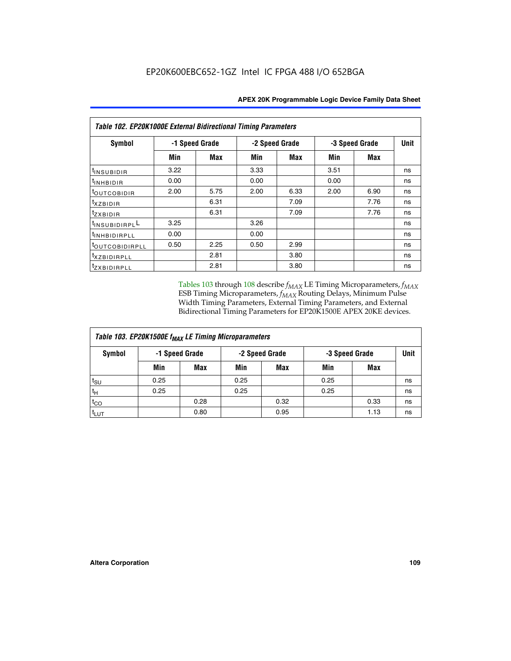| Table 102. EP20K1000E External Bidirectional Timing Parameters |                |      |      |                |                |             |    |  |  |  |
|----------------------------------------------------------------|----------------|------|------|----------------|----------------|-------------|----|--|--|--|
| Symbol                                                         | -1 Speed Grade |      |      | -2 Speed Grade | -3 Speed Grade | <b>Unit</b> |    |  |  |  |
|                                                                | Min            | Max  | Min  | <b>Max</b>     | Min            | <b>Max</b>  |    |  |  |  |
| t <sub>INSUBIDIR</sub>                                         | 3.22           |      | 3.33 |                | 3.51           |             | ns |  |  |  |
| $t_{\rm INHBIDIR}$                                             | 0.00           |      | 0.00 |                | 0.00           |             | ns |  |  |  |
| <sup>t</sup> OUTCOBIDIR                                        | 2.00           | 5.75 | 2.00 | 6.33           | 2.00           | 6.90        | ns |  |  |  |
| $t_{XZBIDIR}$                                                  |                | 6.31 |      | 7.09           |                | 7.76        | ns |  |  |  |
| tzxbidir                                                       |                | 6.31 |      | 7.09           |                | 7.76        | ns |  |  |  |
| <sup>1</sup> INSUBIDIRPL <sup>L</sup>                          | 3.25           |      | 3.26 |                |                |             | ns |  |  |  |
| <sup>t</sup> INHBIDIRPLL                                       | 0.00           |      | 0.00 |                |                |             | ns |  |  |  |
| <sup>t</sup> OUTCOBIDIRPLL                                     | 0.50           | 2.25 | 0.50 | 2.99           |                |             | ns |  |  |  |
| <sup>t</sup> xzBIDIRPLL                                        |                | 2.81 |      | 3.80           |                |             | ns |  |  |  |
| <sup>t</sup> zxbidirpll                                        |                | 2.81 |      | 3.80           |                |             | ns |  |  |  |

Tables 103 through 108 describe  $f_{MAX}$  LE Timing Microparameters,  $f_{MAX}$ ESB Timing Microparameters, *f<sub>MAX</sub>* Routing Delays, Minimum Pulse Width Timing Parameters, External Timing Parameters, and External Bidirectional Timing Parameters for EP20K1500E APEX 20KE devices.

| Table 103. EP20K1500E f <sub>MAX</sub> LE Timing Microparameters |      |                |      |                |      |                |    |  |  |  |  |
|------------------------------------------------------------------|------|----------------|------|----------------|------|----------------|----|--|--|--|--|
| Symbol                                                           |      | -1 Speed Grade |      | -2 Speed Grade |      | -3 Speed Grade |    |  |  |  |  |
|                                                                  | Min  | <b>Max</b>     | Min  | <b>Max</b>     | Min  | Max            |    |  |  |  |  |
| $t_{\sf SU}$                                                     | 0.25 |                | 0.25 |                | 0.25 |                | ns |  |  |  |  |
| $t_H$                                                            | 0.25 |                | 0.25 |                | 0.25 |                | ns |  |  |  |  |
| $t_{CO}$                                                         |      | 0.28           |      | 0.32           |      | 0.33           | ns |  |  |  |  |
| t <sub>lut</sub>                                                 |      | 0.80           |      | 0.95           |      | 1.13           | ns |  |  |  |  |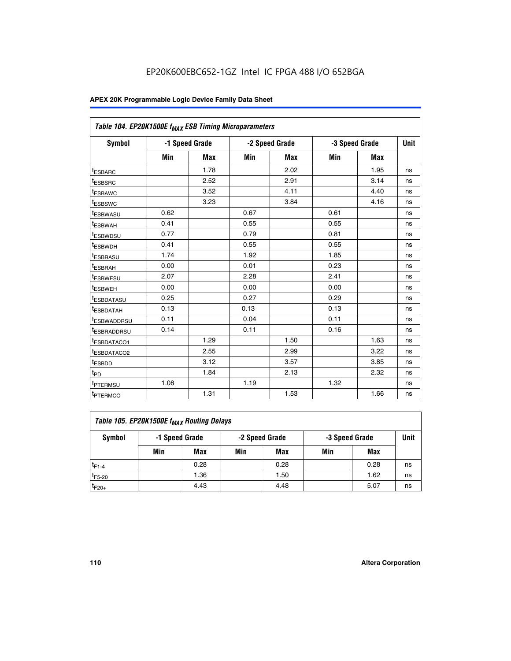|                         | Table 104. EP20K1500E f <sub>MAX</sub> ESB Timing Microparameters |                |      |                |      |                |             |  |  |  |  |  |
|-------------------------|-------------------------------------------------------------------|----------------|------|----------------|------|----------------|-------------|--|--|--|--|--|
| <b>Symbol</b>           |                                                                   | -1 Speed Grade |      | -2 Speed Grade |      | -3 Speed Grade | <b>Unit</b> |  |  |  |  |  |
|                         | Min                                                               | <b>Max</b>     | Min  | <b>Max</b>     | Min  | <b>Max</b>     |             |  |  |  |  |  |
| t <sub>ESBARC</sub>     |                                                                   | 1.78           |      | 2.02           |      | 1.95           | ns          |  |  |  |  |  |
| <sup>t</sup> ESBSRC     |                                                                   | 2.52           |      | 2.91           |      | 3.14           | ns          |  |  |  |  |  |
| <sup>t</sup> ESBAWC     |                                                                   | 3.52           |      | 4.11           |      | 4.40           | ns          |  |  |  |  |  |
| <sup>t</sup> ESBSWC     |                                                                   | 3.23           |      | 3.84           |      | 4.16           | ns          |  |  |  |  |  |
| t <sub>ESBWASU</sub>    | 0.62                                                              |                | 0.67 |                | 0.61 |                | ns          |  |  |  |  |  |
| t <sub>ESBWAH</sub>     | 0.41                                                              |                | 0.55 |                | 0.55 |                | ns          |  |  |  |  |  |
| <sup>t</sup> ESBWDSU    | 0.77                                                              |                | 0.79 |                | 0.81 |                | ns          |  |  |  |  |  |
| <sup>t</sup> ESBWDH     | 0.41                                                              |                | 0.55 |                | 0.55 |                | ns          |  |  |  |  |  |
| t <sub>ESBRASU</sub>    | 1.74                                                              |                | 1.92 |                | 1.85 |                | ns          |  |  |  |  |  |
| <sup>t</sup> ESBRAH     | 0.00                                                              |                | 0.01 |                | 0.23 |                | ns          |  |  |  |  |  |
| tESBWESU                | 2.07                                                              |                | 2.28 |                | 2.41 |                | ns          |  |  |  |  |  |
| t <sub>ESBWEH</sub>     | 0.00                                                              |                | 0.00 |                | 0.00 |                | ns          |  |  |  |  |  |
| <sup>t</sup> ESBDATASU  | 0.25                                                              |                | 0.27 |                | 0.29 |                | ns          |  |  |  |  |  |
| t <sub>ESBDATAH</sub>   | 0.13                                                              |                | 0.13 |                | 0.13 |                | ns          |  |  |  |  |  |
| <sup>t</sup> ESBWADDRSU | 0.11                                                              |                | 0.04 |                | 0.11 |                | ns          |  |  |  |  |  |
| <sup>t</sup> ESBRADDRSU | 0.14                                                              |                | 0.11 |                | 0.16 |                | ns          |  |  |  |  |  |
| <u>IESBDATACO1</u>      |                                                                   | 1.29           |      | 1.50           |      | 1.63           | ns          |  |  |  |  |  |
| <sup>t</sup> ESBDATACO2 |                                                                   | 2.55           |      | 2.99           |      | 3.22           | ns          |  |  |  |  |  |
| <sup>t</sup> ESBDD      |                                                                   | 3.12           |      | 3.57           |      | 3.85           | ns          |  |  |  |  |  |
| t <sub>PD</sub>         |                                                                   | 1.84           |      | 2.13           |      | 2.32           | ns          |  |  |  |  |  |
| <sup>t</sup> PTERMSU    | 1.08                                                              |                | 1.19 |                | 1.32 |                | ns          |  |  |  |  |  |
| t <sub>PTERMCO</sub>    |                                                                   | 1.31           |      | 1.53           |      | 1.66           | ns          |  |  |  |  |  |

| Table 105. EP20K1500E f <sub>MAX</sub> Routing Delays |                                                    |      |     |      |     |      |    |  |  |  |
|-------------------------------------------------------|----------------------------------------------------|------|-----|------|-----|------|----|--|--|--|
| Symbol                                                | -1 Speed Grade<br>-2 Speed Grade<br>-3 Speed Grade |      |     |      |     |      |    |  |  |  |
|                                                       | Min                                                | Max  | Min | Max  | Min | Max  |    |  |  |  |
| $t_{F1-4}$                                            |                                                    | 0.28 |     | 0.28 |     | 0.28 | ns |  |  |  |
| $t_{F5-20}$                                           |                                                    | 1.36 |     | 1.50 |     | 1.62 | ns |  |  |  |
| $t_{F20+}$                                            |                                                    | 4.43 |     | 4.48 |     | 5.07 | ns |  |  |  |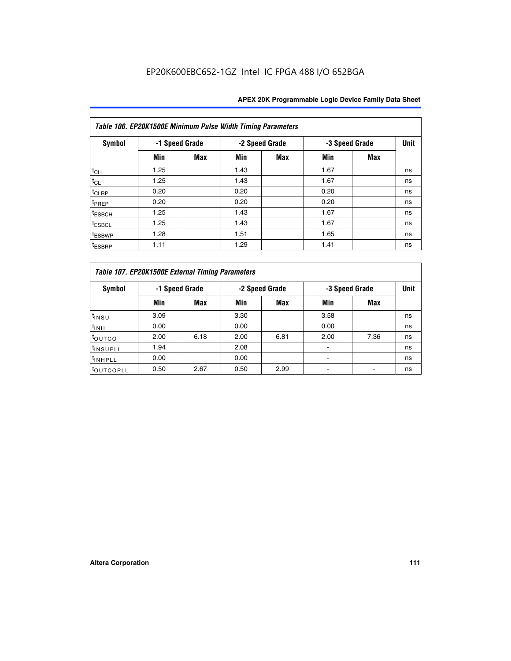|                    | Table 106. EP20K1500E Minimum Pulse Width Timing Parameters |                |      |                |      |                |             |  |  |  |  |  |
|--------------------|-------------------------------------------------------------|----------------|------|----------------|------|----------------|-------------|--|--|--|--|--|
| <b>Symbol</b>      |                                                             | -1 Speed Grade |      | -2 Speed Grade |      | -3 Speed Grade | <b>Unit</b> |  |  |  |  |  |
|                    | Min                                                         | <b>Max</b>     | Min  | Max            | Min  | <b>Max</b>     |             |  |  |  |  |  |
| $t_{CH}$           | 1.25                                                        |                | 1.43 |                | 1.67 |                | ns          |  |  |  |  |  |
| $t_{CL}$           | 1.25                                                        |                | 1.43 |                | 1.67 |                | ns          |  |  |  |  |  |
| $t_{CLRP}$         | 0.20                                                        |                | 0.20 |                | 0.20 |                | ns          |  |  |  |  |  |
| t <sub>PREP</sub>  | 0.20                                                        |                | 0.20 |                | 0.20 |                | ns          |  |  |  |  |  |
| <sup>t</sup> ESBCH | 1.25                                                        |                | 1.43 |                | 1.67 |                | ns          |  |  |  |  |  |
| <sup>t</sup> ESBCL | 1.25                                                        |                | 1.43 |                | 1.67 |                | ns          |  |  |  |  |  |
| <sup>t</sup> ESBWP | 1.28                                                        |                | 1.51 |                | 1.65 |                | ns          |  |  |  |  |  |
| <sup>t</sup> ESBRP | 1.11                                                        |                | 1.29 |                | 1.41 |                | ns          |  |  |  |  |  |

|                       | Table 107. EP20K1500E External Timing Parameters |      |      |                |                          |                |             |  |  |  |  |  |  |
|-----------------------|--------------------------------------------------|------|------|----------------|--------------------------|----------------|-------------|--|--|--|--|--|--|
| Symbol                | -1 Speed Grade                                   |      |      | -2 Speed Grade |                          | -3 Speed Grade | <b>Unit</b> |  |  |  |  |  |  |
|                       | Min                                              | Max  | Min  | <b>Max</b>     | Min                      | Max            |             |  |  |  |  |  |  |
| t <sub>insu</sub>     | 3.09                                             |      | 3.30 |                | 3.58                     |                | ns          |  |  |  |  |  |  |
| $t_{INH}$             | 0.00                                             |      | 0.00 |                | 0.00                     |                | ns          |  |  |  |  |  |  |
| toutco                | 2.00                                             | 6.18 | 2.00 | 6.81           | 2.00                     | 7.36           | ns          |  |  |  |  |  |  |
| <sup>t</sup> INSUPLL  | 1.94                                             |      | 2.08 |                |                          |                | ns          |  |  |  |  |  |  |
| <sup>t</sup> INHPLL   | 0.00                                             |      | 0.00 |                | $\overline{\phantom{0}}$ |                | ns          |  |  |  |  |  |  |
| <sup>t</sup> OUTCOPLL | 0.50                                             | 2.67 | 0.50 | 2.99           |                          |                | ns          |  |  |  |  |  |  |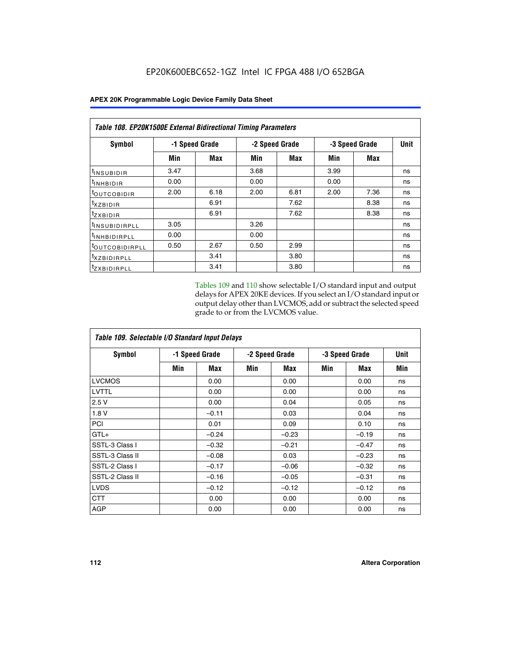|                            | <b>Table 108. EP20K1500E External Bidirectional Timing Parameters</b> |      |      |                |                |             |    |  |  |  |  |  |
|----------------------------|-----------------------------------------------------------------------|------|------|----------------|----------------|-------------|----|--|--|--|--|--|
| Symbol                     | -1 Speed Grade                                                        |      |      | -2 Speed Grade | -3 Speed Grade | <b>Unit</b> |    |  |  |  |  |  |
|                            | Min                                                                   | Max  | Min  | Max            | Min            | Max         |    |  |  |  |  |  |
| <sup>t</sup> INSUBIDIR     | 3.47                                                                  |      | 3.68 |                | 3.99           |             | ns |  |  |  |  |  |
| <sup>t</sup> INHBIDIR      | 0.00                                                                  |      | 0.00 |                | 0.00           |             | ns |  |  |  |  |  |
| <sup>t</sup> OUTCOBIDIR    | 2.00                                                                  | 6.18 | 2.00 | 6.81           | 2.00           | 7.36        | ns |  |  |  |  |  |
| txzBIDIR                   |                                                                       | 6.91 |      | 7.62           |                | 8.38        | ns |  |  |  |  |  |
| <sup>t</sup> zxbidir       |                                                                       | 6.91 |      | 7.62           |                | 8.38        | ns |  |  |  |  |  |
| <sup>t</sup> INSUBIDIRPLL  | 3.05                                                                  |      | 3.26 |                |                |             | ns |  |  |  |  |  |
| <sup>t</sup> INHBIDIRPLL   | 0.00                                                                  |      | 0.00 |                |                |             | ns |  |  |  |  |  |
| <sup>t</sup> OUTCOBIDIRPLL | 0.50                                                                  | 2.67 | 0.50 | 2.99           |                |             | ns |  |  |  |  |  |
| <sup>t</sup> XZBIDIRPLL    |                                                                       | 3.41 |      | 3.80           |                |             | ns |  |  |  |  |  |
| <sup>t</sup> zxbidirpll    |                                                                       | 3.41 |      | 3.80           |                |             | ns |  |  |  |  |  |

Tables 109 and 110 show selectable I/O standard input and output delays for APEX 20KE devices. If you select an I/O standard input or output delay other than LVCMOS, add or subtract the selected speed grade to or from the LVCMOS value.

| Table 109. Selectable I/O Standard Input Delays |                |         |     |                |     |                |     |  |  |  |
|-------------------------------------------------|----------------|---------|-----|----------------|-----|----------------|-----|--|--|--|
| <b>Symbol</b>                                   | -1 Speed Grade |         |     | -2 Speed Grade |     | -3 Speed Grade |     |  |  |  |
|                                                 | Min            | Max     | Min | Max            | Min | Max            | Min |  |  |  |
| <b>LVCMOS</b>                                   |                | 0.00    |     | 0.00           |     | 0.00           | ns  |  |  |  |
| <b>LVTTL</b>                                    |                | 0.00    |     | 0.00           |     | 0.00           | ns  |  |  |  |
| 2.5V                                            |                | 0.00    |     | 0.04           |     | 0.05           | ns  |  |  |  |
| 1.8V                                            |                | $-0.11$ |     | 0.03           |     | 0.04           | ns  |  |  |  |
| PCI                                             |                | 0.01    |     | 0.09           |     | 0.10           | ns  |  |  |  |
| $GTL+$                                          |                | $-0.24$ |     | $-0.23$        |     | $-0.19$        | ns  |  |  |  |
| SSTL-3 Class I                                  |                | $-0.32$ |     | $-0.21$        |     | $-0.47$        | ns  |  |  |  |
| SSTL-3 Class II                                 |                | $-0.08$ |     | 0.03           |     | $-0.23$        | ns  |  |  |  |
| SSTL-2 Class I                                  |                | $-0.17$ |     | $-0.06$        |     | $-0.32$        | ns  |  |  |  |
| SSTL-2 Class II                                 |                | $-0.16$ |     | $-0.05$        |     | $-0.31$        | ns  |  |  |  |
| <b>LVDS</b>                                     |                | $-0.12$ |     | $-0.12$        |     | $-0.12$        | ns  |  |  |  |
| <b>CTT</b>                                      |                | 0.00    |     | 0.00           |     | 0.00           | ns  |  |  |  |
| <b>AGP</b>                                      |                | 0.00    |     | 0.00           |     | 0.00           | ns  |  |  |  |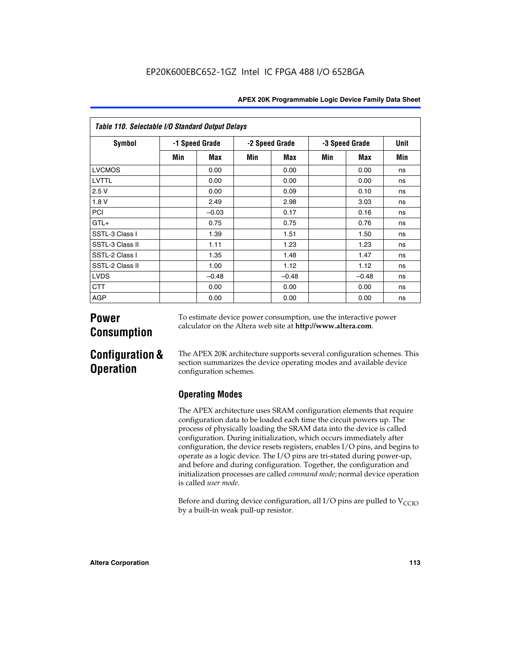| Table 110. Selectable I/O Standard Output Delays |     |                |     |                |     |                |             |  |  |  |  |
|--------------------------------------------------|-----|----------------|-----|----------------|-----|----------------|-------------|--|--|--|--|
| <b>Symbol</b>                                    |     | -1 Speed Grade |     | -2 Speed Grade |     | -3 Speed Grade | <b>Unit</b> |  |  |  |  |
|                                                  | Min | Max            | Min | Max            | Min | <b>Max</b>     | Min         |  |  |  |  |
| <b>LVCMOS</b>                                    |     | 0.00           |     | 0.00           |     | 0.00           | ns          |  |  |  |  |
| LVTTL                                            |     | 0.00           |     | 0.00           |     | 0.00           | ns          |  |  |  |  |
| 2.5V                                             |     | 0.00           |     | 0.09           |     | 0.10           | ns          |  |  |  |  |
| 1.8V                                             |     | 2.49           |     | 2.98           |     | 3.03           | ns          |  |  |  |  |
| <b>PCI</b>                                       |     | $-0.03$        |     | 0.17           |     | 0.16           | ns          |  |  |  |  |
| $GTL+$                                           |     | 0.75           |     | 0.75           |     | 0.76           | ns          |  |  |  |  |
| SSTL-3 Class I                                   |     | 1.39           |     | 1.51           |     | 1.50           | ns          |  |  |  |  |
| SSTL-3 Class II                                  |     | 1.11           |     | 1.23           |     | 1.23           | ns          |  |  |  |  |
| SSTL-2 Class I                                   |     | 1.35           |     | 1.48           |     | 1.47           | ns          |  |  |  |  |
| SSTL-2 Class II                                  |     | 1.00           |     | 1.12           |     | 1.12           | ns          |  |  |  |  |
| <b>LVDS</b>                                      |     | $-0.48$        |     | $-0.48$        |     | $-0.48$        | ns          |  |  |  |  |
| <b>CTT</b>                                       |     | 0.00           |     | 0.00           |     | 0.00           | ns          |  |  |  |  |
| <b>AGP</b>                                       |     | 0.00           |     | 0.00           |     | 0.00           | ns          |  |  |  |  |

# **Power Consumption**

To estimate device power consumption, use the interactive power calculator on the Altera web site at **http://www.altera.com**.

# **Configuration & Operation**

The APEX 20K architecture supports several configuration schemes. This section summarizes the device operating modes and available device configuration schemes.

## **Operating Modes**

The APEX architecture uses SRAM configuration elements that require configuration data to be loaded each time the circuit powers up. The process of physically loading the SRAM data into the device is called configuration. During initialization, which occurs immediately after configuration, the device resets registers, enables I/O pins, and begins to operate as a logic device. The I/O pins are tri-stated during power-up, and before and during configuration. Together, the configuration and initialization processes are called *command mode*; normal device operation is called *user mode*.

Before and during device configuration, all I/O pins are pulled to  $V_{\text{CCTO}}$ by a built-in weak pull-up resistor.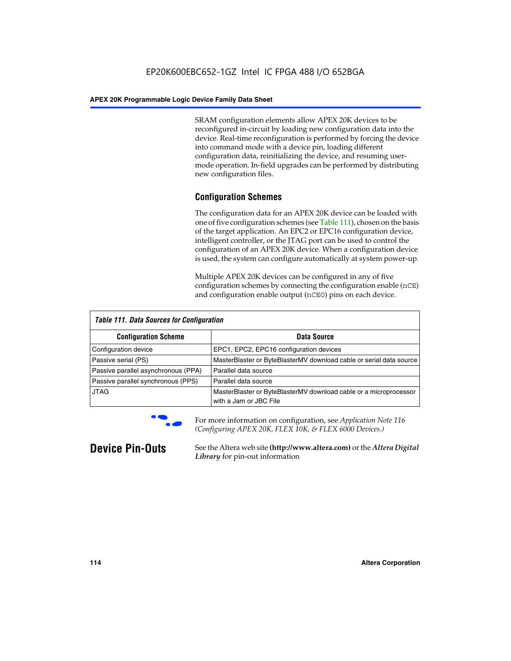SRAM configuration elements allow APEX 20K devices to be reconfigured in-circuit by loading new configuration data into the device. Real-time reconfiguration is performed by forcing the device into command mode with a device pin, loading different configuration data, reinitializing the device, and resuming usermode operation. In-field upgrades can be performed by distributing new configuration files.

## **Configuration Schemes**

The configuration data for an APEX 20K device can be loaded with one of five configuration schemes (see Table 111), chosen on the basis of the target application. An EPC2 or EPC16 configuration device, intelligent controller, or the JTAG port can be used to control the configuration of an APEX 20K device. When a configuration device is used, the system can configure automatically at system power-up.

Multiple APEX 20K devices can be configured in any of five configuration schemes by connecting the configuration enable (nCE) and configuration enable output (nCEO) pins on each device.

| <b>Table 111. Data Sources for Configuration</b> |                                                                                             |
|--------------------------------------------------|---------------------------------------------------------------------------------------------|
| <b>Configuration Scheme</b>                      | Data Source                                                                                 |
| Configuration device                             | EPC1, EPC2, EPC16 configuration devices                                                     |
| Passive serial (PS)                              | MasterBlaster or ByteBlasterMV download cable or serial data source                         |
| Passive parallel asynchronous (PPA)              | Parallel data source                                                                        |
| Passive parallel synchronous (PPS)               | Parallel data source                                                                        |
| <b>JTAG</b>                                      | MasterBlaster or ByteBlasterMV download cable or a microprocessor<br>with a Jam or JBC File |



**For more information on configuration, see Application Note 116** *(Configuring APEX 20K, FLEX 10K, & FLEX 6000 Devices.)*

**Device Pin-Outs** See the Altera web site **(http://www.altera.com)** or the *Altera Digital Library* for pin-out information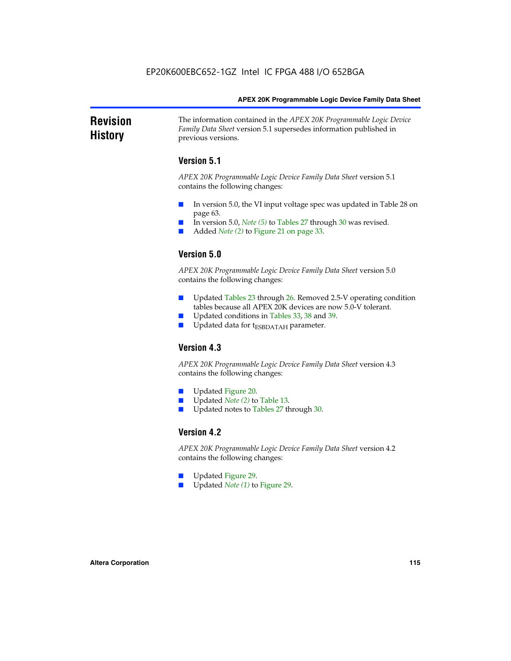### **Revision History** The information contained in the *APEX 20K Programmable Logic Device Family Data Sheet* version 5.1 supersedes information published in previous versions.

## **Version 5.1**

*APEX 20K Programmable Logic Device Family Data Sheet* version 5.1 contains the following changes:

- In version 5.0, the VI input voltage spec was updated in Table 28 on page 63.
- In version 5.0, *Note* (5) to Tables 27 through 30 was revised.
- Added *Note* (2) to Figure 21 on page 33.

## **Version 5.0**

*APEX 20K Programmable Logic Device Family Data Sheet* version 5.0 contains the following changes:

- Updated Tables 23 through 26. Removed 2.5-V operating condition tables because all APEX 20K devices are now 5.0-V tolerant.
- Updated conditions in Tables 33, 38 and 39.
- Updated data for t<sub>ESBDATAH</sub> parameter.

## **Version 4.3**

*APEX 20K Programmable Logic Device Family Data Sheet* version 4.3 contains the following changes:

- Updated Figure 20.
- Updated *Note (2)* to Table 13.
- Updated notes to Tables 27 through 30.

## **Version 4.2**

*APEX 20K Programmable Logic Device Family Data Sheet* version 4.2 contains the following changes:

- Updated Figure 29.
- Updated *Note (1)* to Figure 29.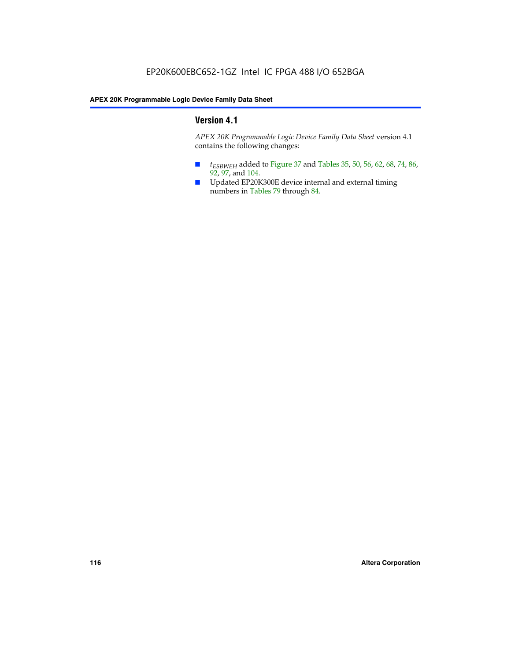## **Version 4.1**

*APEX 20K Programmable Logic Device Family Data Sheet* version 4.1 contains the following changes:

- *t<sub>ESBWEH</sub>* added to Figure 37 and Tables 35, 50, 56, 62, 68, 74, 86, 92, 97, and 104.
- Updated EP20K300E device internal and external timing numbers in Tables 79 through 84.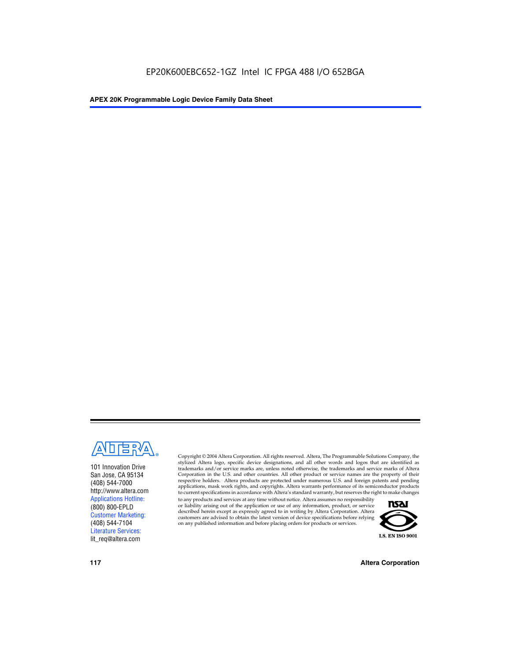

101 Innovation Drive San Jose, CA 95134 (408) 544-7000 http://www.altera.com Applications Hotline: (800) 800-EPLD Customer Marketing: (408) 544-7104 Literature Services: lit\_req@altera.com

Copyright © 2004 Altera Corporation. All rights reserved. Altera, The Programmable Solutions Company, the stylized Altera logo, specific device designations, and all other words and logos that are identified as trademarks and/or service marks are, unless noted otherwise, the trademarks and service marks of Altera Corporation in the U.S. and other countries. All other product or service names are the property of their respective holders. Altera products are protected under numerous U.S. and foreign patents and pending applications, mask work rights, and copyrights. Altera warrants performance of its semiconductor products to current specifications in accordance with Altera's standard warranty, but reserves the right to make changes

to any products and services at any time without notice. Altera assumes no responsibility or liability arising out of the application or use of any information, product, or service described herein except as expressly agreed to in writing by Altera Corporation. Altera customers are advised to obtain the latest version of device specifications before relying on any published information and before placing orders for products or services.



**117 Altera Corporation**